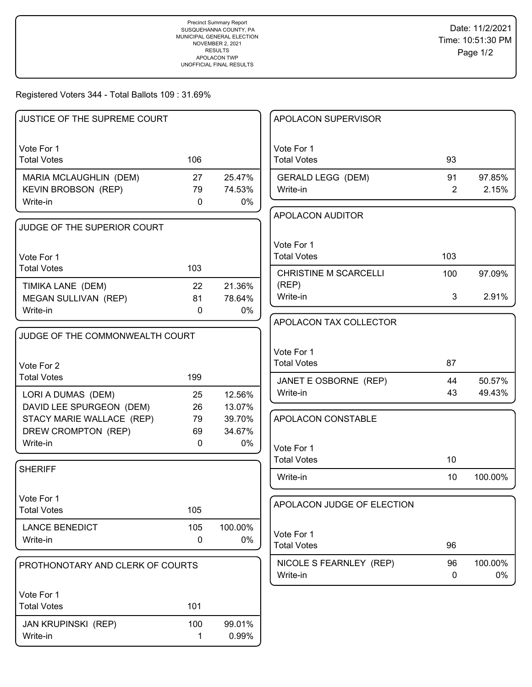## Registered Voters 344 - Total Ballots 109 : 31.69%

| JUSTICE OF THE SUPREME COURT                   |              |                  | APOLACON SUPERVISOR               |          |                  |
|------------------------------------------------|--------------|------------------|-----------------------------------|----------|------------------|
|                                                |              |                  |                                   |          |                  |
| Vote For 1<br><b>Total Votes</b>               | 106          |                  | Vote For 1<br><b>Total Votes</b>  | 93       |                  |
| MARIA MCLAUGHLIN (DEM)                         | 27           | 25.47%           | <b>GERALD LEGG (DEM)</b>          | 91       | 97.85%           |
| KEVIN BROBSON (REP)                            | 79           | 74.53%           | Write-in                          | 2        | 2.15%            |
| Write-in                                       | $\mathbf 0$  | 0%               |                                   |          |                  |
|                                                |              |                  | <b>APOLACON AUDITOR</b>           |          |                  |
| JUDGE OF THE SUPERIOR COURT                    |              |                  |                                   |          |                  |
|                                                |              |                  | Vote For 1                        |          |                  |
| Vote For 1                                     |              |                  | <b>Total Votes</b>                | 103      |                  |
| <b>Total Votes</b>                             | 103          |                  | <b>CHRISTINE M SCARCELLI</b>      | 100      | 97.09%           |
| TIMIKA LANE (DEM)                              | 22           | 21.36%           | (REP)                             |          |                  |
| MEGAN SULLIVAN (REP)                           | 81           | 78.64%           | Write-in                          | 3        | 2.91%            |
| Write-in                                       | $\mathbf{0}$ | 0%               | APOLACON TAX COLLECTOR            |          |                  |
| JUDGE OF THE COMMONWEALTH COURT                |              |                  |                                   |          |                  |
|                                                |              |                  |                                   |          |                  |
|                                                |              |                  | Vote For 1<br><b>Total Votes</b>  | 87       |                  |
| Vote For 2<br><b>Total Votes</b>               | 199          |                  |                                   |          |                  |
|                                                |              |                  | JANET E OSBORNE (REP)<br>Write-in | 44<br>43 | 50.57%<br>49.43% |
| LORI A DUMAS (DEM)<br>DAVID LEE SPURGEON (DEM) | 25<br>26     | 12.56%<br>13.07% |                                   |          |                  |
| STACY MARIE WALLACE (REP)                      | 79           | 39.70%           | APOLACON CONSTABLE                |          |                  |
| DREW CROMPTON (REP)                            | 69           | 34.67%           |                                   |          |                  |
| Write-in                                       | $\mathbf 0$  | 0%               | Vote For 1                        |          |                  |
|                                                |              |                  | <b>Total Votes</b>                | 10       |                  |
| <b>SHERIFF</b>                                 |              |                  | Write-in                          | 10       | 100.00%          |
|                                                |              |                  |                                   |          |                  |
| Vote For 1                                     |              |                  | APOLACON JUDGE OF ELECTION        |          |                  |
| <b>Total Votes</b>                             | 105          |                  |                                   |          |                  |
| <b>LANCE BENEDICT</b>                          | 105          | 100.00%          | Vote For 1                        |          |                  |
| Write-in                                       | 0            | 0%               | <b>Total Votes</b>                | 96       |                  |
|                                                |              |                  | NICOLE S FEARNLEY (REP)           | 96       | 100.00%          |
| PROTHONOTARY AND CLERK OF COURTS               |              |                  | Write-in                          | 0        | 0%               |
|                                                |              |                  |                                   |          |                  |
| Vote For 1<br><b>Total Votes</b>               | 101          |                  |                                   |          |                  |
|                                                |              |                  |                                   |          |                  |
| <b>JAN KRUPINSKI (REP)</b>                     | 100          | 99.01%           |                                   |          |                  |
| Write-in                                       | 1            | 0.99%            |                                   |          |                  |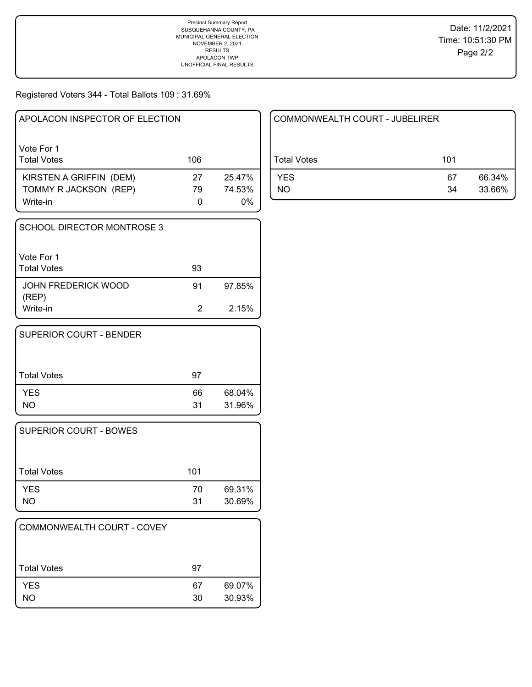## Registered Voters 344 - Total Ballots 109 : 31.69%

| APOLACON INSPECTOR OF ELECTION   |     |        |
|----------------------------------|-----|--------|
| Vote For 1<br><b>Total Votes</b> | 106 |        |
| KIRSTEN A GRIFFIN (DEM)          | 27  | 25.47% |
| TOMMY R JACKSON (REP)            | 79  | 74.53% |
| Write-in                         |     | $0\%$  |

| SCHOOL DIRECTOR MONTROSE 3       |    |        |
|----------------------------------|----|--------|
| Vote For 1<br><b>Total Votes</b> | 93 |        |
| JOHN FREDERICK WOOD<br>(REP)     | 91 | 97.85% |
| Write-in                         | 2  | 2.15%  |

| <b>SUPERIOR COURT - BENDER</b> |          |                  |
|--------------------------------|----------|------------------|
| l Total Votes                  | 97       |                  |
| <b>YES</b><br><b>NO</b>        | 66<br>31 | 68.04%<br>31.96% |

| SUPERIOR COURT - BOWES |     |        |
|------------------------|-----|--------|
| Total Votes            | 101 |        |
| <b>YES</b>             | 70  | 69.31% |
| NΟ                     | 31  | 30.69% |

| COMMONWEALTH COURT - COVEY |          |                  |
|----------------------------|----------|------------------|
| <b>Total Votes</b>         | 97       |                  |
| <b>YES</b><br>NO           | 67<br>30 | 69.07%<br>30.93% |

| COMMONWEALTH COURT - JUBELIRER |          |                  |
|--------------------------------|----------|------------------|
| Total Votes                    | 101      |                  |
| <b>YES</b><br>NO               | 67<br>34 | 66.34%<br>33.66% |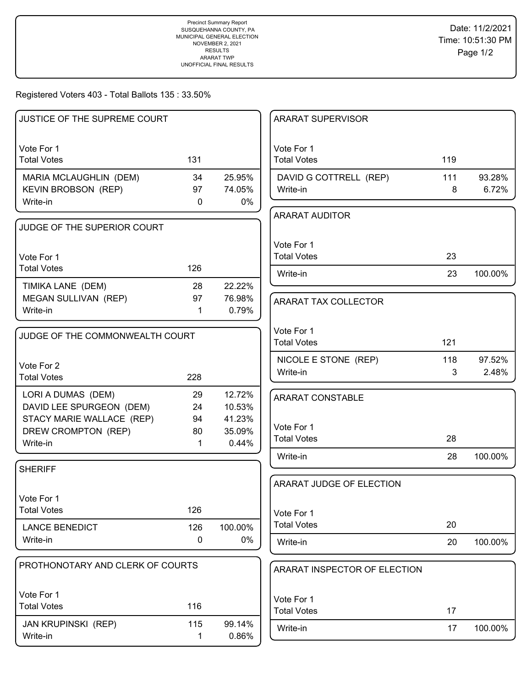### Registered Voters 403 - Total Ballots 135 : 33.50%

| JUSTICE OF THE SUPREME COURT     |             |         | <b>ARARAT SUPERVISOR</b>         |     |         |
|----------------------------------|-------------|---------|----------------------------------|-----|---------|
| Vote For 1<br><b>Total Votes</b> | 131         |         | Vote For 1<br><b>Total Votes</b> | 119 |         |
| MARIA MCLAUGHLIN (DEM)           | 34          | 25.95%  | DAVID G COTTRELL (REP)           | 111 | 93.28%  |
| <b>KEVIN BROBSON (REP)</b>       | 97          | 74.05%  | Write-in                         | 8   | 6.72%   |
| Write-in                         | $\mathbf 0$ | $0\%$   |                                  |     |         |
|                                  |             |         | <b>ARARAT AUDITOR</b>            |     |         |
| JUDGE OF THE SUPERIOR COURT      |             |         |                                  |     |         |
|                                  |             |         | Vote For 1                       |     |         |
| Vote For 1                       |             |         | <b>Total Votes</b>               | 23  |         |
| <b>Total Votes</b>               | 126         |         | Write-in                         | 23  | 100.00% |
| TIMIKA LANE (DEM)                | 28          | 22.22%  |                                  |     |         |
| MEGAN SULLIVAN (REP)             | 97          | 76.98%  | ARARAT TAX COLLECTOR             |     |         |
| Write-in                         | 1           | 0.79%   |                                  |     |         |
|                                  |             |         |                                  |     |         |
| JUDGE OF THE COMMONWEALTH COURT  |             |         | Vote For 1                       |     |         |
|                                  |             |         | <b>Total Votes</b>               | 121 |         |
| Vote For 2                       |             |         | NICOLE E STONE (REP)             | 118 | 97.52%  |
| <b>Total Votes</b>               | 228         |         | Write-in                         | 3   | 2.48%   |
| LORI A DUMAS (DEM)               | 29          | 12.72%  |                                  |     |         |
| DAVID LEE SPURGEON (DEM)         | 24          | 10.53%  | <b>ARARAT CONSTABLE</b>          |     |         |
| STACY MARIE WALLACE (REP)        | 94          | 41.23%  |                                  |     |         |
| DREW CROMPTON (REP)              | 80          | 35.09%  | Vote For 1                       |     |         |
| Write-in                         | 1           | 0.44%   | <b>Total Votes</b>               | 28  |         |
|                                  |             |         | Write-in                         | 28  | 100.00% |
| <b>SHERIFF</b>                   |             |         |                                  |     |         |
|                                  |             |         | ARARAT JUDGE OF ELECTION         |     |         |
| Vote For 1                       |             |         |                                  |     |         |
| <b>Total Votes</b>               | 126         |         | Vote For 1                       |     |         |
| <b>LANCE BENEDICT</b>            | 126         | 100.00% | <b>Total Votes</b>               | 20  |         |
| Write-in                         | $\mathbf 0$ | 0%      | Write-in                         | 20  | 100.00% |
|                                  |             |         |                                  |     |         |
| PROTHONOTARY AND CLERK OF COURTS |             |         | ARARAT INSPECTOR OF ELECTION     |     |         |
|                                  |             |         |                                  |     |         |
| Vote For 1                       |             |         | Vote For 1                       |     |         |
| <b>Total Votes</b>               | 116         |         | <b>Total Votes</b>               | 17  |         |
| <b>JAN KRUPINSKI (REP)</b>       | 115         | 99.14%  | Write-in                         | 17  | 100.00% |
| Write-in                         | 1           | 0.86%   |                                  |     |         |
|                                  |             |         |                                  |     |         |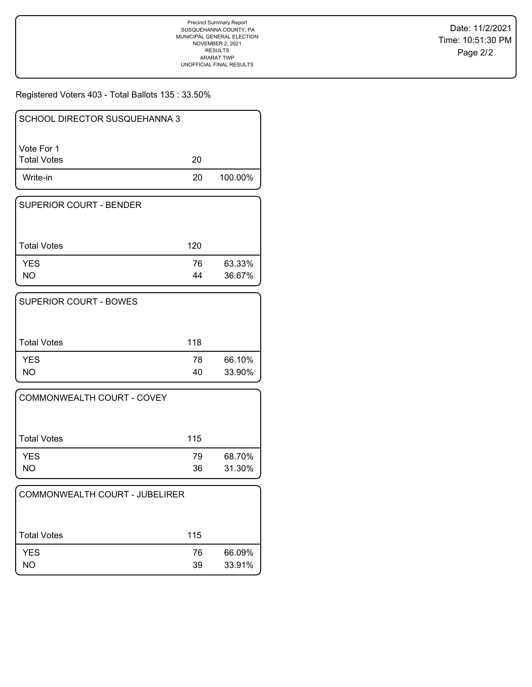Registered Voters 403 - Total Ballots 135 : 33.50%

| <b>SCHOOL DIRECTOR SUSQUEHANNA 3</b> |    |         |
|--------------------------------------|----|---------|
| l Vote For 1<br>  Total Votes        | 20 |         |
| Write-in                             | 20 | 100.00% |

| <b>SUPERIOR COURT - BENDER</b> |          |                  |
|--------------------------------|----------|------------------|
| <b>Total Votes</b>             | 120      |                  |
| <b>YES</b><br>NO.              | 76<br>44 | 63.33%<br>36.67% |

| <b>SUPERIOR COURT - BOWES</b> |          |                  |
|-------------------------------|----------|------------------|
| <b>Total Votes</b>            | 118      |                  |
| <b>YES</b><br>NΟ              | 78<br>40 | 66.10%<br>33.90% |

| COMMONWEALTH COURT - COVEY |          |                  |
|----------------------------|----------|------------------|
| <b>Total Votes</b>         | 115      |                  |
| <b>YES</b><br>NΟ           | 79<br>36 | 68.70%<br>31.30% |

| COMMONWEALTH COURT - JUBELIRER |          |                  |
|--------------------------------|----------|------------------|
| <b>Total Votes</b>             | 115      |                  |
| <b>YES</b><br>NO.              | 76<br>39 | 66.09%<br>33.91% |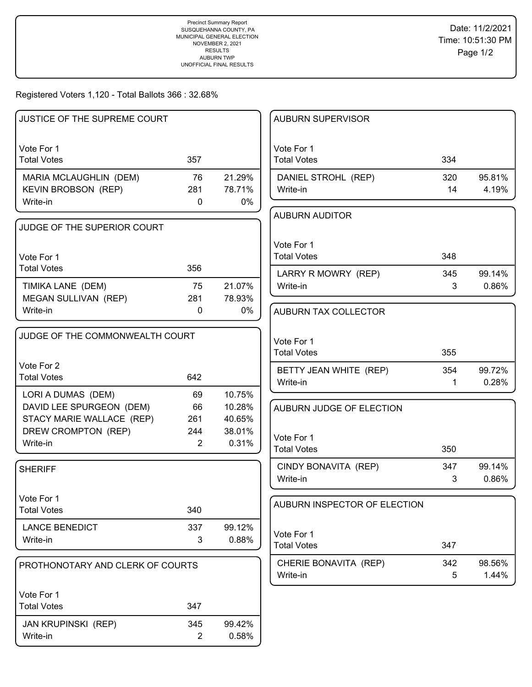Registered Voters 1,120 - Total Ballots 366 : 32.68%

| JUSTICE OF THE SUPREME COURT                     |                |                  | <b>AUBURN SUPERVISOR</b>          |             |                 |
|--------------------------------------------------|----------------|------------------|-----------------------------------|-------------|-----------------|
| Vote For 1                                       |                |                  | Vote For 1                        |             |                 |
| <b>Total Votes</b>                               | 357            |                  | <b>Total Votes</b>                | 334         |                 |
| MARIA MCLAUGHLIN (DEM)                           | 76             | 21.29%           | DANIEL STROHL (REP)               | 320         | 95.81%          |
| <b>KEVIN BROBSON (REP)</b>                       | 281            | 78.71%           | Write-in                          | 14          | 4.19%           |
| Write-in                                         | $\mathbf{0}$   | $0\%$            |                                   |             |                 |
| JUDGE OF THE SUPERIOR COURT                      |                |                  | <b>AUBURN AUDITOR</b>             |             |                 |
|                                                  |                |                  | Vote For 1                        |             |                 |
| Vote For 1                                       |                |                  | <b>Total Votes</b>                | 348         |                 |
| <b>Total Votes</b>                               | 356            |                  |                                   | 345         | 99.14%          |
| TIMIKA LANE (DEM)                                | 75             | 21.07%           | LARRY R MOWRY (REP)<br>Write-in   | 3           | 0.86%           |
| MEGAN SULLIVAN (REP)                             | 281            | 78.93%           |                                   |             |                 |
| Write-in                                         | $\mathbf{0}$   | $0\%$            | AUBURN TAX COLLECTOR              |             |                 |
|                                                  |                |                  |                                   |             |                 |
| JUDGE OF THE COMMONWEALTH COURT                  |                |                  | Vote For 1                        |             |                 |
|                                                  |                |                  | <b>Total Votes</b>                | 355         |                 |
| Vote For 2                                       |                |                  | BETTY JEAN WHITE (REP)            | 354         | 99.72%          |
| <b>Total Votes</b>                               | 642            |                  | Write-in                          | $\mathbf 1$ | 0.28%           |
| LORI A DUMAS (DEM)                               | 69             | 10.75%           |                                   |             |                 |
| DAVID LEE SPURGEON (DEM)                         | 66             | 10.28%           | AUBURN JUDGE OF ELECTION          |             |                 |
| STACY MARIE WALLACE (REP)<br>DREW CROMPTON (REP) | 261<br>244     | 40.65%<br>38.01% |                                   |             |                 |
| Write-in                                         | 2              | 0.31%            | Vote For 1                        |             |                 |
|                                                  |                |                  | <b>Total Votes</b>                | 350         |                 |
| <b>SHERIFF</b>                                   |                |                  | CINDY BONAVITA (REP)              | 347         | 99.14%          |
|                                                  |                |                  | Write-in                          | 3           | 0.86%           |
| Vote For 1                                       |                |                  |                                   |             |                 |
| <b>Total Votes</b>                               | 340            |                  | AUBURN INSPECTOR OF ELECTION      |             |                 |
| <b>LANCE BENEDICT</b>                            | 337            | 99.12%           |                                   |             |                 |
| Write-in                                         | 3              | 0.88%            | Vote For 1<br><b>Total Votes</b>  | 347         |                 |
|                                                  |                |                  |                                   |             |                 |
| PROTHONOTARY AND CLERK OF COURTS                 |                |                  | CHERIE BONAVITA (REP)<br>Write-in | 342<br>5    | 98.56%<br>1.44% |
|                                                  |                |                  |                                   |             |                 |
| Vote For 1                                       |                |                  |                                   |             |                 |
| <b>Total Votes</b>                               | 347            |                  |                                   |             |                 |
| <b>JAN KRUPINSKI (REP)</b>                       | 345            | 99.42%           |                                   |             |                 |
| Write-in                                         | $\overline{2}$ | 0.58%            |                                   |             |                 |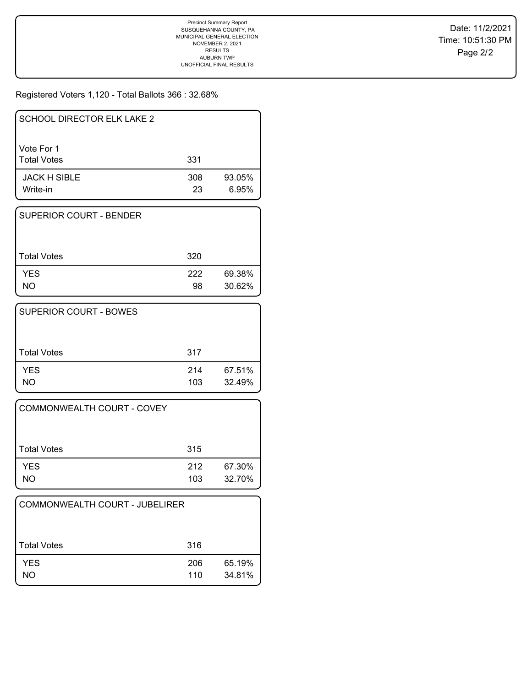Registered Voters 1,120 - Total Ballots 366 : 32.68%

| SCHOOL DIRECTOR ELK LAKE 2       |           |                 |
|----------------------------------|-----------|-----------------|
| Vote For 1<br><b>Total Votes</b> | 331       |                 |
| <b>JACK H SIBLE</b><br>Write-in  | 308<br>23 | 93.05%<br>6.95% |

| I SUPERIOR COURT - BENDER |           |                  |
|---------------------------|-----------|------------------|
| l Total Votes             | 320       |                  |
| <b>YES</b><br>NΟ          | 222<br>98 | 69.38%<br>30.62% |

| <b>SUPERIOR COURT - BOWES</b> |            |                  |
|-------------------------------|------------|------------------|
| <b>Total Votes</b>            | 317        |                  |
| <b>YES</b><br>NO              | 214<br>103 | 67.51%<br>32.49% |

| COMMONWEALTH COURT - COVEY |            |                  |
|----------------------------|------------|------------------|
| Total Votes                | 315        |                  |
| <b>YES</b><br>NO           | 212<br>103 | 67.30%<br>32.70% |

| COMMONWEALTH COURT - JUBELIRER |            |                  |
|--------------------------------|------------|------------------|
| Total Votes                    | 316        |                  |
| <b>YES</b><br>NO               | 206<br>110 | 65.19%<br>34.81% |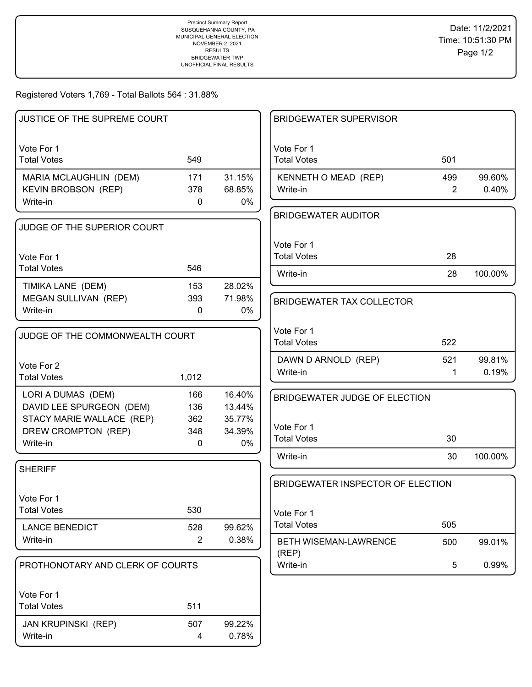Registered Voters 1,769 - Total Ballots 564 : 31.88%

| JUSTICE OF THE SUPREME COURT     |                |        | <b>BRIDGEWATER SUPERVISOR</b>     |                |         |
|----------------------------------|----------------|--------|-----------------------------------|----------------|---------|
| Vote For 1<br><b>Total Votes</b> | 549            |        | Vote For 1<br><b>Total Votes</b>  | 501            |         |
| MARIA MCLAUGHLIN (DEM)           | 171            | 31.15% | KENNETH O MEAD (REP)              | 499            | 99.60%  |
| KEVIN BROBSON (REP)              | 378            | 68.85% | Write-in                          | $\overline{2}$ | 0.40%   |
| Write-in                         | $\mathbf 0$    | $0\%$  |                                   |                |         |
| JUDGE OF THE SUPERIOR COURT      |                |        | <b>BRIDGEWATER AUDITOR</b>        |                |         |
|                                  |                |        | Vote For 1                        |                |         |
| Vote For 1                       |                |        | <b>Total Votes</b>                | 28             |         |
| <b>Total Votes</b>               | 546            |        | Write-in                          | 28             | 100.00% |
| TIMIKA LANE (DEM)                | 153            | 28.02% |                                   |                |         |
| MEGAN SULLIVAN (REP)             | 393            | 71.98% | <b>BRIDGEWATER TAX COLLECTOR</b>  |                |         |
| Write-in                         | $\mathbf{0}$   | 0%     |                                   |                |         |
| JUDGE OF THE COMMONWEALTH COURT  |                |        | Vote For 1                        |                |         |
|                                  |                |        | <b>Total Votes</b>                | 522            |         |
| Vote For 2                       |                |        | DAWN D ARNOLD (REP)               | 521            | 99.81%  |
| <b>Total Votes</b>               | 1,012          |        | Write-in                          | 1              | 0.19%   |
| LORI A DUMAS (DEM)               | 166            | 16.40% | BRIDGEWATER JUDGE OF ELECTION     |                |         |
| DAVID LEE SPURGEON (DEM)         | 136            | 13.44% |                                   |                |         |
| STACY MARIE WALLACE (REP)        | 362            | 35.77% | Vote For 1                        |                |         |
| DREW CROMPTON (REP)              | 348            | 34.39% | <b>Total Votes</b>                | 30             |         |
| Write-in                         | 0              | 0%     | Write-in                          | 30             | 100.00% |
| <b>SHERIFF</b>                   |                |        |                                   |                |         |
|                                  |                |        | BRIDGEWATER INSPECTOR OF ELECTION |                |         |
| Vote For 1                       |                |        |                                   |                |         |
| <b>Total Votes</b>               | 530            |        | Vote For 1                        |                |         |
| <b>LANCE BENEDICT</b>            | 528            | 99.62% | <b>Total Votes</b>                | 505            |         |
| Write-in                         | $\overline{2}$ | 0.38%  | BETH WISEMAN-LAWRENCE             | 500            | 99.01%  |
| PROTHONOTARY AND CLERK OF COURTS |                |        | (REP)<br>Write-in                 | 5              | 0.99%   |
|                                  |                |        |                                   |                |         |
| Vote For 1                       |                |        |                                   |                |         |
| <b>Total Votes</b>               | 511            |        |                                   |                |         |
| JAN KRUPINSKI (REP)              | 507            | 99.22% |                                   |                |         |
| Write-in                         | 4              | 0.78%  |                                   |                |         |
|                                  |                |        |                                   |                |         |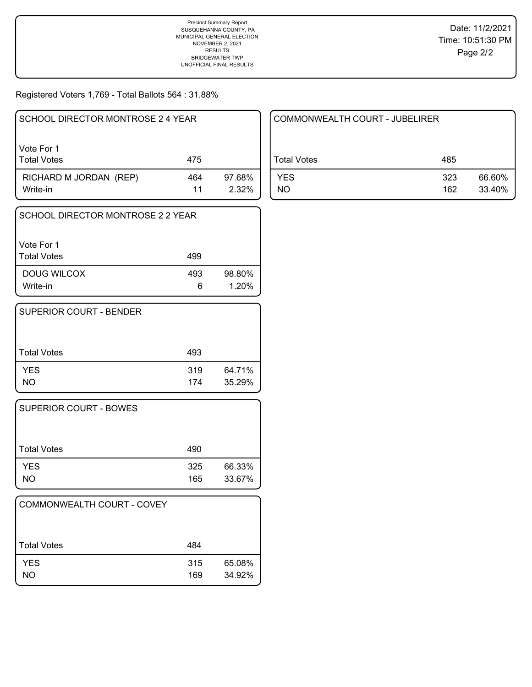Registered Voters 1,769 - Total Ballots 564 : 31.88%

| SCHOOL DIRECTOR MONTROSE 2 4 YEAR  |           |                 |
|------------------------------------|-----------|-----------------|
| Vote For 1<br><b>Total Votes</b>   | 475       |                 |
| RICHARD M JORDAN (REP)<br>Write-in | 464<br>11 | 97.68%<br>2.32% |

| SCHOOL DIRECTOR MONTROSE 2 2 YEAR |          |                 |
|-----------------------------------|----------|-----------------|
| Vote For 1<br><b>Total Votes</b>  | 499      |                 |
| DOUG WILCOX<br>Write-in           | 493<br>6 | 98.80%<br>1.20% |

| SUPERIOR COURT - BENDER |            |                  |
|-------------------------|------------|------------------|
| <b>Total Votes</b>      | 493        |                  |
| <b>YES</b><br>NO.       | 319<br>174 | 64.71%<br>35.29% |

| <b>SUPERIOR COURT - BOWES</b> |            |                  |
|-------------------------------|------------|------------------|
| Total Votes                   | 490        |                  |
| <b>YES</b><br>NO              | 325<br>165 | 66.33%<br>33.67% |

| <b>COMMONWEALTH COURT - COVEY</b> |            |                  |
|-----------------------------------|------------|------------------|
| <b>Total Votes</b>                | 484        |                  |
| <b>YES</b><br>NΟ                  | 315<br>169 | 65.08%<br>34.92% |

| COMMONWEALTH COURT - JUBELIRER |            |                  |
|--------------------------------|------------|------------------|
| Total Votes                    | 485        |                  |
| <b>YES</b><br>NΟ               | 323<br>162 | 66.60%<br>33.40% |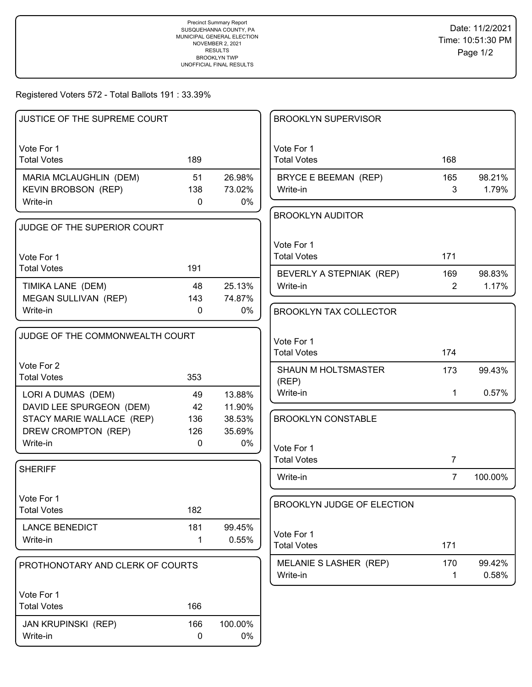## Registered Voters 572 - Total Ballots 191 : 33.39%

| JUSTICE OF THE SUPREME COURT                         |              |                  | <b>BROOKLYN SUPERVISOR</b>       |                |                 |
|------------------------------------------------------|--------------|------------------|----------------------------------|----------------|-----------------|
|                                                      |              |                  |                                  |                |                 |
| Vote For 1<br><b>Total Votes</b>                     | 189          |                  | Vote For 1<br><b>Total Votes</b> | 168            |                 |
|                                                      |              |                  |                                  |                |                 |
| MARIA MCLAUGHLIN (DEM)<br><b>KEVIN BROBSON (REP)</b> | 51<br>138    | 26.98%<br>73.02% | BRYCE E BEEMAN (REP)<br>Write-in | 165<br>3       | 98.21%<br>1.79% |
| Write-in                                             | $\mathbf 0$  | $0\%$            |                                  |                |                 |
|                                                      |              |                  | <b>BROOKLYN AUDITOR</b>          |                |                 |
| JUDGE OF THE SUPERIOR COURT                          |              |                  |                                  |                |                 |
|                                                      |              |                  | Vote For 1                       |                |                 |
| Vote For 1                                           |              |                  | <b>Total Votes</b>               | 171            |                 |
| <b>Total Votes</b>                                   | 191          |                  | BEVERLY A STEPNIAK (REP)         | 169            | 98.83%          |
| TIMIKA LANE (DEM)                                    | 48           | 25.13%           | Write-in                         | $\overline{2}$ | 1.17%           |
| MEGAN SULLIVAN (REP)                                 | 143          | 74.87%           |                                  |                |                 |
| Write-in                                             | $\mathbf{0}$ | $0\%$            | <b>BROOKLYN TAX COLLECTOR</b>    |                |                 |
|                                                      |              |                  |                                  |                |                 |
| JUDGE OF THE COMMONWEALTH COURT                      |              |                  | Vote For 1                       |                |                 |
|                                                      |              |                  | <b>Total Votes</b>               | 174            |                 |
| Vote For 2<br><b>Total Votes</b>                     | 353          |                  | <b>SHAUN M HOLTSMASTER</b>       | 173            | 99.43%          |
|                                                      |              |                  | (REP)<br>Write-in                |                | 0.57%           |
| LORI A DUMAS (DEM)<br>DAVID LEE SPURGEON (DEM)       | 49<br>42     | 13.88%<br>11.90% |                                  | 1              |                 |
| STACY MARIE WALLACE (REP)                            | 136          | 38.53%           | <b>BROOKLYN CONSTABLE</b>        |                |                 |
| DREW CROMPTON (REP)                                  | 126          | 35.69%           |                                  |                |                 |
| Write-in                                             | $\mathbf 0$  | 0%               | Vote For 1                       |                |                 |
|                                                      |              |                  | <b>Total Votes</b>               | $\overline{7}$ |                 |
| <b>SHERIFF</b>                                       |              |                  | Write-in                         | $\overline{7}$ | 100.00%         |
|                                                      |              |                  |                                  |                |                 |
| Vote For 1                                           |              |                  | BROOKLYN JUDGE OF ELECTION       |                |                 |
| <b>Total Votes</b>                                   | 182          |                  |                                  |                |                 |
| <b>LANCE BENEDICT</b>                                | 181          | 99.45%           | Vote For 1                       |                |                 |
| Write-in                                             | $\mathbf 1$  | 0.55%            | <b>Total Votes</b>               | 171            |                 |
|                                                      |              |                  | MELANIE S LASHER (REP)           | 170            | 99.42%          |
| PROTHONOTARY AND CLERK OF COURTS                     |              |                  | Write-in                         | 1              | 0.58%           |
|                                                      |              |                  |                                  |                |                 |
| Vote For 1<br><b>Total Votes</b>                     | 166          |                  |                                  |                |                 |
|                                                      |              |                  |                                  |                |                 |
| <b>JAN KRUPINSKI (REP)</b>                           | 166          | 100.00%          |                                  |                |                 |
| Write-in                                             | $\mathbf 0$  | 0%               |                                  |                |                 |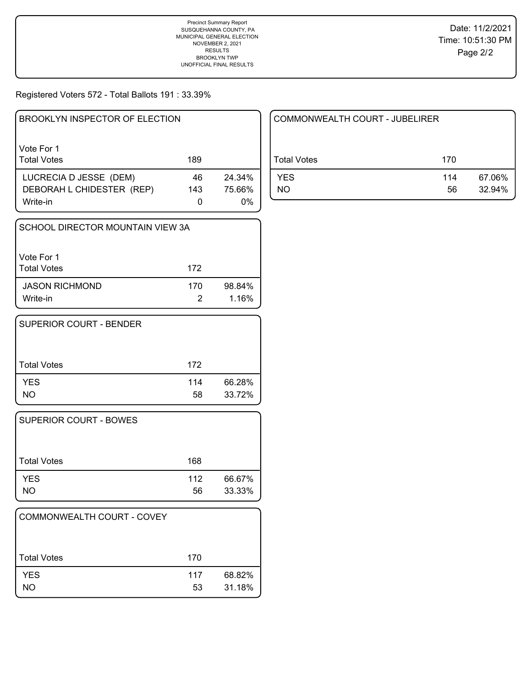Registered Voters 572 - Total Ballots 191 : 33.39%

| BROOKLYN INSPECTOR OF ELECTION   |     |        |
|----------------------------------|-----|--------|
| Vote For 1<br><b>Total Votes</b> | 189 |        |
| LUCRECIA D JESSE (DEM)           | 46  | 24.34% |
| DEBORAH L CHIDESTER (REP)        | 143 | 75.66% |
| Write-in                         | 0   | 0%     |

| SCHOOL DIRECTOR MOUNTAIN VIEW 3A  |     |                 |
|-----------------------------------|-----|-----------------|
| Vote For 1<br><b>Total Votes</b>  | 172 |                 |
| <b>JASON RICHMOND</b><br>Write-in | 170 | 98.84%<br>1.16% |

| SUPERIOR COURT - BENDER |           |                  |
|-------------------------|-----------|------------------|
| <b>Total Votes</b>      | 172       |                  |
| <b>YES</b><br>NO.       | 114<br>58 | 66.28%<br>33.72% |

| <b>SUPERIOR COURT - BOWES</b> |           |                  |
|-------------------------------|-----------|------------------|
| Total Votes                   | 168       |                  |
| <b>YES</b><br>NO.             | 112<br>56 | 66.67%<br>33.33% |

| COMMONWEALTH COURT - COVEY |           |                  |
|----------------------------|-----------|------------------|
| <b>Total Votes</b>         | 170       |                  |
| <b>YES</b><br>NO           | 117<br>53 | 68.82%<br>31.18% |

| COMMONWEALTH COURT - JUBELIRER |           |                  |
|--------------------------------|-----------|------------------|
| l Total Votes                  | 170       |                  |
| <b>YES</b><br>NΟ               | 114<br>56 | 67.06%<br>32.94% |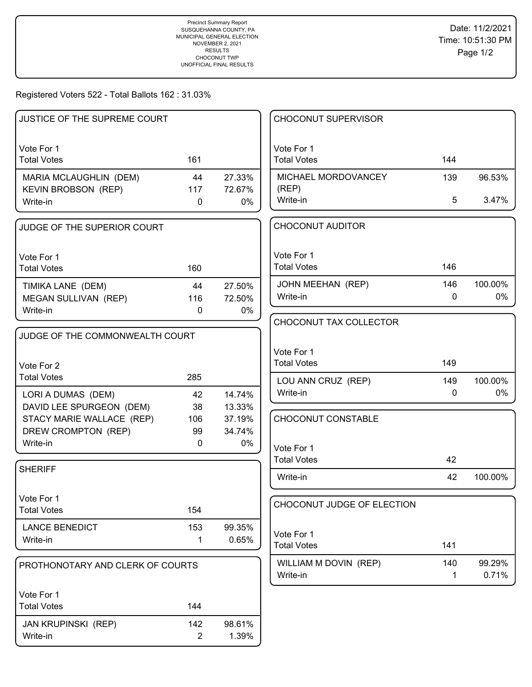## Registered Voters 522 - Total Ballots 162 : 31.03%

| JUSTICE OF THE SUPREME COURT     |                |        | <b>CHOCONUT SUPERVISOR</b>       |     |         |
|----------------------------------|----------------|--------|----------------------------------|-----|---------|
|                                  |                |        |                                  |     |         |
| Vote For 1                       |                |        | Vote For 1                       |     |         |
| <b>Total Votes</b>               | 161            |        | <b>Total Votes</b>               | 144 |         |
| MARIA MCLAUGHLIN (DEM)           | 44             | 27.33% | MICHAEL MORDOVANCEY              | 139 | 96.53%  |
| KEVIN BROBSON (REP)              | 117            | 72.67% | (REP)                            |     |         |
| Write-in                         | 0              | 0%     | Write-in                         | 5   | 3.47%   |
| JUDGE OF THE SUPERIOR COURT      |                |        | <b>CHOCONUT AUDITOR</b>          |     |         |
|                                  |                |        | Vote For 1                       |     |         |
| Vote For 1<br><b>Total Votes</b> | 160            |        | <b>Total Votes</b>               | 146 |         |
|                                  |                |        |                                  |     |         |
| TIMIKA LANE (DEM)                | 44             | 27.50% | JOHN MEEHAN (REP)                | 146 | 100.00% |
| MEGAN SULLIVAN (REP)             | 116            | 72.50% | Write-in                         | 0   | 0%      |
| Write-in                         | 0              | 0%     | CHOCONUT TAX COLLECTOR           |     |         |
| JUDGE OF THE COMMONWEALTH COURT  |                |        |                                  |     |         |
|                                  |                |        |                                  |     |         |
|                                  |                |        | Vote For 1                       | 149 |         |
| Vote For 2                       |                |        | <b>Total Votes</b>               |     |         |
| <b>Total Votes</b>               | 285            |        | LOU ANN CRUZ (REP)               | 149 | 100.00% |
| LORI A DUMAS (DEM)               | 42             | 14.74% | Write-in                         | 0   | 0%      |
| DAVID LEE SPURGEON (DEM)         | 38             | 13.33% |                                  |     |         |
| STACY MARIE WALLACE (REP)        | 106            | 37.19% | CHOCONUT CONSTABLE               |     |         |
| DREW CROMPTON (REP)              | 99             | 34.74% |                                  |     |         |
| Write-in                         | 0              | 0%     | Vote For 1                       |     |         |
|                                  |                |        | <b>Total Votes</b>               | 42  |         |
| <b>SHERIFF</b>                   |                |        | Write-in                         | 42  | 100.00% |
| Vote For 1                       |                |        |                                  |     |         |
| <b>Total Votes</b>               | 154            |        | CHOCONUT JUDGE OF ELECTION       |     |         |
| <b>LANCE BENEDICT</b>            | 153            | 99.35% |                                  |     |         |
| Write-in                         | 1              | 0.65%  | Vote For 1<br><b>Total Votes</b> | 141 |         |
|                                  |                |        |                                  |     |         |
| PROTHONOTARY AND CLERK OF COURTS |                |        | WILLIAM M DOVIN (REP)            | 140 | 99.29%  |
|                                  |                |        | Write-in                         | 1   | 0.71%   |
| Vote For 1                       |                |        |                                  |     |         |
| <b>Total Votes</b>               | 144            |        |                                  |     |         |
| <b>JAN KRUPINSKI (REP)</b>       | 142            | 98.61% |                                  |     |         |
| Write-in                         | $\overline{2}$ | 1.39%  |                                  |     |         |
|                                  |                |        |                                  |     |         |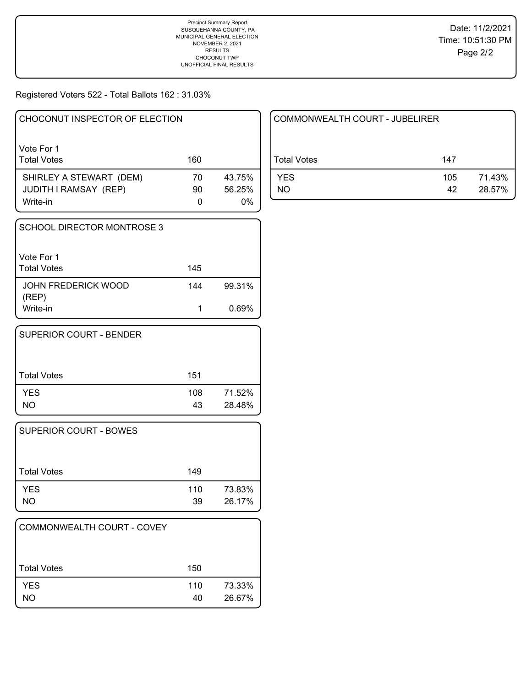Registered Voters 522 - Total Ballots 162 : 31.03%

| CHOCONUT INSPECTOR OF ELECTION                                      |          |                        |
|---------------------------------------------------------------------|----------|------------------------|
| Vote For 1<br><b>Total Votes</b>                                    | 160      |                        |
| SHIRLEY A STEWART (DEM)<br><b>JUDITH I RAMSAY (REP)</b><br>Write-in | 70<br>90 | 43.75%<br>56.25%<br>0% |

| SCHOOL DIRECTOR MONTROSE 3       |     |        |
|----------------------------------|-----|--------|
| Vote For 1<br><b>Total Votes</b> | 145 |        |
| JOHN FREDERICK WOOD<br>(REP)     | 144 | 99.31% |
| Write-in                         |     | 0.69%  |

| SUPERIOR COURT - BENDER |           |                  |
|-------------------------|-----------|------------------|
| Total Votes             | 151       |                  |
| <b>YES</b><br><b>NO</b> | 108<br>43 | 71.52%<br>28.48% |

| <b>SUPERIOR COURT - BOWES</b> |           |                  |
|-------------------------------|-----------|------------------|
| Total Votes                   | 149       |                  |
| <b>YES</b><br><b>NO</b>       | 110<br>39 | 73.83%<br>26.17% |

| COMMONWEALTH COURT - COVEY |           |                  |
|----------------------------|-----------|------------------|
| <b>Total Votes</b>         | 150       |                  |
| <b>YES</b><br><b>NO</b>    | 110<br>40 | 73.33%<br>26.67% |

| COMMONWEALTH COURT - JUBELIRER |           |                  |  |
|--------------------------------|-----------|------------------|--|
| Total Votes                    | 147       |                  |  |
| <b>YES</b><br>NO               | 105<br>42 | 71.43%<br>28.57% |  |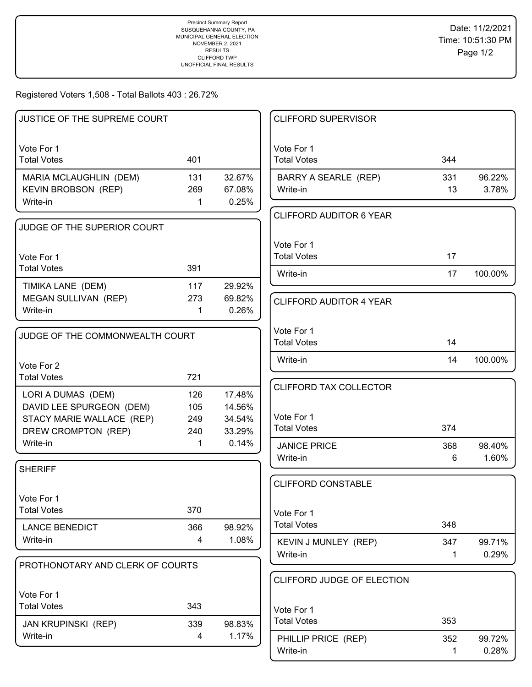Registered Voters 1,508 - Total Ballots 403 : 26.72%

| Vote For 1<br>Vote For 1<br><b>Total Votes</b><br>401<br><b>Total Votes</b><br>344<br>32.67%<br>MARIA MCLAUGHLIN (DEM)<br>131<br>BARRY A SEARLE (REP)<br>331<br>96.22%<br><b>KEVIN BROBSON (REP)</b><br>269<br>67.08%<br>Write-in<br>13<br>3.78%<br>0.25%<br>Write-in<br>$\mathbf 1$<br><b>CLIFFORD AUDITOR 6 YEAR</b><br>JUDGE OF THE SUPERIOR COURT<br>Vote For 1<br><b>Total Votes</b><br>17<br>Vote For 1<br><b>Total Votes</b><br>391<br>Write-in<br>17<br>100.00%<br>TIMIKA LANE (DEM)<br>117<br>29.92%<br>MEGAN SULLIVAN (REP)<br>273<br>69.82%<br><b>CLIFFORD AUDITOR 4 YEAR</b><br>0.26%<br>Write-in<br>1<br>Vote For 1<br>JUDGE OF THE COMMONWEALTH COURT<br><b>Total Votes</b><br>14<br>Write-in<br>14<br>100.00%<br>Vote For 2<br><b>Total Votes</b><br>721<br>CLIFFORD TAX COLLECTOR<br>126<br>17.48%<br>LORI A DUMAS (DEM)<br>DAVID LEE SPURGEON (DEM)<br>105<br>14.56%<br>Vote For 1<br>STACY MARIE WALLACE (REP)<br>249<br>34.54%<br><b>Total Votes</b><br>374<br>DREW CROMPTON (REP)<br>33.29%<br>240<br>Write-in<br>0.14%<br>$\mathbf 1$<br><b>JANICE PRICE</b><br>368<br>98.40%<br>1.60%<br>Write-in<br>6<br><b>SHERIFF</b><br><b>CLIFFORD CONSTABLE</b><br>Vote For 1<br>370<br><b>Total Votes</b><br>Vote For 1<br><b>Total Votes</b><br>348<br><b>LANCE BENEDICT</b><br>366<br>98.92%<br>1.08%<br>Write-in<br>4<br>KEVIN J MUNLEY (REP)<br>347<br>99.71%<br>0.29%<br>Write-in<br>1<br>PROTHONOTARY AND CLERK OF COURTS<br>CLIFFORD JUDGE OF ELECTION<br>Vote For 1<br><b>Total Votes</b><br>343<br>Vote For 1<br><b>Total Votes</b><br>353<br>339<br>98.83%<br><b>JAN KRUPINSKI (REP)</b><br>1.17%<br>Write-in<br>4<br>352<br>PHILLIP PRICE (REP)<br>99.72%<br>1. | JUSTICE OF THE SUPREME COURT |  | <b>CLIFFORD SUPERVISOR</b> |       |
|-----------------------------------------------------------------------------------------------------------------------------------------------------------------------------------------------------------------------------------------------------------------------------------------------------------------------------------------------------------------------------------------------------------------------------------------------------------------------------------------------------------------------------------------------------------------------------------------------------------------------------------------------------------------------------------------------------------------------------------------------------------------------------------------------------------------------------------------------------------------------------------------------------------------------------------------------------------------------------------------------------------------------------------------------------------------------------------------------------------------------------------------------------------------------------------------------------------------------------------------------------------------------------------------------------------------------------------------------------------------------------------------------------------------------------------------------------------------------------------------------------------------------------------------------------------------------------------------------------------------------------------------------------------------------------------------|------------------------------|--|----------------------------|-------|
|                                                                                                                                                                                                                                                                                                                                                                                                                                                                                                                                                                                                                                                                                                                                                                                                                                                                                                                                                                                                                                                                                                                                                                                                                                                                                                                                                                                                                                                                                                                                                                                                                                                                                         |                              |  |                            |       |
|                                                                                                                                                                                                                                                                                                                                                                                                                                                                                                                                                                                                                                                                                                                                                                                                                                                                                                                                                                                                                                                                                                                                                                                                                                                                                                                                                                                                                                                                                                                                                                                                                                                                                         |                              |  |                            |       |
|                                                                                                                                                                                                                                                                                                                                                                                                                                                                                                                                                                                                                                                                                                                                                                                                                                                                                                                                                                                                                                                                                                                                                                                                                                                                                                                                                                                                                                                                                                                                                                                                                                                                                         |                              |  |                            |       |
|                                                                                                                                                                                                                                                                                                                                                                                                                                                                                                                                                                                                                                                                                                                                                                                                                                                                                                                                                                                                                                                                                                                                                                                                                                                                                                                                                                                                                                                                                                                                                                                                                                                                                         |                              |  |                            |       |
|                                                                                                                                                                                                                                                                                                                                                                                                                                                                                                                                                                                                                                                                                                                                                                                                                                                                                                                                                                                                                                                                                                                                                                                                                                                                                                                                                                                                                                                                                                                                                                                                                                                                                         |                              |  |                            |       |
|                                                                                                                                                                                                                                                                                                                                                                                                                                                                                                                                                                                                                                                                                                                                                                                                                                                                                                                                                                                                                                                                                                                                                                                                                                                                                                                                                                                                                                                                                                                                                                                                                                                                                         |                              |  |                            |       |
|                                                                                                                                                                                                                                                                                                                                                                                                                                                                                                                                                                                                                                                                                                                                                                                                                                                                                                                                                                                                                                                                                                                                                                                                                                                                                                                                                                                                                                                                                                                                                                                                                                                                                         |                              |  |                            |       |
|                                                                                                                                                                                                                                                                                                                                                                                                                                                                                                                                                                                                                                                                                                                                                                                                                                                                                                                                                                                                                                                                                                                                                                                                                                                                                                                                                                                                                                                                                                                                                                                                                                                                                         |                              |  |                            |       |
|                                                                                                                                                                                                                                                                                                                                                                                                                                                                                                                                                                                                                                                                                                                                                                                                                                                                                                                                                                                                                                                                                                                                                                                                                                                                                                                                                                                                                                                                                                                                                                                                                                                                                         |                              |  |                            |       |
|                                                                                                                                                                                                                                                                                                                                                                                                                                                                                                                                                                                                                                                                                                                                                                                                                                                                                                                                                                                                                                                                                                                                                                                                                                                                                                                                                                                                                                                                                                                                                                                                                                                                                         |                              |  |                            |       |
|                                                                                                                                                                                                                                                                                                                                                                                                                                                                                                                                                                                                                                                                                                                                                                                                                                                                                                                                                                                                                                                                                                                                                                                                                                                                                                                                                                                                                                                                                                                                                                                                                                                                                         |                              |  |                            |       |
|                                                                                                                                                                                                                                                                                                                                                                                                                                                                                                                                                                                                                                                                                                                                                                                                                                                                                                                                                                                                                                                                                                                                                                                                                                                                                                                                                                                                                                                                                                                                                                                                                                                                                         |                              |  |                            |       |
|                                                                                                                                                                                                                                                                                                                                                                                                                                                                                                                                                                                                                                                                                                                                                                                                                                                                                                                                                                                                                                                                                                                                                                                                                                                                                                                                                                                                                                                                                                                                                                                                                                                                                         |                              |  |                            |       |
|                                                                                                                                                                                                                                                                                                                                                                                                                                                                                                                                                                                                                                                                                                                                                                                                                                                                                                                                                                                                                                                                                                                                                                                                                                                                                                                                                                                                                                                                                                                                                                                                                                                                                         |                              |  |                            |       |
|                                                                                                                                                                                                                                                                                                                                                                                                                                                                                                                                                                                                                                                                                                                                                                                                                                                                                                                                                                                                                                                                                                                                                                                                                                                                                                                                                                                                                                                                                                                                                                                                                                                                                         |                              |  |                            |       |
|                                                                                                                                                                                                                                                                                                                                                                                                                                                                                                                                                                                                                                                                                                                                                                                                                                                                                                                                                                                                                                                                                                                                                                                                                                                                                                                                                                                                                                                                                                                                                                                                                                                                                         |                              |  |                            |       |
|                                                                                                                                                                                                                                                                                                                                                                                                                                                                                                                                                                                                                                                                                                                                                                                                                                                                                                                                                                                                                                                                                                                                                                                                                                                                                                                                                                                                                                                                                                                                                                                                                                                                                         |                              |  |                            |       |
|                                                                                                                                                                                                                                                                                                                                                                                                                                                                                                                                                                                                                                                                                                                                                                                                                                                                                                                                                                                                                                                                                                                                                                                                                                                                                                                                                                                                                                                                                                                                                                                                                                                                                         |                              |  |                            |       |
|                                                                                                                                                                                                                                                                                                                                                                                                                                                                                                                                                                                                                                                                                                                                                                                                                                                                                                                                                                                                                                                                                                                                                                                                                                                                                                                                                                                                                                                                                                                                                                                                                                                                                         |                              |  |                            |       |
|                                                                                                                                                                                                                                                                                                                                                                                                                                                                                                                                                                                                                                                                                                                                                                                                                                                                                                                                                                                                                                                                                                                                                                                                                                                                                                                                                                                                                                                                                                                                                                                                                                                                                         |                              |  |                            |       |
|                                                                                                                                                                                                                                                                                                                                                                                                                                                                                                                                                                                                                                                                                                                                                                                                                                                                                                                                                                                                                                                                                                                                                                                                                                                                                                                                                                                                                                                                                                                                                                                                                                                                                         |                              |  |                            |       |
|                                                                                                                                                                                                                                                                                                                                                                                                                                                                                                                                                                                                                                                                                                                                                                                                                                                                                                                                                                                                                                                                                                                                                                                                                                                                                                                                                                                                                                                                                                                                                                                                                                                                                         |                              |  |                            |       |
|                                                                                                                                                                                                                                                                                                                                                                                                                                                                                                                                                                                                                                                                                                                                                                                                                                                                                                                                                                                                                                                                                                                                                                                                                                                                                                                                                                                                                                                                                                                                                                                                                                                                                         |                              |  |                            |       |
|                                                                                                                                                                                                                                                                                                                                                                                                                                                                                                                                                                                                                                                                                                                                                                                                                                                                                                                                                                                                                                                                                                                                                                                                                                                                                                                                                                                                                                                                                                                                                                                                                                                                                         |                              |  |                            |       |
|                                                                                                                                                                                                                                                                                                                                                                                                                                                                                                                                                                                                                                                                                                                                                                                                                                                                                                                                                                                                                                                                                                                                                                                                                                                                                                                                                                                                                                                                                                                                                                                                                                                                                         |                              |  |                            |       |
|                                                                                                                                                                                                                                                                                                                                                                                                                                                                                                                                                                                                                                                                                                                                                                                                                                                                                                                                                                                                                                                                                                                                                                                                                                                                                                                                                                                                                                                                                                                                                                                                                                                                                         |                              |  |                            |       |
|                                                                                                                                                                                                                                                                                                                                                                                                                                                                                                                                                                                                                                                                                                                                                                                                                                                                                                                                                                                                                                                                                                                                                                                                                                                                                                                                                                                                                                                                                                                                                                                                                                                                                         |                              |  |                            |       |
|                                                                                                                                                                                                                                                                                                                                                                                                                                                                                                                                                                                                                                                                                                                                                                                                                                                                                                                                                                                                                                                                                                                                                                                                                                                                                                                                                                                                                                                                                                                                                                                                                                                                                         |                              |  |                            |       |
|                                                                                                                                                                                                                                                                                                                                                                                                                                                                                                                                                                                                                                                                                                                                                                                                                                                                                                                                                                                                                                                                                                                                                                                                                                                                                                                                                                                                                                                                                                                                                                                                                                                                                         |                              |  |                            |       |
|                                                                                                                                                                                                                                                                                                                                                                                                                                                                                                                                                                                                                                                                                                                                                                                                                                                                                                                                                                                                                                                                                                                                                                                                                                                                                                                                                                                                                                                                                                                                                                                                                                                                                         |                              |  |                            |       |
|                                                                                                                                                                                                                                                                                                                                                                                                                                                                                                                                                                                                                                                                                                                                                                                                                                                                                                                                                                                                                                                                                                                                                                                                                                                                                                                                                                                                                                                                                                                                                                                                                                                                                         |                              |  |                            |       |
|                                                                                                                                                                                                                                                                                                                                                                                                                                                                                                                                                                                                                                                                                                                                                                                                                                                                                                                                                                                                                                                                                                                                                                                                                                                                                                                                                                                                                                                                                                                                                                                                                                                                                         |                              |  |                            |       |
|                                                                                                                                                                                                                                                                                                                                                                                                                                                                                                                                                                                                                                                                                                                                                                                                                                                                                                                                                                                                                                                                                                                                                                                                                                                                                                                                                                                                                                                                                                                                                                                                                                                                                         |                              |  |                            |       |
|                                                                                                                                                                                                                                                                                                                                                                                                                                                                                                                                                                                                                                                                                                                                                                                                                                                                                                                                                                                                                                                                                                                                                                                                                                                                                                                                                                                                                                                                                                                                                                                                                                                                                         |                              |  |                            |       |
|                                                                                                                                                                                                                                                                                                                                                                                                                                                                                                                                                                                                                                                                                                                                                                                                                                                                                                                                                                                                                                                                                                                                                                                                                                                                                                                                                                                                                                                                                                                                                                                                                                                                                         |                              |  |                            |       |
|                                                                                                                                                                                                                                                                                                                                                                                                                                                                                                                                                                                                                                                                                                                                                                                                                                                                                                                                                                                                                                                                                                                                                                                                                                                                                                                                                                                                                                                                                                                                                                                                                                                                                         |                              |  |                            |       |
|                                                                                                                                                                                                                                                                                                                                                                                                                                                                                                                                                                                                                                                                                                                                                                                                                                                                                                                                                                                                                                                                                                                                                                                                                                                                                                                                                                                                                                                                                                                                                                                                                                                                                         |                              |  | Write-in                   | 0.28% |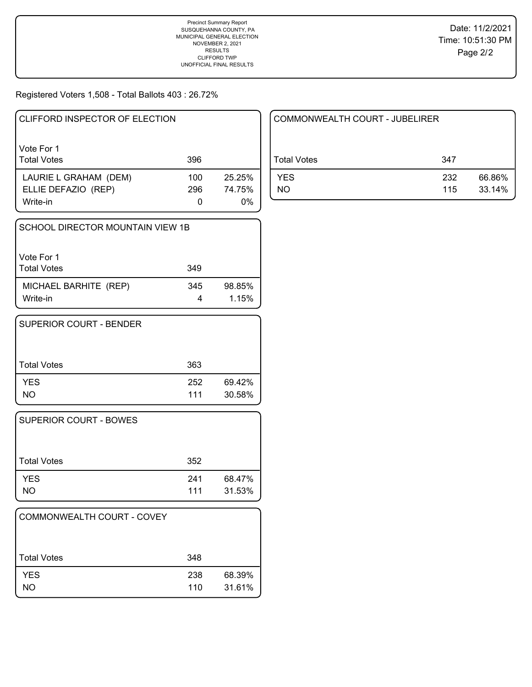Registered Voters 1,508 - Total Ballots 403 : 26.72%

| CLIFFORD INSPECTOR OF ELECTION   |     |              |
|----------------------------------|-----|--------------|
| Vote For 1<br><b>Total Votes</b> | 396 |              |
| LAURIE L GRAHAM (DEM)            | 100 | 25.25%       |
| ELLIE DEFAZIO (REP)<br>Write-in  | 296 | 74.75%<br>0% |

| SCHOOL DIRECTOR MOUNTAIN VIEW 1B  |     |                 |  |
|-----------------------------------|-----|-----------------|--|
| Vote For 1<br><b>Total Votes</b>  | 349 |                 |  |
| MICHAEL BARHITE (REP)<br>Write-in | 345 | 98.85%<br>1.15% |  |

| <b>SUPERIOR COURT - BENDER</b> |            |                  |
|--------------------------------|------------|------------------|
| Total Votes                    | 363        |                  |
| <b>YES</b><br><b>NO</b>        | 252<br>111 | 69.42%<br>30.58% |

| <b>SUPERIOR COURT - BOWES</b> |            |                  |
|-------------------------------|------------|------------------|
| Total Votes                   | 352        |                  |
| <b>YES</b><br>NO              | 241<br>111 | 68.47%<br>31.53% |

| COMMONWEALTH COURT - COVEY |            |                  |
|----------------------------|------------|------------------|
| <b>Total Votes</b>         | 348        |                  |
| <b>YES</b><br>NO.          | 238<br>110 | 68.39%<br>31.61% |

| COMMONWEALTH COURT - JUBELIRER |            |                  |  |
|--------------------------------|------------|------------------|--|
| Total Votes                    | 347        |                  |  |
| <b>YES</b><br>NO               | 232<br>115 | 66.86%<br>33.14% |  |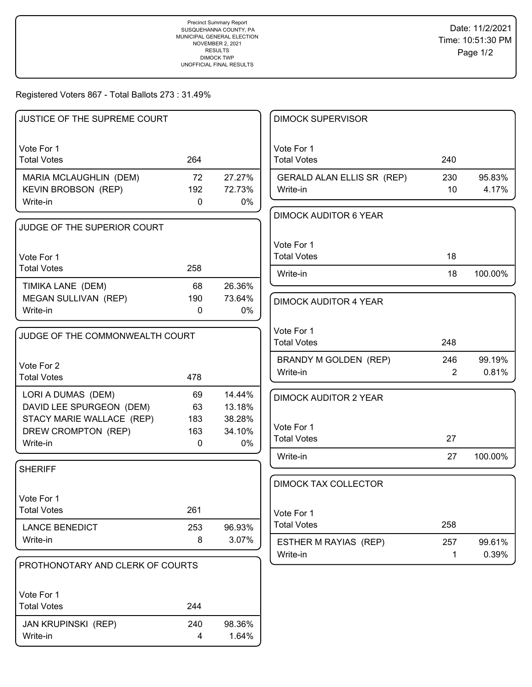# Registered Voters 867 - Total Ballots 273 : 31.49%

| JUSTICE OF THE SUPREME COURT     |              |              | <b>DIMOCK SUPERVISOR</b>     |                |         |
|----------------------------------|--------------|--------------|------------------------------|----------------|---------|
| Vote For 1                       |              |              | Vote For 1                   |                |         |
| <b>Total Votes</b>               | 264          |              | <b>Total Votes</b>           | 240            |         |
| MARIA MCLAUGHLIN (DEM)           | 72           | 27.27%       | GERALD ALAN ELLIS SR (REP)   | 230            | 95.83%  |
| KEVIN BROBSON (REP)              | 192          | 72.73%       | Write-in                     | 10             | 4.17%   |
| Write-in                         | $\mathbf 0$  | 0%           | <b>DIMOCK AUDITOR 6 YEAR</b> |                |         |
| JUDGE OF THE SUPERIOR COURT      |              |              |                              |                |         |
|                                  |              |              | Vote For 1                   |                |         |
| Vote For 1                       |              |              | <b>Total Votes</b>           | 18             |         |
| <b>Total Votes</b>               | 258          |              | Write-in                     | 18             | 100.00% |
| TIMIKA LANE (DEM)                | 68           | 26.36%       |                              |                |         |
| <b>MEGAN SULLIVAN (REP)</b>      | 190          | 73.64%       | <b>DIMOCK AUDITOR 4 YEAR</b> |                |         |
| Write-in                         | $\mathbf{0}$ | 0%           |                              |                |         |
| JUDGE OF THE COMMONWEALTH COURT  |              |              | Vote For 1                   |                |         |
|                                  |              |              | <b>Total Votes</b>           | 248            |         |
| Vote For 2                       |              |              | BRANDY M GOLDEN (REP)        | 246            | 99.19%  |
| <b>Total Votes</b>               | 478          |              | Write-in                     | $\overline{2}$ | 0.81%   |
| LORI A DUMAS (DEM)               | 69           | 14.44%       | <b>DIMOCK AUDITOR 2 YEAR</b> |                |         |
| DAVID LEE SPURGEON (DEM)         | 63           | 13.18%       |                              |                |         |
| STACY MARIE WALLACE (REP)        | 183          | 38.28%       | Vote For 1                   |                |         |
| DREW CROMPTON (REP)<br>Write-in  | 163<br>0     | 34.10%<br>0% | <b>Total Votes</b>           | 27             |         |
|                                  |              |              | Write-in                     | 27             | 100.00% |
| <b>SHERIFF</b>                   |              |              |                              |                |         |
|                                  |              |              | <b>DIMOCK TAX COLLECTOR</b>  |                |         |
| Vote For 1                       |              |              |                              |                |         |
| <b>Total Votes</b>               | 261          |              | Vote For 1                   |                |         |
| <b>LANCE BENEDICT</b>            | 253          | 96.93%       | <b>Total Votes</b>           | 258            |         |
| Write-in                         | 8            | 3.07%        | ESTHER M RAYIAS (REP)        | 257            | 99.61%  |
| PROTHONOTARY AND CLERK OF COURTS |              |              | Write-in                     | $\mathbf 1$    | 0.39%   |
|                                  |              |              |                              |                |         |
| Vote For 1                       |              |              |                              |                |         |
| <b>Total Votes</b>               | 244          |              |                              |                |         |
| <b>JAN KRUPINSKI (REP)</b>       | 240          | 98.36%       |                              |                |         |
| Write-in                         | 4            | 1.64%        |                              |                |         |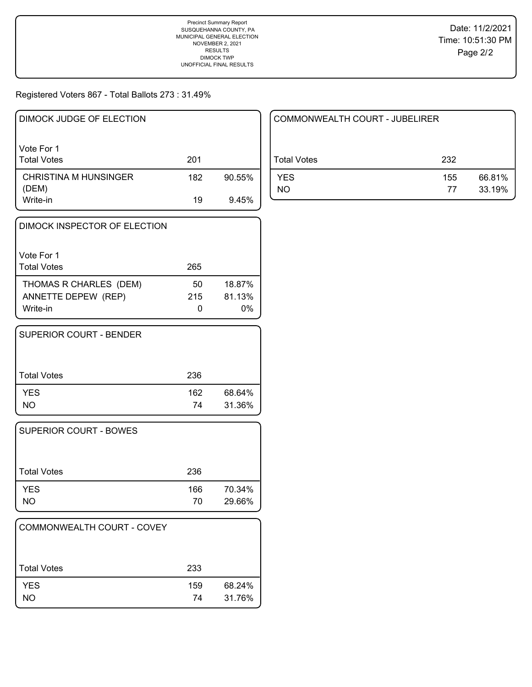## Registered Voters 867 - Total Ballots 273 : 31.49%

| DIMOCK JUDGE OF ELECTION         |     |        |
|----------------------------------|-----|--------|
| Vote For 1<br><b>Total Votes</b> | 201 |        |
| CHRISTINA M HUNSINGER<br>(DEM)   | 182 | 90.55% |
| Write-in                         | 19  | 9.45%  |

| DIMOCK INSPECTOR OF ELECTION                              |           |                        |
|-----------------------------------------------------------|-----------|------------------------|
| Vote For 1<br><b>Total Votes</b>                          | 265       |                        |
| THOMAS R CHARLES (DEM)<br>ANNETTE DEPEW (REP)<br>Write-in | 50<br>215 | 18.87%<br>81.13%<br>0% |

| SUPERIOR COURT - BENDER |           |                  |
|-------------------------|-----------|------------------|
| Total Votes             | 236       |                  |
| <b>YES</b><br>NO        | 162<br>74 | 68.64%<br>31.36% |

| SUPERIOR COURT - BOWES  |           |                  |
|-------------------------|-----------|------------------|
| Total Votes             | 236       |                  |
| <b>YES</b><br><b>NO</b> | 166<br>70 | 70.34%<br>29.66% |

| COMMONWEALTH COURT - COVEY |           |                  |
|----------------------------|-----------|------------------|
| <b>Total Votes</b>         | 233       |                  |
| <b>YES</b><br><b>NO</b>    | 159<br>74 | 68.24%<br>31.76% |

| COMMONWEALTH COURT - JUBELIRER |           |                  |
|--------------------------------|-----------|------------------|
| Total Votes                    | 232       |                  |
| <b>YES</b><br>NO.              | 155<br>77 | 66.81%<br>33.19% |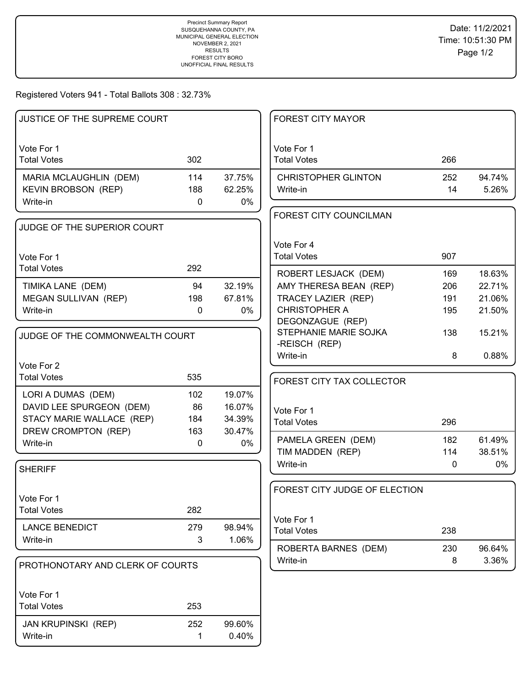Registered Voters 941 - Total Ballots 308 : 32.73%

| JUSTICE OF THE SUPREME COURT     |             |        | <b>FOREST CITY MAYOR</b>                  |              |                 |
|----------------------------------|-------------|--------|-------------------------------------------|--------------|-----------------|
| Vote For 1                       |             |        | Vote For 1                                |              |                 |
| <b>Total Votes</b>               | 302         |        | <b>Total Votes</b>                        | 266          |                 |
| MARIA MCLAUGHLIN (DEM)           | 114         | 37.75% | <b>CHRISTOPHER GLINTON</b>                | 252          | 94.74%          |
| <b>KEVIN BROBSON (REP)</b>       | 188         | 62.25% | Write-in                                  | 14           | 5.26%           |
| Write-in                         | 0           | 0%     |                                           |              |                 |
|                                  |             |        | FOREST CITY COUNCILMAN                    |              |                 |
| JUDGE OF THE SUPERIOR COURT      |             |        |                                           |              |                 |
|                                  |             |        | Vote For 4                                |              |                 |
| Vote For 1                       |             |        | <b>Total Votes</b>                        | 907          |                 |
| <b>Total Votes</b>               | 292         |        | ROBERT LESJACK (DEM)                      | 169          | 18.63%          |
| TIMIKA LANE (DEM)                | 94          | 32.19% | AMY THERESA BEAN (REP)                    | 206          | 22.71%          |
| MEGAN SULLIVAN (REP)             | 198         | 67.81% | TRACEY LAZIER (REP)                       | 191          | 21.06%          |
| Write-in                         | $\mathbf 0$ | 0%     | <b>CHRISTOPHER A</b>                      | 195          | 21.50%          |
|                                  |             |        | DEGONZAGUE (REP)<br>STEPHANIE MARIE SOJKA | 138          | 15.21%          |
| JUDGE OF THE COMMONWEALTH COURT  |             |        | -REISCH (REP)                             |              |                 |
|                                  |             |        | Write-in                                  | 8            | 0.88%           |
| Vote For 2                       |             |        |                                           |              |                 |
| <b>Total Votes</b>               | 535         |        | FOREST CITY TAX COLLECTOR                 |              |                 |
| LORI A DUMAS (DEM)               | 102         | 19.07% |                                           |              |                 |
| DAVID LEE SPURGEON (DEM)         | 86          | 16.07% | Vote For 1                                |              |                 |
| STACY MARIE WALLACE (REP)        | 184         | 34.39% | <b>Total Votes</b>                        | 296          |                 |
| DREW CROMPTON (REP)              | 163         | 30.47% | PAMELA GREEN (DEM)                        | 182          | 61.49%          |
| Write-in                         | $\mathbf 0$ | 0%     | TIM MADDEN (REP)                          | 114          | 38.51%          |
|                                  |             |        | Write-in                                  | $\mathbf{0}$ | 0%              |
| <b>SHERIFF</b>                   |             |        |                                           |              |                 |
|                                  |             |        | FOREST CITY JUDGE OF ELECTION             |              |                 |
| Vote For 1                       |             |        |                                           |              |                 |
| <b>Total Votes</b>               | 282         |        | Vote For 1                                |              |                 |
| <b>LANCE BENEDICT</b>            | 279         | 98.94% | <b>Total Votes</b>                        | 238          |                 |
| Write-in                         | 3           | 1.06%  |                                           |              |                 |
|                                  |             |        | ROBERTA BARNES (DEM)                      | 230<br>8     | 96.64%<br>3.36% |
| PROTHONOTARY AND CLERK OF COURTS |             |        | Write-in                                  |              |                 |
| Vote For 1                       |             |        |                                           |              |                 |
| <b>Total Votes</b>               | 253         |        |                                           |              |                 |
| JAN KRUPINSKI (REP)              | 252         | 99.60% |                                           |              |                 |
| Write-in                         | 1           | 0.40%  |                                           |              |                 |
|                                  |             |        |                                           |              |                 |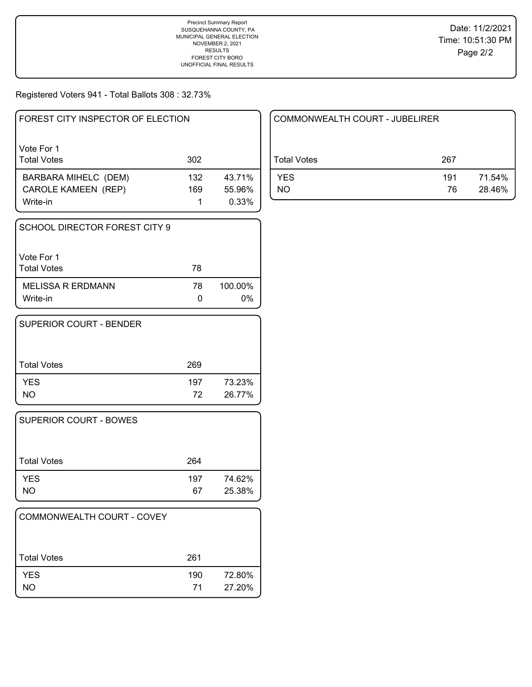Registered Voters 941 - Total Ballots 308 : 32.73%

| FOREST CITY INSPECTOR OF ELECTION |     |        |
|-----------------------------------|-----|--------|
| Vote For 1<br><b>Total Votes</b>  | 302 |        |
| <b>BARBARA MIHELC (DEM)</b>       | 132 | 43.71% |
| <b>CAROLE KAMEEN (REP)</b>        | 169 | 55.96% |
| Write-in                          |     | 0.33%  |

| SCHOOL DIRECTOR FOREST CITY 9        |    |                  |
|--------------------------------------|----|------------------|
| Vote For 1<br><b>Total Votes</b>     | 78 |                  |
| <b>MELISSA R ERDMANN</b><br>Write-in | 78 | 100.00%<br>$0\%$ |

| <b>SUPERIOR COURT - BENDER</b> |           |                  |
|--------------------------------|-----------|------------------|
| Total Votes                    | 269       |                  |
| <b>YES</b><br>NO.              | 197<br>72 | 73.23%<br>26.77% |

| SUPERIOR COURT - BOWES  |           |                  |
|-------------------------|-----------|------------------|
| Total Votes             | 264       |                  |
| <b>YES</b><br><b>NO</b> | 197<br>67 | 74.62%<br>25.38% |

| COMMONWEALTH COURT - COVEY |           |                  |
|----------------------------|-----------|------------------|
| ⊦Total Votes               | 261       |                  |
| <b>YES</b><br><b>NO</b>    | 190<br>71 | 72.80%<br>27.20% |

| COMMONWEALTH COURT - JUBELIRER |           |                  |
|--------------------------------|-----------|------------------|
| Total Votes                    | 267       |                  |
| <b>YES</b><br>NO.              | 191<br>76 | 71.54%<br>28.46% |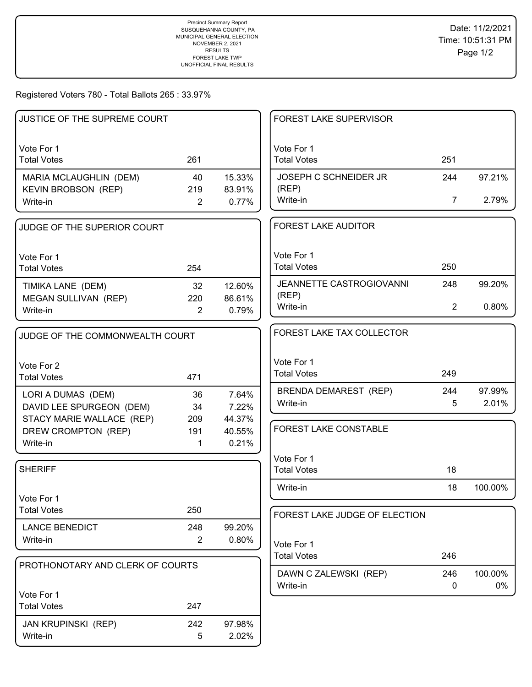Registered Voters 780 - Total Ballots 265 : 33.97%

| <b>JUSTICE OF THE SUPREME COURT</b> |                |                 | <b>FOREST LAKE SUPERVISOR</b>            |                    |                 |
|-------------------------------------|----------------|-----------------|------------------------------------------|--------------------|-----------------|
| Vote For 1                          |                |                 | Vote For 1                               |                    |                 |
| <b>Total Votes</b>                  | 261            |                 | <b>Total Votes</b>                       | 251                |                 |
| MARIA MCLAUGHLIN (DEM)              | 40             | 15.33%          | JOSEPH C SCHNEIDER JR                    | 244                | 97.21%          |
| <b>KEVIN BROBSON (REP)</b>          | 219            | 83.91%          | (REP)                                    |                    |                 |
| Write-in                            | $\overline{2}$ | 0.77%           | Write-in                                 | 7                  | 2.79%           |
| JUDGE OF THE SUPERIOR COURT         |                |                 | <b>FOREST LAKE AUDITOR</b>               |                    |                 |
| Vote For 1                          |                |                 | Vote For 1                               |                    |                 |
| <b>Total Votes</b>                  | 254            |                 | <b>Total Votes</b>                       | 250                |                 |
| TIMIKA LANE (DEM)                   | 32             | 12.60%          | JEANNETTE CASTROGIOVANNI                 | 248                | 99.20%          |
| MEGAN SULLIVAN (REP)                | 220            | 86.61%          | (REP)                                    |                    |                 |
| Write-in                            | $\overline{2}$ | 0.79%           | Write-in                                 | $\overline{2}$     | 0.80%           |
| JUDGE OF THE COMMONWEALTH COURT     |                |                 | FOREST LAKE TAX COLLECTOR                |                    |                 |
|                                     |                |                 | Vote For 1                               |                    |                 |
| Vote For 2                          |                |                 | <b>Total Votes</b>                       | 249                |                 |
| <b>Total Votes</b>                  | 471            |                 |                                          |                    |                 |
| LORI A DUMAS (DEM)                  | 36             | 7.64%           | <b>BRENDA DEMAREST (REP)</b><br>Write-in | 244<br>5           | 97.99%<br>2.01% |
| DAVID LEE SPURGEON (DEM)            | 34             | 7.22%           |                                          |                    |                 |
| STACY MARIE WALLACE (REP)           | 209            | 44.37%          | FOREST LAKE CONSTABLE                    |                    |                 |
| DREW CROMPTON (REP)<br>Write-in     | 191<br>1       | 40.55%<br>0.21% |                                          |                    |                 |
|                                     |                |                 |                                          |                    |                 |
| <b>SHERIFF</b>                      |                |                 | Vote For 1<br><b>Total Votes</b>         | 18                 |                 |
|                                     |                |                 |                                          |                    |                 |
| Vote For 1                          |                |                 | Write-in                                 | 18                 | 100.00%         |
| <b>Total Votes</b>                  | 250            |                 |                                          |                    |                 |
| <b>LANCE BENEDICT</b>               | 248            | 99.20%          | FOREST LAKE JUDGE OF ELECTION            |                    |                 |
| Write-in                            | $\overline{2}$ | 0.80%           |                                          |                    |                 |
|                                     |                |                 | Vote For 1<br><b>Total Votes</b>         | 246                |                 |
| PROTHONOTARY AND CLERK OF COURTS    |                |                 |                                          |                    |                 |
|                                     |                |                 | DAWN C ZALEWSKI (REP)<br>Write-in        | 246<br>$\mathbf 0$ | 100.00%<br>0%   |
| Vote For 1                          |                |                 |                                          |                    |                 |
| <b>Total Votes</b>                  | 247            |                 |                                          |                    |                 |
| <b>JAN KRUPINSKI (REP)</b>          | 242            | 97.98%          |                                          |                    |                 |
| Write-in                            | 5              | 2.02%           |                                          |                    |                 |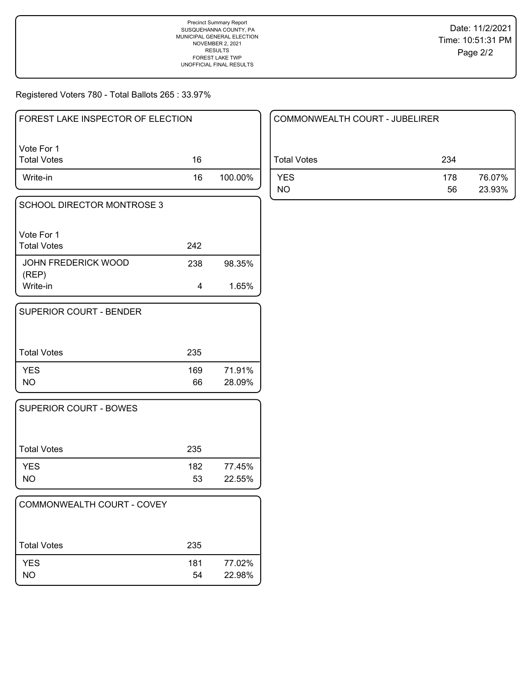Registered Voters 780 - Total Ballots 265 : 33.97%

| l FOREST LAKE INSPECTOR OF ELECTION |    |         |
|-------------------------------------|----|---------|
| Vote For 1<br>  Total Votes         | 16 |         |
| Write-in                            | 16 | 100.00% |

| <b>SCHOOL DIRECTOR MONTROSE 3</b>   |     |        |
|-------------------------------------|-----|--------|
| Vote For 1<br><b>Total Votes</b>    | 242 |        |
| <b>JOHN FREDERICK WOOD</b><br>(REP) | 238 | 98.35% |
| Write-in                            | 4   | 1.65%  |

| SUPERIOR COURT - BENDER |           |                  |
|-------------------------|-----------|------------------|
| <b>Total Votes</b>      | 235       |                  |
| <b>YES</b><br>NO.       | 169<br>66 | 71.91%<br>28.09% |

| <b>SUPERIOR COURT - BOWES</b> |           |                  |
|-------------------------------|-----------|------------------|
| Total Votes                   | 235       |                  |
| <b>YES</b><br>NO.             | 182<br>53 | 77.45%<br>22.55% |

| COMMONWEALTH COURT - COVEY |           |                  |
|----------------------------|-----------|------------------|
| <b>Total Votes</b>         | 235       |                  |
| <b>YES</b><br>NΟ           | 181<br>54 | 77.02%<br>22.98% |

| COMMONWEALTH COURT - JUBELIRER |           |                  |
|--------------------------------|-----------|------------------|
| Total Votes                    | 234       |                  |
| <b>YES</b><br>NO               | 178<br>56 | 76.07%<br>23.93% |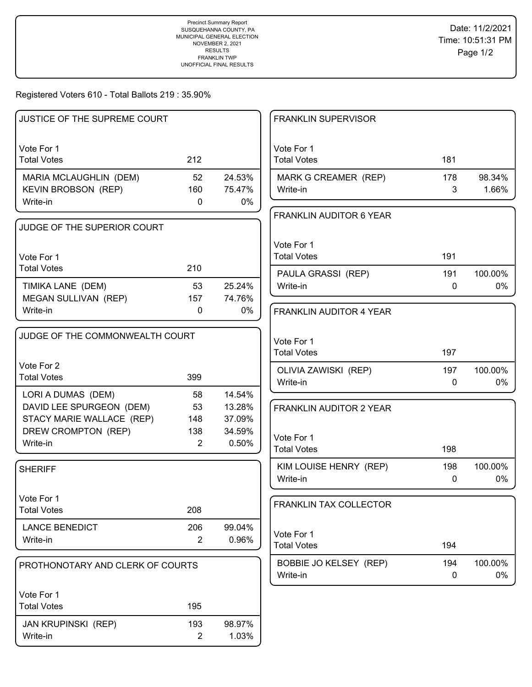## Registered Voters 610 - Total Ballots 219 : 35.90%

| JUSTICE OF THE SUPREME COURT     |                |        | <b>FRANKLIN SUPERVISOR</b>       |          |               |
|----------------------------------|----------------|--------|----------------------------------|----------|---------------|
| Vote For 1                       |                |        | Vote For 1                       |          |               |
| <b>Total Votes</b>               | 212            |        | <b>Total Votes</b>               | 181      |               |
| MARIA MCLAUGHLIN (DEM)           | 52             | 24.53% | MARK G CREAMER (REP)             | 178      | 98.34%        |
| <b>KEVIN BROBSON (REP)</b>       | 160            | 75.47% | Write-in                         | 3        | 1.66%         |
| Write-in                         | $\mathbf 0$    | $0\%$  |                                  |          |               |
|                                  |                |        | <b>FRANKLIN AUDITOR 6 YEAR</b>   |          |               |
| JUDGE OF THE SUPERIOR COURT      |                |        |                                  |          |               |
|                                  |                |        | Vote For 1                       |          |               |
| Vote For 1                       |                |        | <b>Total Votes</b>               | 191      |               |
| <b>Total Votes</b>               | 210            |        | PAULA GRASSI (REP)               | 191      | 100.00%       |
| TIMIKA LANE (DEM)                | 53             | 25.24% | Write-in                         | 0        | 0%            |
| MEGAN SULLIVAN (REP)             | 157            | 74.76% |                                  |          |               |
| Write-in                         | 0              | 0%     | <b>FRANKLIN AUDITOR 4 YEAR</b>   |          |               |
|                                  |                |        |                                  |          |               |
| JUDGE OF THE COMMONWEALTH COURT  |                |        | Vote For 1                       |          |               |
|                                  |                |        | <b>Total Votes</b>               | 197      |               |
| Vote For 2                       |                |        |                                  |          |               |
| <b>Total Votes</b>               | 399            |        | OLIVIA ZAWISKI (REP)<br>Write-in | 197<br>0 | 100.00%<br>0% |
| LORI A DUMAS (DEM)               | 58             | 14.54% |                                  |          |               |
| DAVID LEE SPURGEON (DEM)         | 53             | 13.28% | <b>FRANKLIN AUDITOR 2 YEAR</b>   |          |               |
| STACY MARIE WALLACE (REP)        | 148            | 37.09% |                                  |          |               |
| DREW CROMPTON (REP)              | 138            | 34.59% |                                  |          |               |
| Write-in                         | 2              | 0.50%  | Vote For 1<br><b>Total Votes</b> | 198      |               |
|                                  |                |        |                                  |          |               |
| <b>SHERIFF</b>                   |                |        | KIM LOUISE HENRY (REP)           | 198      | 100.00%       |
|                                  |                |        | Write-in                         | 0        | 0%            |
| Vote For 1                       |                |        |                                  |          |               |
| <b>Total Votes</b>               | 208            |        | FRANKLIN TAX COLLECTOR           |          |               |
| <b>LANCE BENEDICT</b>            | 206            | 99.04% |                                  |          |               |
| Write-in                         | $\overline{2}$ | 0.96%  | Vote For 1                       |          |               |
|                                  |                |        | <b>Total Votes</b>               | 194      |               |
| PROTHONOTARY AND CLERK OF COURTS |                |        | BOBBIE JO KELSEY (REP)           | 194      | 100.00%       |
|                                  |                |        | Write-in                         | 0        | 0%            |
| Vote For 1                       |                |        |                                  |          |               |
| <b>Total Votes</b>               | 195            |        |                                  |          |               |
|                                  |                |        |                                  |          |               |
| <b>JAN KRUPINSKI (REP)</b>       | 193            | 98.97% |                                  |          |               |
| Write-in                         | $\overline{2}$ | 1.03%  |                                  |          |               |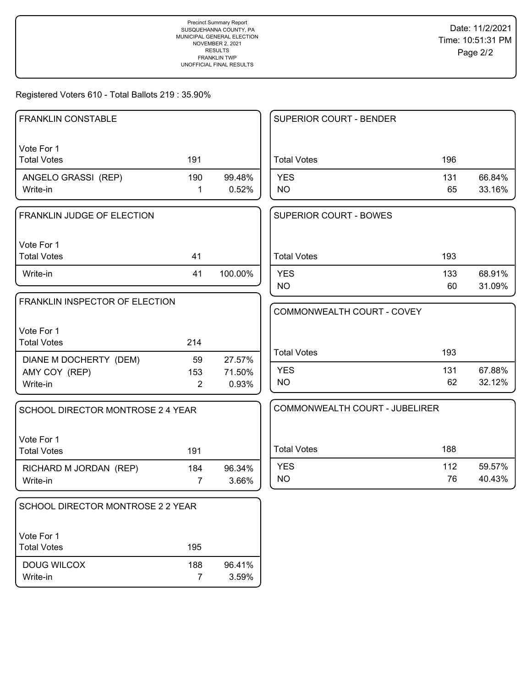# Registered Voters 610 - Total Ballots 219 : 35.90%

| <b>FRANKLIN CONSTABLE</b>         |                       |                 | SUPERIOR COURT - BENDER        |           |                  |
|-----------------------------------|-----------------------|-----------------|--------------------------------|-----------|------------------|
| Vote For 1                        |                       |                 |                                |           |                  |
| <b>Total Votes</b>                | 191                   |                 | <b>Total Votes</b>             | 196       |                  |
| ANGELO GRASSI (REP)               | 190                   | 99.48%          | <b>YES</b>                     | 131       | 66.84%           |
| Write-in                          | $\mathbf{1}$          | 0.52%           | <b>NO</b>                      | 65        | 33.16%           |
| FRANKLIN JUDGE OF ELECTION        |                       |                 | <b>SUPERIOR COURT - BOWES</b>  |           |                  |
| Vote For 1                        |                       |                 |                                |           |                  |
| <b>Total Votes</b>                | 41                    |                 | <b>Total Votes</b>             | 193       |                  |
| Write-in                          | 41                    | 100.00%         | <b>YES</b>                     | 133       | 68.91%           |
|                                   |                       |                 | <b>NO</b>                      | 60        | 31.09%           |
| FRANKLIN INSPECTOR OF ELECTION    |                       |                 | COMMONWEALTH COURT - COVEY     |           |                  |
| Vote For 1                        |                       |                 |                                |           |                  |
| <b>Total Votes</b>                | 214                   |                 |                                |           |                  |
| DIANE M DOCHERTY (DEM)            | 59                    | 27.57%          | <b>Total Votes</b>             | 193       |                  |
| AMY COY (REP)                     | 153                   | 71.50%          | <b>YES</b>                     | 131       | 67.88%           |
| Write-in                          | $\overline{2}$        | 0.93%           | <b>NO</b>                      | 62        | 32.12%           |
| SCHOOL DIRECTOR MONTROSE 2 4 YEAR |                       |                 | COMMONWEALTH COURT - JUBELIRER |           |                  |
|                                   |                       |                 |                                |           |                  |
| Vote For 1                        |                       |                 |                                |           |                  |
| <b>Total Votes</b>                | 191                   |                 | <b>Total Votes</b>             | 188       |                  |
| RICHARD M JORDAN (REP)            | 184                   | 96.34%          | <b>YES</b><br><b>NO</b>        | 112<br>76 | 59.57%<br>40.43% |
| Write-in                          | $\overline{7}$        | 3.66%           |                                |           |                  |
| SCHOOL DIRECTOR MONTROSE 2 2 YEAR |                       |                 |                                |           |                  |
|                                   |                       |                 |                                |           |                  |
| Vote For 1                        |                       |                 |                                |           |                  |
| <b>Total Votes</b>                | 195                   |                 |                                |           |                  |
| DOUG WILCOX<br>Write-in           | 188<br>$\overline{7}$ | 96.41%<br>3.59% |                                |           |                  |
|                                   |                       |                 |                                |           |                  |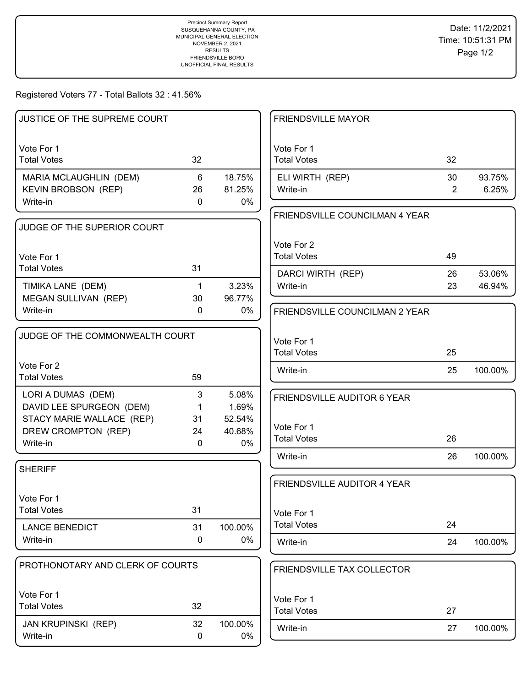# Registered Voters 77 - Total Ballots 32 : 41.56%

| JUSTICE OF THE SUPREME COURT     |              |         | <b>FRIENDSVILLE MAYOR</b>             |                |         |
|----------------------------------|--------------|---------|---------------------------------------|----------------|---------|
|                                  |              |         |                                       |                |         |
| Vote For 1                       |              |         | Vote For 1                            |                |         |
| <b>Total Votes</b>               | 32           |         | <b>Total Votes</b>                    | 32             |         |
| MARIA MCLAUGHLIN (DEM)           | 6            | 18.75%  | ELI WIRTH (REP)                       | 30             | 93.75%  |
| KEVIN BROBSON (REP)              | 26           | 81.25%  | Write-in                              | $\overline{2}$ | 6.25%   |
| Write-in                         | $\mathbf 0$  | 0%      |                                       |                |         |
|                                  |              |         | <b>FRIENDSVILLE COUNCILMAN 4 YEAR</b> |                |         |
| JUDGE OF THE SUPERIOR COURT      |              |         |                                       |                |         |
|                                  |              |         | Vote For 2                            |                |         |
| Vote For 1                       |              |         | <b>Total Votes</b>                    | 49             |         |
| <b>Total Votes</b>               | 31           |         | DARCI WIRTH (REP)                     | 26             | 53.06%  |
| TIMIKA LANE (DEM)                | $\mathbf{1}$ | 3.23%   | Write-in                              | 23             | 46.94%  |
| MEGAN SULLIVAN (REP)             | 30           | 96.77%  |                                       |                |         |
| Write-in                         | $\mathbf{0}$ | $0\%$   | FRIENDSVILLE COUNCILMAN 2 YEAR        |                |         |
|                                  |              |         |                                       |                |         |
| JUDGE OF THE COMMONWEALTH COURT  |              |         | Vote For 1                            |                |         |
|                                  |              |         | <b>Total Votes</b>                    | 25             |         |
| Vote For 2                       |              |         | Write-in                              | 25             | 100.00% |
| <b>Total Votes</b>               | 59           |         |                                       |                |         |
| LORI A DUMAS (DEM)               | 3            | 5.08%   | FRIENDSVILLE AUDITOR 6 YEAR           |                |         |
| DAVID LEE SPURGEON (DEM)         | $\mathbf{1}$ | 1.69%   |                                       |                |         |
| STACY MARIE WALLACE (REP)        | 31           | 52.54%  |                                       |                |         |
| DREW CROMPTON (REP)              | 24           | 40.68%  | Vote For 1                            |                |         |
| Write-in                         | $\mathbf{0}$ | 0%      | <b>Total Votes</b>                    | 26             |         |
|                                  |              |         | Write-in                              | 26             | 100.00% |
| <b>SHERIFF</b>                   |              |         |                                       |                |         |
|                                  |              |         | FRIENDSVILLE AUDITOR 4 YEAR           |                |         |
| Vote For 1                       |              |         |                                       |                |         |
| <b>Total Votes</b>               | 31           |         | Vote For 1                            |                |         |
| <b>LANCE BENEDICT</b>            | 31           | 100.00% | <b>Total Votes</b>                    | 24             |         |
| Write-in                         | 0            | 0%      | Write-in                              | 24             | 100.00% |
|                                  |              |         |                                       |                |         |
| PROTHONOTARY AND CLERK OF COURTS |              |         | FRIENDSVILLE TAX COLLECTOR            |                |         |
|                                  |              |         |                                       |                |         |
| Vote For 1                       |              |         | Vote For 1                            |                |         |
| <b>Total Votes</b>               | 32           |         | <b>Total Votes</b>                    | 27             |         |
| <b>JAN KRUPINSKI (REP)</b>       | 32           | 100.00% |                                       |                |         |
| Write-in                         | 0            | 0%      | Write-in                              | 27             | 100.00% |
|                                  |              |         |                                       |                |         |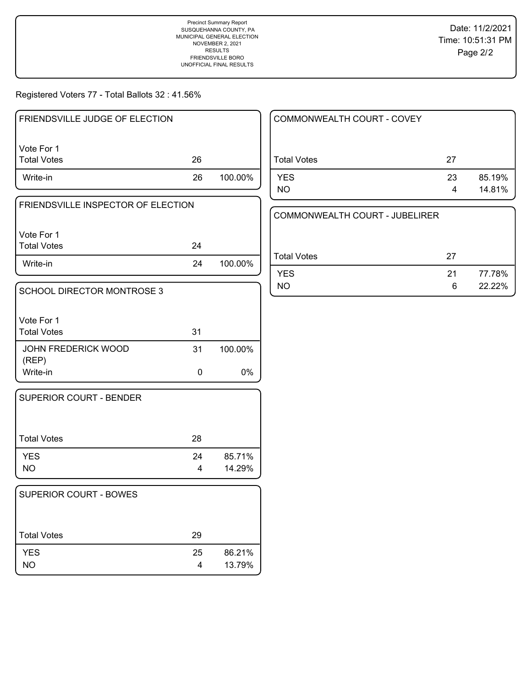Precinct Summary Report SUSQUEHANNA COUNTY, PA MUNICIPAL GENERAL ELECTION NOVEMBER 2, 2021 RESULTS FRIENDSVILLE BORO UNOFFICIAL FINAL RESULTS

Registered Voters 77 - Total Ballots 32 : 41.56%

| FRIENDSVILLE JUDGE OF ELECTION |    |         |
|--------------------------------|----|---------|
| I Vote For 1<br>  Total Votes  | 26 |         |
| Write-in                       | 26 | 100.00% |

| Write-in                           | 24 | 100.00% |
|------------------------------------|----|---------|
| Total Votes                        | 24 |         |
| Vote For 1                         |    |         |
|                                    |    |         |
| FRIENDSVILLE INSPECTOR OF ELECTION |    |         |

| SCHOOL DIRECTOR MONTROSE 3       |    |         |
|----------------------------------|----|---------|
| Vote For 1<br><b>Total Votes</b> | 31 |         |
| JOHN FREDERICK WOOD<br>(REP)     | 31 | 100.00% |
| Write-in                         | O  | በ%      |

| 28 |        |
|----|--------|
| 24 | 85.71% |
| 4  | 14.29% |
|    |        |

| <b>SUPERIOR COURT - BOWES</b> |         |                  |
|-------------------------------|---------|------------------|
| <b>Total Votes</b>            | 29      |                  |
| <b>YES</b><br><b>NO</b>       | 25<br>4 | 86.21%<br>13.79% |

| COMMONWEALTH COURT - COVEY |         |                  |
|----------------------------|---------|------------------|
| <b>Total Votes</b>         | 27      |                  |
| <b>YES</b><br>NO.          | 23<br>4 | 85.19%<br>14.81% |

|             | COMMONWEALTH COURT - JUBELIRER |     |        |
|-------------|--------------------------------|-----|--------|
| Total Votes |                                | 27  |        |
| YFS         |                                | -21 | 77.78% |
| NΟ          |                                | 6   | 22.22% |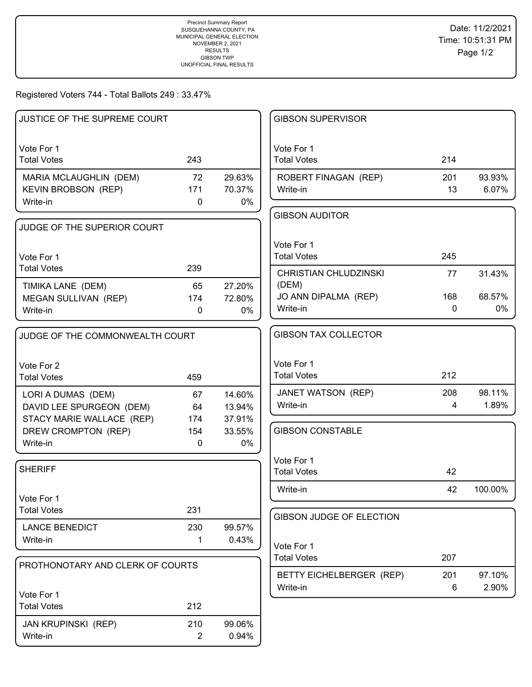## Registered Voters 744 - Total Ballots 249 : 33.47%

| JUSTICE OF THE SUPREME COURT                          |                |                  | <b>GIBSON SUPERVISOR</b>              |             |                 |
|-------------------------------------------------------|----------------|------------------|---------------------------------------|-------------|-----------------|
| Vote For 1                                            |                |                  | Vote For 1                            |             |                 |
| <b>Total Votes</b>                                    | 243            |                  | <b>Total Votes</b>                    | 214         |                 |
| MARIA MCLAUGHLIN (DEM)                                | 72             | 29.63%           | ROBERT FINAGAN (REP)                  | 201         | 93.93%          |
| <b>KEVIN BROBSON (REP)</b>                            | 171            | 70.37%           | Write-in                              | 13          | 6.07%           |
| Write-in                                              | $\mathbf 0$    | 0%               |                                       |             |                 |
| JUDGE OF THE SUPERIOR COURT                           |                |                  | <b>GIBSON AUDITOR</b>                 |             |                 |
|                                                       |                |                  |                                       |             |                 |
| Vote For 1                                            |                |                  | Vote For 1<br><b>Total Votes</b>      | 245         |                 |
| <b>Total Votes</b>                                    | 239            |                  |                                       |             |                 |
| TIMIKA LANE (DEM)                                     | 65             | 27.20%           | <b>CHRISTIAN CHLUDZINSKI</b><br>(DEM) | 77          | 31.43%          |
| MEGAN SULLIVAN (REP)                                  | 174            | 72.80%           | JO ANN DIPALMA (REP)                  | 168         | 68.57%          |
| Write-in                                              | $\mathbf 0$    | 0%               | Write-in                              | $\mathbf 0$ | 0%              |
|                                                       |                |                  |                                       |             |                 |
| JUDGE OF THE COMMONWEALTH COURT                       |                |                  | <b>GIBSON TAX COLLECTOR</b>           |             |                 |
|                                                       |                |                  |                                       |             |                 |
| Vote For 2<br><b>Total Votes</b>                      | 459            |                  | Vote For 1<br><b>Total Votes</b>      | 212         |                 |
|                                                       |                |                  |                                       |             |                 |
| LORI A DUMAS (DEM)                                    | 67<br>64       | 14.60%<br>13.94% | JANET WATSON (REP)<br>Write-in        | 208<br>4    | 98.11%<br>1.89% |
| DAVID LEE SPURGEON (DEM)<br>STACY MARIE WALLACE (REP) | 174            | 37.91%           |                                       |             |                 |
| DREW CROMPTON (REP)                                   | 154            | 33.55%           | <b>GIBSON CONSTABLE</b>               |             |                 |
| Write-in                                              | 0              | 0%               |                                       |             |                 |
|                                                       |                |                  | Vote For 1                            |             |                 |
| <b>SHERIFF</b>                                        |                |                  | <b>Total Votes</b>                    | 42          |                 |
|                                                       |                |                  | Write-in                              | 42          | 100.00%         |
| Vote For 1                                            |                |                  |                                       |             |                 |
| <b>Total Votes</b>                                    | 231            |                  | GIBSON JUDGE OF ELECTION              |             |                 |
| <b>LANCE BENEDICT</b>                                 | 230            | 99.57%           |                                       |             |                 |
| Write-in                                              | 1              | 0.43%            | Vote For 1                            |             |                 |
| PROTHONOTARY AND CLERK OF COURTS                      |                |                  | <b>Total Votes</b>                    | 207         |                 |
|                                                       |                |                  | BETTY EICHELBERGER (REP)              | 201         | 97.10%          |
| Vote For 1                                            |                |                  | Write-in                              | 6           | 2.90%           |
| <b>Total Votes</b>                                    | 212            |                  |                                       |             |                 |
| <b>JAN KRUPINSKI (REP)</b>                            | 210            | 99.06%           |                                       |             |                 |
| Write-in                                              | $\overline{2}$ | 0.94%            |                                       |             |                 |
|                                                       |                |                  |                                       |             |                 |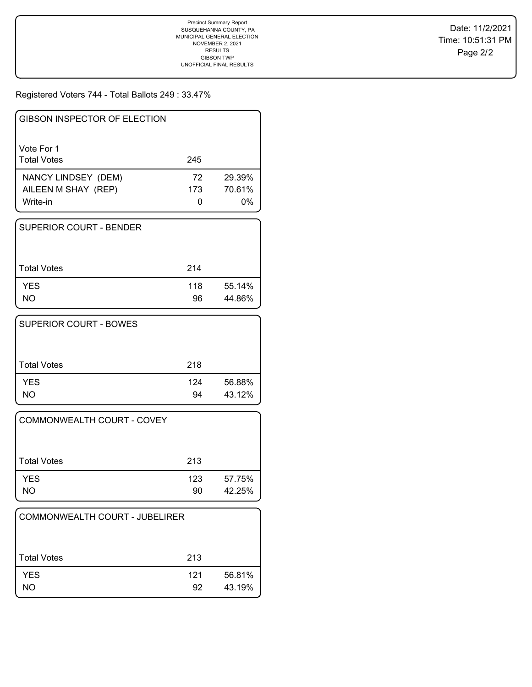Registered Voters 744 - Total Ballots 249 : 33.47%

| GIBSON INSPECTOR OF ELECTION     |               |              |
|----------------------------------|---------------|--------------|
| Vote For 1<br><b>Total Votes</b> | 245           |              |
| NANCY LINDSEY (DEM)              | 72<br>173     | 29.39%       |
| AILEEN M SHAY (REP)<br>Write-in  | $\mathcal{L}$ | 70.61%<br>0% |

| <b>SUPERIOR COURT - BENDER</b> |           |                  |
|--------------------------------|-----------|------------------|
| l Total Votes                  | 214       |                  |
| <b>YES</b><br><b>NO</b>        | 118<br>96 | 55.14%<br>44.86% |

| <b>SUPERIOR COURT - BOWES</b> |           |                  |
|-------------------------------|-----------|------------------|
| <b>Total Votes</b>            | 218       |                  |
| <b>YES</b><br>NΟ              | 124<br>94 | 56.88%<br>43.12% |

| COMMONWEALTH COURT - COVEY |           |                  |
|----------------------------|-----------|------------------|
| Total Votes                | 213       |                  |
| <b>YES</b><br><b>NO</b>    | 123<br>90 | 57.75%<br>42.25% |

| COMMONWEALTH COURT - JUBELIRER |           |                  |
|--------------------------------|-----------|------------------|
| <b>Total Votes</b>             | 213       |                  |
| <b>YES</b><br>NO.              | 121<br>92 | 56.81%<br>43.19% |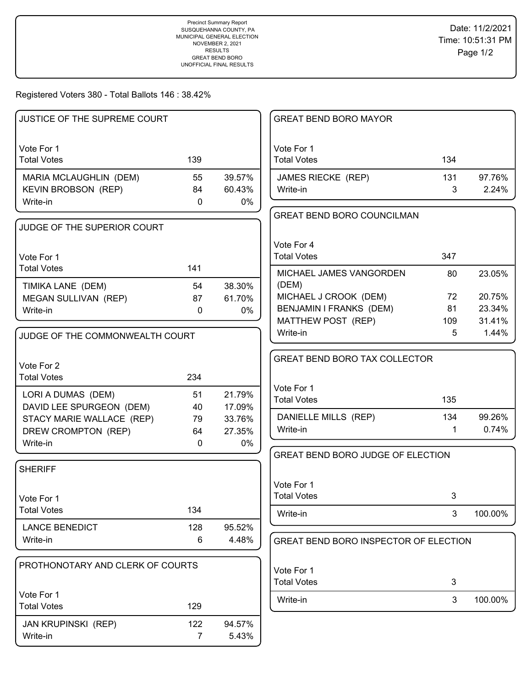Registered Voters 380 - Total Ballots 146 : 38.42%

| JUSTICE OF THE SUPREME COURT     |                |        | <b>GREAT BEND BORO MAYOR</b>          |     |         |
|----------------------------------|----------------|--------|---------------------------------------|-----|---------|
|                                  |                |        |                                       |     |         |
| Vote For 1                       |                |        | Vote For 1                            |     |         |
| <b>Total Votes</b>               | 139            |        | <b>Total Votes</b>                    | 134 |         |
| MARIA MCLAUGHLIN (DEM)           | 55             | 39.57% | JAMES RIECKE (REP)                    | 131 | 97.76%  |
| KEVIN BROBSON (REP)              | 84             | 60.43% | Write-in                              | 3   | 2.24%   |
| Write-in                         | $\mathbf{0}$   | 0%     |                                       |     |         |
|                                  |                |        | <b>GREAT BEND BORO COUNCILMAN</b>     |     |         |
| JUDGE OF THE SUPERIOR COURT      |                |        |                                       |     |         |
|                                  |                |        | Vote For 4                            |     |         |
| Vote For 1                       |                |        | <b>Total Votes</b>                    | 347 |         |
| <b>Total Votes</b>               | 141            |        | MICHAEL JAMES VANGORDEN               | 80  | 23.05%  |
| TIMIKA LANE (DEM)                | 54             | 38.30% | (DEM)                                 |     |         |
| MEGAN SULLIVAN (REP)             | 87             | 61.70% | MICHAEL J CROOK (DEM)                 | 72  | 20.75%  |
| Write-in                         | $\mathbf{0}$   | 0%     | BENJAMIN I FRANKS (DEM)               | 81  | 23.34%  |
|                                  |                |        | MATTHEW POST (REP)                    | 109 | 31.41%  |
| JUDGE OF THE COMMONWEALTH COURT  |                |        | Write-in                              | 5   | 1.44%   |
|                                  |                |        |                                       |     |         |
| Vote For 2                       |                |        | <b>GREAT BEND BORO TAX COLLECTOR</b>  |     |         |
| <b>Total Votes</b>               | 234            |        |                                       |     |         |
| LORI A DUMAS (DEM)               | 51             | 21.79% | Vote For 1                            |     |         |
| DAVID LEE SPURGEON (DEM)         | 40             | 17.09% | <b>Total Votes</b>                    | 135 |         |
| STACY MARIE WALLACE (REP)        | 79             | 33.76% | DANIELLE MILLS (REP)                  | 134 | 99.26%  |
| DREW CROMPTON (REP)              | 64             | 27.35% | Write-in                              | 1   | 0.74%   |
| Write-in                         | $\mathbf 0$    | 0%     |                                       |     |         |
|                                  |                |        | GREAT BEND BORO JUDGE OF ELECTION     |     |         |
| <b>SHERIFF</b>                   |                |        |                                       |     |         |
|                                  |                |        | Vote For 1                            |     |         |
| Vote For 1                       |                |        | <b>Total Votes</b>                    | 3   |         |
| <b>Total Votes</b>               | 134            |        | Write-in                              | 3   | 100.00% |
| <b>LANCE BENEDICT</b>            | 128            | 95.52% |                                       |     |         |
| Write-in                         | 6              | 4.48%  | GREAT BEND BORO INSPECTOR OF ELECTION |     |         |
|                                  |                |        |                                       |     |         |
| PROTHONOTARY AND CLERK OF COURTS |                |        | Vote For 1                            |     |         |
|                                  |                |        | <b>Total Votes</b>                    | 3   |         |
| Vote For 1                       |                |        | Write-in                              | 3   | 100.00% |
| <b>Total Votes</b>               | 129            |        |                                       |     |         |
| <b>JAN KRUPINSKI (REP)</b>       | 122            | 94.57% |                                       |     |         |
| Write-in                         | $\overline{7}$ | 5.43%  |                                       |     |         |
|                                  |                |        |                                       |     |         |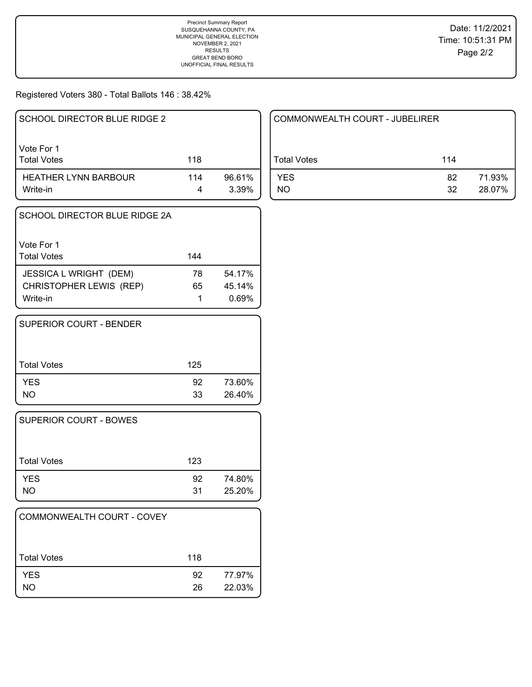Registered Voters 380 - Total Ballots 146 : 38.42%

| SCHOOL DIRECTOR BLUE RIDGE 2            |     |                 |
|-----------------------------------------|-----|-----------------|
| Vote For 1<br><b>Total Votes</b>        | 118 |                 |
| <b>HEATHER LYNN BARBOUR</b><br>Write-in | 114 | 96.61%<br>3.39% |

| SCHOOL DIRECTOR BLUE RIDGE 2A       |     |                 |
|-------------------------------------|-----|-----------------|
| Vote For 1<br><b>Total Votes</b>    | 144 |                 |
| <b>JESSICA L WRIGHT (DEM)</b>       | 78  | 54.17%          |
| CHRISTOPHER LEWIS (REP)<br>Write-in | 65  | 45.14%<br>0.69% |

| SUPERIOR COURT - BENDER |     |        |
|-------------------------|-----|--------|
| <b>Total Votes</b>      | 125 |        |
| <b>YES</b>              | 92  | 73.60% |
| NO.                     | 33  | 26.40% |

| <b>SUPERIOR COURT - BOWES</b> |          |                  |
|-------------------------------|----------|------------------|
| Total Votes                   | 123      |                  |
| <b>YES</b><br>NO              | 92<br>31 | 74.80%<br>25.20% |

| COMMONWEALTH COURT - COVEY |          |                  |
|----------------------------|----------|------------------|
| <b>Total Votes</b>         | 118      |                  |
| <b>YES</b><br><b>NO</b>    | 92<br>26 | 77.97%<br>22.03% |

| COMMONWEALTH COURT - JUBELIRER |           |                  |
|--------------------------------|-----------|------------------|
| Total Votes                    | 114       |                  |
| <b>YES</b><br>NO.              | 82.<br>32 | 71.93%<br>28.07% |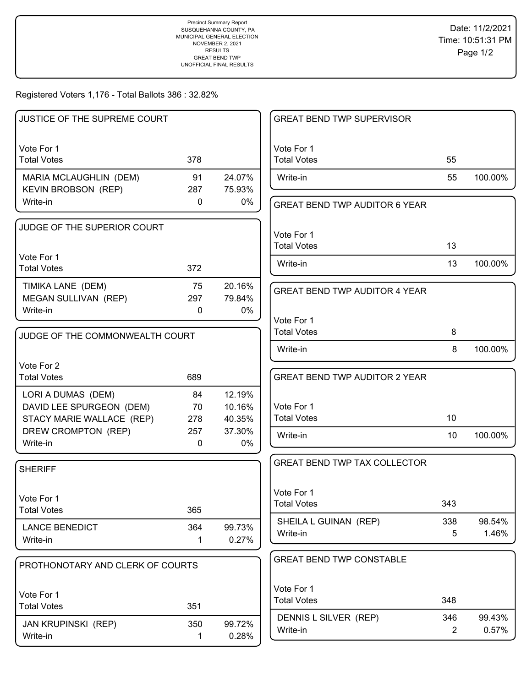Registered Voters 1,176 - Total Ballots 386 : 32.82%

| JUSTICE OF THE SUPREME COURT                         |             |                  | <b>GREAT BEND TWP SUPERVISOR</b>     |                |         |
|------------------------------------------------------|-------------|------------------|--------------------------------------|----------------|---------|
| Vote For 1                                           |             |                  | Vote For 1                           |                |         |
| <b>Total Votes</b>                                   | 378         |                  | <b>Total Votes</b>                   | 55             |         |
| MARIA MCLAUGHLIN (DEM)<br><b>KEVIN BROBSON (REP)</b> | 91<br>287   | 24.07%<br>75.93% | Write-in                             | 55             | 100.00% |
| Write-in                                             | 0           | 0%               | <b>GREAT BEND TWP AUDITOR 6 YEAR</b> |                |         |
| JUDGE OF THE SUPERIOR COURT                          |             |                  | Vote For 1                           |                |         |
|                                                      |             |                  | <b>Total Votes</b>                   | 13             |         |
| Vote For 1                                           |             |                  | Write-in                             | 13             | 100.00% |
| <b>Total Votes</b>                                   | 372         |                  |                                      |                |         |
| TIMIKA LANE (DEM)                                    | 75          | 20.16%           | <b>GREAT BEND TWP AUDITOR 4 YEAR</b> |                |         |
| MEGAN SULLIVAN (REP)                                 | 297         | 79.84%           |                                      |                |         |
| Write-in                                             | $\Omega$    | 0%               | Vote For 1                           |                |         |
| JUDGE OF THE COMMONWEALTH COURT                      |             |                  | <b>Total Votes</b>                   | 8              |         |
|                                                      |             |                  | Write-in                             | 8              | 100.00% |
| Vote For 2                                           |             |                  |                                      |                |         |
| <b>Total Votes</b>                                   | 689         |                  | <b>GREAT BEND TWP AUDITOR 2 YEAR</b> |                |         |
| LORI A DUMAS (DEM)                                   | 84          | 12.19%           |                                      |                |         |
| DAVID LEE SPURGEON (DEM)                             | 70          | 10.16%           | Vote For 1                           |                |         |
| STACY MARIE WALLACE (REP)                            | 278         | 40.35%           | <b>Total Votes</b>                   | 10             |         |
| DREW CROMPTON (REP)                                  | 257         | 37.30%           | Write-in                             | 10             | 100.00% |
| Write-in                                             | $\mathbf 0$ | 0%               |                                      |                |         |
| <b>SHERIFF</b>                                       |             |                  | <b>GREAT BEND TWP TAX COLLECTOR</b>  |                |         |
|                                                      |             |                  |                                      |                |         |
| Vote For 1                                           |             |                  | Vote For 1                           |                |         |
| <b>Total Votes</b>                                   | 365         |                  | <b>Total Votes</b>                   | 343            |         |
| <b>LANCE BENEDICT</b>                                | 364         | 99.73%           | SHEILA L GUINAN (REP)                | 338            | 98.54%  |
| Write-in                                             | 1           | 0.27%            | Write-in                             | 5              | 1.46%   |
|                                                      |             |                  | <b>GREAT BEND TWP CONSTABLE</b>      |                |         |
| PROTHONOTARY AND CLERK OF COURTS                     |             |                  |                                      |                |         |
| Vote For 1                                           |             |                  | Vote For 1                           |                |         |
| <b>Total Votes</b>                                   | 351         |                  | <b>Total Votes</b>                   | 348            |         |
|                                                      | 350         | 99.72%           | DENNIS L SILVER (REP)                | 346            | 99.43%  |
| JAN KRUPINSKI (REP)<br>Write-in                      | 1           | 0.28%            | Write-in                             | $\overline{2}$ | 0.57%   |
|                                                      |             |                  |                                      |                |         |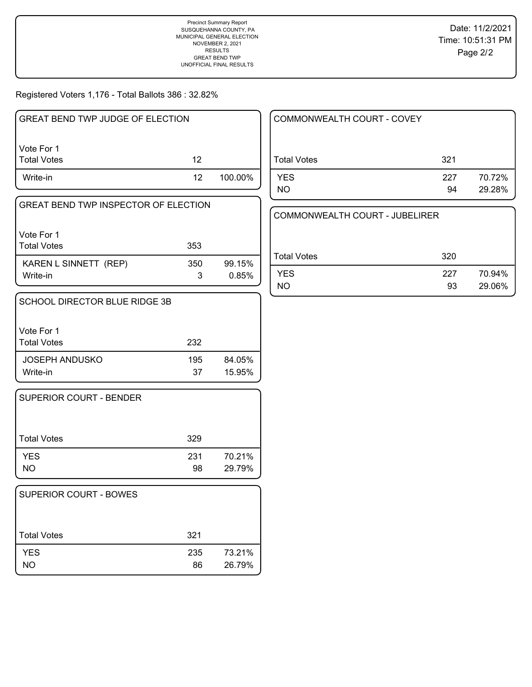Registered Voters 1,176 - Total Ballots 386 : 32.82%

| GREAT BEND TWP JUDGE OF ELECTION |                 |         |
|----------------------------------|-----------------|---------|
| Vote For 1<br>l Total Votes      | 12              |         |
| Write-in                         | 12 <sup>°</sup> | 100.00% |

| GREAT BEND TWP INSPECTOR OF ELECTION |          |                 |
|--------------------------------------|----------|-----------------|
| l Vote For 1<br>l Total Votes        | 353      |                 |
| KAREN L SINNETT (REP)<br>Write-in    | 350<br>3 | 99.15%<br>0.85% |

| <b>SCHOOL DIRECTOR BLUE RIDGE 3B</b> |           |                  |
|--------------------------------------|-----------|------------------|
| Vote For 1<br><b>Total Votes</b>     | 232       |                  |
| <b>JOSEPH ANDUSKO</b><br>Write-in    | 195<br>37 | 84.05%<br>15.95% |

| <b>SUPERIOR COURT - BENDER</b> |           |                  |
|--------------------------------|-----------|------------------|
| Total Votes                    | 329       |                  |
| <b>YES</b><br><b>NO</b>        | 231<br>98 | 70.21%<br>29.79% |

| <b>SUPERIOR COURT - BOWES</b> |           |                  |
|-------------------------------|-----------|------------------|
| <b>Total Votes</b>            | 321       |                  |
| <b>YES</b><br>NO.             | 235<br>86 | 73.21%<br>26.79% |

| COMMONWEALTH COURT - COVEY |           |                  |
|----------------------------|-----------|------------------|
| <b>Total Votes</b>         | 321       |                  |
| <b>YES</b><br><b>NO</b>    | 227<br>94 | 70.72%<br>29.28% |

COMMONWEALTH COURT - JUBELIRER

| Total Votes | 320 |        |
|-------------|-----|--------|
| YES         | 227 | 70.94% |
| <b>NO</b>   | 93  | 29.06% |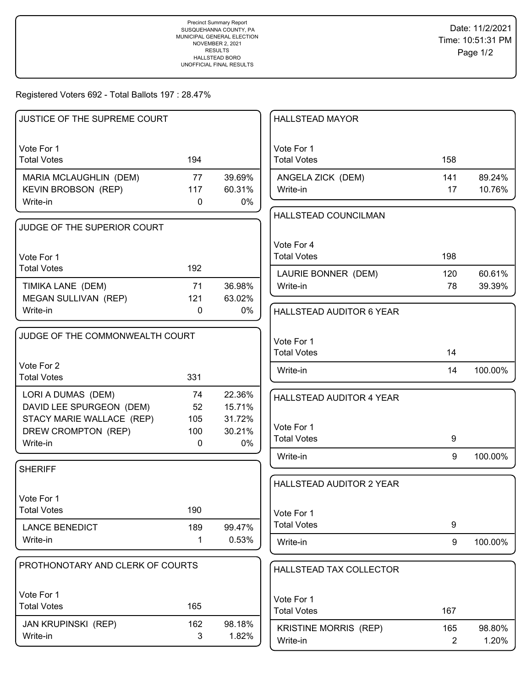Registered Voters 692 - Total Ballots 197 : 28.47%

| JUSTICE OF THE SUPREME COURT              |              |        | <b>HALLSTEAD MAYOR</b>                   |          |                 |
|-------------------------------------------|--------------|--------|------------------------------------------|----------|-----------------|
| Vote For 1                                |              |        | Vote For 1                               |          |                 |
| <b>Total Votes</b>                        | 194          |        | <b>Total Votes</b>                       | 158      |                 |
| MARIA MCLAUGHLIN (DEM)                    | 77           | 39.69% | ANGELA ZICK (DEM)                        | 141      | 89.24%          |
| <b>KEVIN BROBSON (REP)</b>                | 117          | 60.31% | Write-in                                 | 17       | 10.76%          |
| Write-in                                  | 0            | 0%     | HALLSTEAD COUNCILMAN                     |          |                 |
| JUDGE OF THE SUPERIOR COURT               |              |        |                                          |          |                 |
|                                           |              |        |                                          |          |                 |
| Vote For 1                                |              |        | Vote For 4<br><b>Total Votes</b>         | 198      |                 |
| <b>Total Votes</b>                        | 192          |        |                                          |          |                 |
|                                           |              | 36.98% | LAURIE BONNER (DEM)                      | 120      | 60.61%          |
| TIMIKA LANE (DEM)<br>MEGAN SULLIVAN (REP) | 71<br>121    | 63.02% | Write-in                                 | 78       | 39.39%          |
| Write-in                                  | $\mathbf{0}$ | 0%     | HALLSTEAD AUDITOR 6 YEAR                 |          |                 |
|                                           |              |        |                                          |          |                 |
| JUDGE OF THE COMMONWEALTH COURT           |              |        | Vote For 1                               |          |                 |
|                                           |              |        | <b>Total Votes</b>                       | 14       |                 |
| Vote For 2                                |              |        |                                          |          |                 |
| <b>Total Votes</b>                        | 331          |        | Write-in                                 | 14       | 100.00%         |
| LORI A DUMAS (DEM)                        | 74           | 22.36% | HALLSTEAD AUDITOR 4 YEAR                 |          |                 |
| DAVID LEE SPURGEON (DEM)                  | 52           | 15.71% |                                          |          |                 |
| STACY MARIE WALLACE (REP)                 | 105          | 31.72% | Vote For 1                               |          |                 |
| DREW CROMPTON (REP)                       | 100          | 30.21% | <b>Total Votes</b>                       | 9        |                 |
| Write-in                                  | $\mathbf{0}$ | 0%     |                                          |          |                 |
| <b>SHERIFF</b>                            |              |        | Write-in                                 | 9        | 100.00%         |
|                                           |              |        | <b>HALLSTEAD AUDITOR 2 YEAR</b>          |          |                 |
| Vote For 1                                |              |        |                                          |          |                 |
| <b>Total Votes</b>                        | 190          |        | Vote For 1                               |          |                 |
| <b>LANCE BENEDICT</b>                     | 189          | 99.47% | <b>Total Votes</b>                       | 9        |                 |
| Write-in                                  | 1            | 0.53%  |                                          |          |                 |
|                                           |              |        | Write-in                                 | 9        | 100.00%         |
| PROTHONOTARY AND CLERK OF COURTS          |              |        | HALLSTEAD TAX COLLECTOR                  |          |                 |
|                                           |              |        |                                          |          |                 |
| Vote For 1                                |              |        | Vote For 1                               |          |                 |
| <b>Total Votes</b>                        | 165          |        | <b>Total Votes</b>                       | 167      |                 |
| <b>JAN KRUPINSKI (REP)</b>                | 162          | 98.18% |                                          |          |                 |
| Write-in                                  | 3            | 1.82%  | <b>KRISTINE MORRIS (REP)</b><br>Write-in | 165<br>2 | 98.80%<br>1.20% |
|                                           |              |        |                                          |          |                 |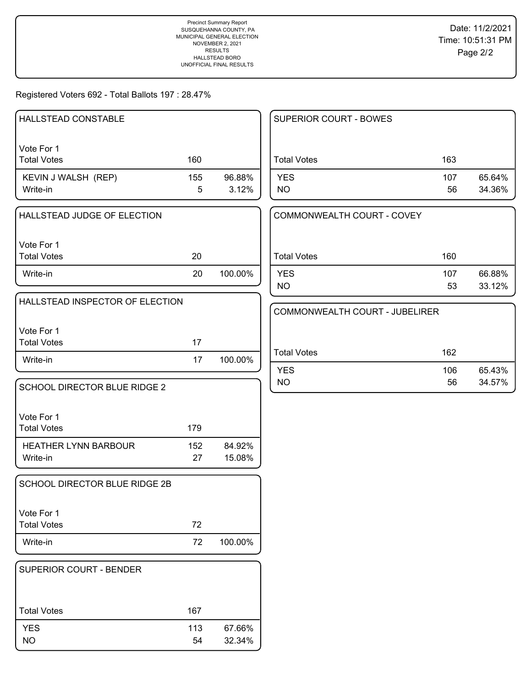## Registered Voters 692 - Total Ballots 197 : 28.47%

| HALLSTEAD CONSTABLE                     |           |                  | SUPERIOR COURT - BOWES         |           |                  |
|-----------------------------------------|-----------|------------------|--------------------------------|-----------|------------------|
| Vote For 1<br><b>Total Votes</b>        | 160       |                  | <b>Total Votes</b>             | 163       |                  |
| KEVIN J WALSH (REP)<br>Write-in         | 155<br>5  | 96.88%<br>3.12%  | <b>YES</b><br><b>NO</b>        | 107<br>56 | 65.64%<br>34.36% |
| HALLSTEAD JUDGE OF ELECTION             |           |                  | COMMONWEALTH COURT - COVEY     |           |                  |
| Vote For 1<br><b>Total Votes</b>        | 20        |                  | <b>Total Votes</b>             | 160       |                  |
| Write-in                                | 20        | 100.00%          | <b>YES</b><br><b>NO</b>        | 107<br>53 | 66.88%<br>33.12% |
| HALLSTEAD INSPECTOR OF ELECTION         |           |                  | COMMONWEALTH COURT - JUBELIRER |           |                  |
| Vote For 1<br><b>Total Votes</b>        | 17        |                  |                                |           |                  |
| Write-in                                | 17        | 100.00%          | <b>Total Votes</b>             | 162       |                  |
| SCHOOL DIRECTOR BLUE RIDGE 2            |           |                  | <b>YES</b><br><b>NO</b>        | 106<br>56 | 65.43%<br>34.57% |
| Vote For 1<br><b>Total Votes</b>        | 179       |                  |                                |           |                  |
| <b>HEATHER LYNN BARBOUR</b><br>Write-in | 152<br>27 | 84.92%<br>15.08% |                                |           |                  |
| SCHOOL DIRECTOR BLUE RIDGE 2B           |           |                  |                                |           |                  |
| Vote For 1<br><b>Total Votes</b>        | 72        |                  |                                |           |                  |
| Write-in                                | 72        | 100.00%          |                                |           |                  |
| SUPERIOR COURT - BENDER                 |           |                  |                                |           |                  |
| <b>Total Votes</b>                      | 167       |                  |                                |           |                  |
| <b>YES</b><br><b>NO</b>                 | 113<br>54 | 67.66%<br>32.34% |                                |           |                  |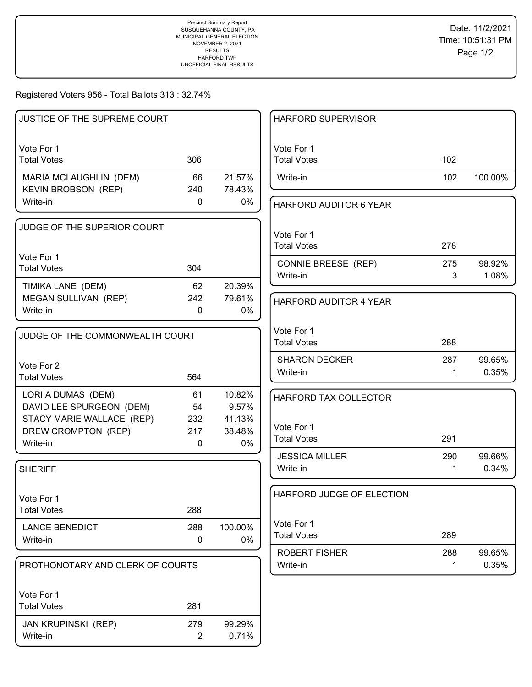Registered Voters 956 - Total Ballots 313 : 32.74%

| JUSTICE OF THE SUPREME COURT                         |                |                  | <b>HARFORD SUPERVISOR</b>        |     |         |
|------------------------------------------------------|----------------|------------------|----------------------------------|-----|---------|
| Vote For 1<br><b>Total Votes</b>                     | 306            |                  | Vote For 1<br><b>Total Votes</b> | 102 |         |
| MARIA MCLAUGHLIN (DEM)<br><b>KEVIN BROBSON (REP)</b> | 66<br>240      | 21.57%<br>78.43% | Write-in                         | 102 | 100.00% |
| Write-in                                             | 0              | 0%               | HARFORD AUDITOR 6 YEAR           |     |         |
| JUDGE OF THE SUPERIOR COURT                          |                |                  | Vote For 1<br><b>Total Votes</b> | 278 |         |
| Vote For 1<br><b>Total Votes</b>                     | 304            |                  | CONNIE BREESE (REP)              | 275 | 98.92%  |
| TIMIKA LANE (DEM)                                    | 62             | 20.39%           | Write-in                         | 3   | 1.08%   |
| MEGAN SULLIVAN (REP)                                 | 242            | 79.61%           | HARFORD AUDITOR 4 YEAR           |     |         |
| Write-in                                             | $\mathbf 0$    | 0%               |                                  |     |         |
| JUDGE OF THE COMMONWEALTH COURT                      |                |                  | Vote For 1                       |     |         |
|                                                      |                |                  | <b>Total Votes</b>               | 288 |         |
| Vote For 2                                           |                |                  | <b>SHARON DECKER</b>             | 287 | 99.65%  |
| <b>Total Votes</b>                                   | 564            |                  | Write-in                         | 1   | 0.35%   |
| LORI A DUMAS (DEM)                                   | 61             | 10.82%           | HARFORD TAX COLLECTOR            |     |         |
| DAVID LEE SPURGEON (DEM)                             | 54             | 9.57%            |                                  |     |         |
| STACY MARIE WALLACE (REP)                            | 232            | 41.13%           | Vote For 1                       |     |         |
| DREW CROMPTON (REP)<br>Write-in                      | 217<br>0       | 38.48%<br>0%     | <b>Total Votes</b>               | 291 |         |
|                                                      |                |                  | <b>JESSICA MILLER</b>            | 290 | 99.66%  |
| <b>SHERIFF</b>                                       |                |                  | Write-in                         | 1   | 0.34%   |
|                                                      |                |                  |                                  |     |         |
| Vote For 1                                           |                |                  | HARFORD JUDGE OF ELECTION        |     |         |
| <b>Total Votes</b>                                   | 288            |                  |                                  |     |         |
| <b>LANCE BENEDICT</b>                                | 288            | 100.00%          | Vote For 1<br><b>Total Votes</b> | 289 |         |
| Write-in                                             | $\mathbf 0$    | $0\%$            | <b>ROBERT FISHER</b>             | 288 | 99.65%  |
| PROTHONOTARY AND CLERK OF COURTS                     |                |                  | Write-in                         | 1   | 0.35%   |
| Vote For 1                                           |                |                  |                                  |     |         |
| <b>Total Votes</b>                                   | 281            |                  |                                  |     |         |
| JAN KRUPINSKI (REP)                                  | 279            | 99.29%           |                                  |     |         |
| Write-in                                             | $\overline{2}$ | 0.71%            |                                  |     |         |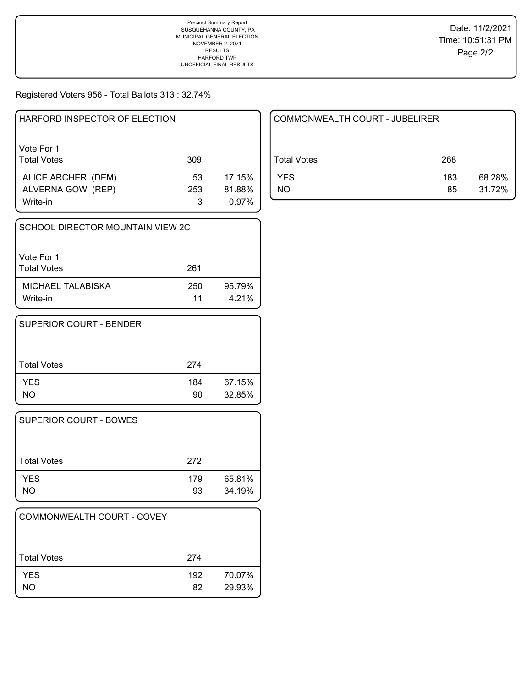Registered Voters 956 - Total Ballots 313 : 32.74%

| Vote For 1<br><b>Total Votes</b><br>309<br>17.15%<br>ALICE ARCHER (DEM)<br>53<br>81.88%<br>ALVERNA GOW (REP)<br>253 | HARFORD INSPECTOR OF ELECTION |   |       |
|---------------------------------------------------------------------------------------------------------------------|-------------------------------|---|-------|
|                                                                                                                     |                               |   |       |
|                                                                                                                     | Write-in                      | З | 0.97% |

| SCHOOL DIRECTOR MOUNTAIN VIEW 2C |           |                 |
|----------------------------------|-----------|-----------------|
| Vote For 1<br><b>Total Votes</b> | 261       |                 |
| MICHAEL TALABISKA<br>Write-in    | 250<br>11 | 95.79%<br>4.21% |

| SUPERIOR COURT - BENDER |           |                  |
|-------------------------|-----------|------------------|
| <b>Total Votes</b>      | 274       |                  |
| <b>YES</b><br>NO.       | 184<br>90 | 67.15%<br>32.85% |

| <b>SUPERIOR COURT - BOWES</b> |           |                  |
|-------------------------------|-----------|------------------|
| Total Votes                   | 272       |                  |
| <b>YES</b><br>NO              | 179<br>93 | 65.81%<br>34.19% |

| COMMONWEALTH COURT - COVEY |           |                  |
|----------------------------|-----------|------------------|
| l Total Votes              | 274       |                  |
| <b>YES</b><br><b>NO</b>    | 192<br>82 | 70.07%<br>29.93% |

| COMMONWEALTH COURT - JUBELIRER |           |                  |
|--------------------------------|-----------|------------------|
| Total Votes                    | 268       |                  |
| <b>YES</b><br>NO.              | 183<br>85 | 68.28%<br>31.72% |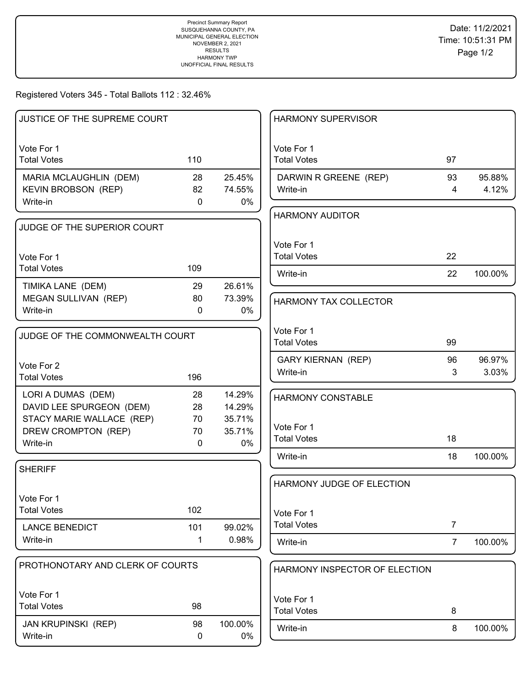## Registered Voters 345 - Total Ballots 112 : 32.46%

| JUSTICE OF THE SUPREME COURT      |                     |                 | <b>HARMONY SUPERVISOR</b>        |                |         |
|-----------------------------------|---------------------|-----------------|----------------------------------|----------------|---------|
|                                   |                     |                 |                                  |                |         |
| Vote For 1                        |                     |                 | Vote For 1                       |                |         |
| <b>Total Votes</b>                | 110                 |                 | <b>Total Votes</b>               | 97             |         |
| MARIA MCLAUGHLIN (DEM)            | 28                  | 25.45%          | DARWIN R GREENE (REP)            | 93             | 95.88%  |
| <b>KEVIN BROBSON (REP)</b>        | 82                  | 74.55%          | Write-in                         | 4              | 4.12%   |
| Write-in                          | $\mathbf{0}$        | $0\%$           |                                  |                |         |
|                                   |                     |                 | <b>HARMONY AUDITOR</b>           |                |         |
| JUDGE OF THE SUPERIOR COURT       |                     |                 |                                  |                |         |
|                                   |                     |                 | Vote For 1                       |                |         |
| Vote For 1                        |                     |                 | <b>Total Votes</b>               | 22             |         |
| <b>Total Votes</b>                | 109                 |                 | Write-in                         | 22             | 100.00% |
| TIMIKA LANE (DEM)                 | 29                  | 26.61%          |                                  |                |         |
| MEGAN SULLIVAN (REP)              | 80                  | 73.39%          | <b>HARMONY TAX COLLECTOR</b>     |                |         |
| Write-in                          | $\mathbf{0}$        | 0%              |                                  |                |         |
|                                   |                     |                 | Vote For 1                       |                |         |
| JUDGE OF THE COMMONWEALTH COURT   |                     |                 | <b>Total Votes</b>               | 99             |         |
|                                   |                     |                 | <b>GARY KIERNAN (REP)</b>        | 96             | 96.97%  |
| Vote For 2                        |                     |                 | Write-in                         | 3              | 3.03%   |
| <b>Total Votes</b>                | 196                 |                 |                                  |                |         |
| LORI A DUMAS (DEM)                | 28                  | 14.29%          | <b>HARMONY CONSTABLE</b>         |                |         |
| DAVID LEE SPURGEON (DEM)          | 28                  | 14.29%          |                                  |                |         |
| STACY MARIE WALLACE (REP)         | 70                  | 35.71%          | Vote For 1                       |                |         |
| DREW CROMPTON (REP)<br>Write-in   | 70<br>$\mathbf 0$   | 35.71%<br>0%    | <b>Total Votes</b>               | 18             |         |
|                                   |                     |                 | Write-in                         | 18             | 100.00% |
| <b>SHERIFF</b>                    |                     |                 |                                  |                |         |
|                                   |                     |                 | HARMONY JUDGE OF ELECTION        |                |         |
| Vote For 1                        |                     |                 |                                  |                |         |
| <b>Total Votes</b>                | 102                 |                 |                                  |                |         |
|                                   |                     |                 | Vote For 1<br><b>Total Votes</b> | $\overline{7}$ |         |
| <b>LANCE BENEDICT</b><br>Write-in | 101<br>$\mathbf{1}$ | 99.02%<br>0.98% |                                  |                |         |
|                                   |                     |                 | Write-in                         | $\overline{7}$ | 100.00% |
| PROTHONOTARY AND CLERK OF COURTS  |                     |                 |                                  |                |         |
|                                   |                     |                 | HARMONY INSPECTOR OF ELECTION    |                |         |
| Vote For 1                        |                     |                 |                                  |                |         |
| <b>Total Votes</b>                | 98                  |                 | Vote For 1                       |                |         |
|                                   |                     |                 | <b>Total Votes</b>               | 8              |         |
| <b>JAN KRUPINSKI (REP)</b>        | 98                  | 100.00%         | Write-in                         | 8              | 100.00% |
| Write-in                          | 0                   | 0%              |                                  |                |         |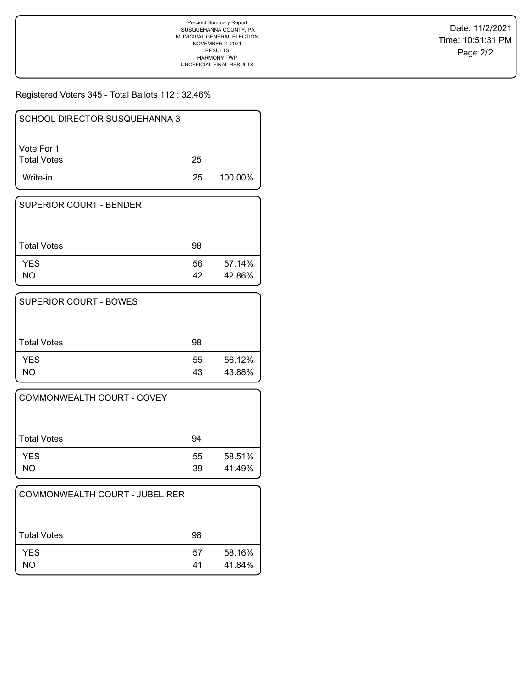Registered Voters 345 - Total Ballots 112 : 32.46%

| Write-in                         | 25 | 100.00% |
|----------------------------------|----|---------|
| Vote For 1<br><b>Total Votes</b> | 25 |         |
| SCHOOL DIRECTOR SUSQUEHANNA 3    |    |         |

| <b>SUPERIOR COURT - BENDER</b> |          |                  |
|--------------------------------|----------|------------------|
| <b>Total Votes</b>             | 98       |                  |
| <b>YES</b><br>NO               | 56<br>42 | 57.14%<br>42.86% |

| <b>SUPERIOR COURT - BOWES</b> |          |                  |
|-------------------------------|----------|------------------|
| <b>Total Votes</b>            | 98       |                  |
| <b>YES</b><br>NO              | 55<br>43 | 56.12%<br>43.88% |

| COMMONWEALTH COURT - COVEY |          |                  |
|----------------------------|----------|------------------|
| Total Votes                | 94       |                  |
| <b>YES</b><br>NO           | 55<br>39 | 58.51%<br>41.49% |

| COMMONWEALTH COURT - JUBELIRER |          |                  |
|--------------------------------|----------|------------------|
| <b>Total Votes</b>             | 98       |                  |
| <b>YES</b><br>NO.              | 57<br>41 | 58.16%<br>41.84% |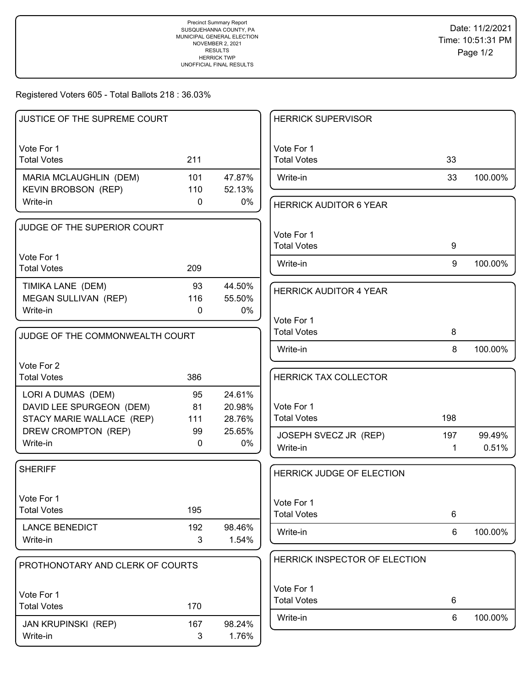Registered Voters 605 - Total Ballots 218 : 36.03%

| JUSTICE OF THE SUPREME COURT                         |              |                  | <b>HERRICK SUPERVISOR</b>     |     |         |
|------------------------------------------------------|--------------|------------------|-------------------------------|-----|---------|
| Vote For 1                                           |              |                  | Vote For 1                    |     |         |
| <b>Total Votes</b>                                   | 211          |                  | <b>Total Votes</b>            | 33  |         |
| MARIA MCLAUGHLIN (DEM)<br><b>KEVIN BROBSON (REP)</b> | 101<br>110   | 47.87%<br>52.13% | Write-in                      | 33  | 100.00% |
| Write-in                                             | $\mathbf{0}$ | 0%               | <b>HERRICK AUDITOR 6 YEAR</b> |     |         |
| JUDGE OF THE SUPERIOR COURT                          |              |                  | Vote For 1                    |     |         |
|                                                      |              |                  | <b>Total Votes</b>            | 9   |         |
| Vote For 1                                           |              |                  | Write-in                      | 9   | 100.00% |
| <b>Total Votes</b>                                   | 209          |                  |                               |     |         |
| TIMIKA LANE (DEM)                                    | 93           | 44.50%           | <b>HERRICK AUDITOR 4 YEAR</b> |     |         |
| MEGAN SULLIVAN (REP)                                 | 116          | 55.50%           |                               |     |         |
| Write-in                                             | 0            | $0\%$            | Vote For 1                    |     |         |
|                                                      |              |                  | <b>Total Votes</b>            | 8   |         |
| JUDGE OF THE COMMONWEALTH COURT                      |              |                  |                               |     |         |
|                                                      |              |                  | Write-in                      | 8   | 100.00% |
| Vote For 2                                           |              |                  |                               |     |         |
| <b>Total Votes</b>                                   | 386          |                  | <b>HERRICK TAX COLLECTOR</b>  |     |         |
| LORI A DUMAS (DEM)                                   | 95           | 24.61%           |                               |     |         |
| DAVID LEE SPURGEON (DEM)                             | 81           | 20.98%           | Vote For 1                    |     |         |
| STACY MARIE WALLACE (REP)                            | 111          | 28.76%           | <b>Total Votes</b>            | 198 |         |
| DREW CROMPTON (REP)                                  | 99           | 25.65%           | JOSEPH SVECZ JR (REP)         | 197 | 99.49%  |
| Write-in                                             | $\mathbf 0$  | 0%               | Write-in                      | 1   | 0.51%   |
| <b>SHERIFF</b>                                       |              |                  |                               |     |         |
|                                                      |              |                  | HERRICK JUDGE OF ELECTION     |     |         |
|                                                      |              |                  |                               |     |         |
| Vote For 1                                           |              |                  | Vote For 1                    |     |         |
| <b>Total Votes</b>                                   | 195          |                  | <b>Total Votes</b>            | 6   |         |
| <b>LANCE BENEDICT</b>                                | 192          | 98.46%           | Write-in                      | 6   | 100.00% |
| Write-in                                             | 3            | 1.54%            |                               |     |         |
| PROTHONOTARY AND CLERK OF COURTS                     |              |                  | HERRICK INSPECTOR OF ELECTION |     |         |
|                                                      |              |                  | Vote For 1                    |     |         |
| Vote For 1                                           |              |                  | <b>Total Votes</b>            | 6   |         |
| <b>Total Votes</b>                                   | 170          |                  |                               | 6   | 100.00% |
| <b>JAN KRUPINSKI (REP)</b>                           | 167          | 98.24%           | Write-in                      |     |         |
| Write-in                                             | 3            | 1.76%            |                               |     |         |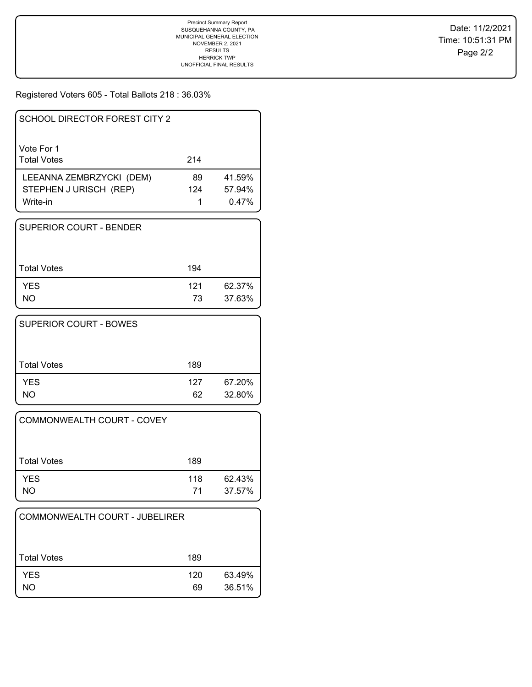Registered Voters 605 - Total Ballots 218 : 36.03%

| SCHOOL DIRECTOR FOREST CITY 2    |     |        |
|----------------------------------|-----|--------|
| Vote For 1<br><b>Total Votes</b> | 214 |        |
| LEEANNA ZEMBRZYCKI (DEM)         | 89  | 41.59% |
| STEPHEN J URISCH (REP)           | 124 | 57.94% |
| Write-in                         | 1   | 0.47%  |

| <b>SUPERIOR COURT - BENDER</b> |           |                  |
|--------------------------------|-----------|------------------|
| Total Votes                    | 194       |                  |
| <b>YES</b><br><b>NO</b>        | 121<br>73 | 62.37%<br>37.63% |

| <b>SUPERIOR COURT - BOWES</b> |     |        |
|-------------------------------|-----|--------|
| <b>Total Votes</b>            | 189 |        |
| <b>YES</b>                    | 127 | 67.20% |
| NΟ                            | 62  | 32.80% |

| COMMONWEALTH COURT - COVEY |           |                  |
|----------------------------|-----------|------------------|
| Total Votes                | 189       |                  |
| <b>YES</b><br><b>NO</b>    | 118<br>71 | 62.43%<br>37.57% |

| COMMONWEALTH COURT - JUBELIRER |           |                  |
|--------------------------------|-----------|------------------|
| ⊦Total Votes                   | 189       |                  |
| <b>YES</b><br>NO.              | 120<br>69 | 63.49%<br>36.51% |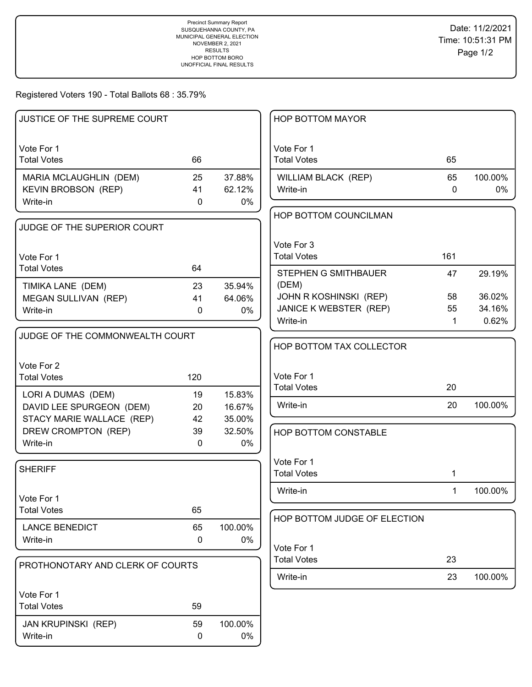Registered Voters 190 - Total Ballots 68 : 35.79%

| JUSTICE OF THE SUPREME COURT     |                  |         | HOP BOTTOM MAYOR                 |             |         |
|----------------------------------|------------------|---------|----------------------------------|-------------|---------|
|                                  |                  |         |                                  |             |         |
| Vote For 1                       |                  |         | Vote For 1                       |             |         |
| <b>Total Votes</b>               | 66               |         | <b>Total Votes</b>               | 65          |         |
| MARIA MCLAUGHLIN (DEM)           | 25               | 37.88%  | WILLIAM BLACK (REP)              | 65          | 100.00% |
| KEVIN BROBSON (REP)              | 41               | 62.12%  | Write-in                         | 0           | 0%      |
| Write-in                         | 0                | 0%      |                                  |             |         |
|                                  |                  |         | HOP BOTTOM COUNCILMAN            |             |         |
| JUDGE OF THE SUPERIOR COURT      |                  |         |                                  |             |         |
|                                  |                  |         | Vote For 3                       |             |         |
| Vote For 1                       |                  |         | <b>Total Votes</b>               | 161         |         |
| <b>Total Votes</b>               | 64               |         | STEPHEN G SMITHBAUER             | 47          | 29.19%  |
| TIMIKA LANE (DEM)                | 23               | 35.94%  | (DEM)                            |             |         |
| MEGAN SULLIVAN (REP)             | 41               | 64.06%  | JOHN R KOSHINSKI (REP)           | 58          | 36.02%  |
| Write-in                         | 0                | 0%      | <b>JANICE K WEBSTER (REP)</b>    | 55          | 34.16%  |
|                                  |                  |         | Write-in                         | $\mathbf 1$ | 0.62%   |
| JUDGE OF THE COMMONWEALTH COURT  |                  |         |                                  |             |         |
|                                  |                  |         | HOP BOTTOM TAX COLLECTOR         |             |         |
| Vote For 2                       |                  |         |                                  |             |         |
| <b>Total Votes</b>               | 120              |         | Vote For 1                       |             |         |
| LORI A DUMAS (DEM)               | 19               | 15.83%  | <b>Total Votes</b>               | 20          |         |
| DAVID LEE SPURGEON (DEM)         | 20               | 16.67%  | Write-in                         | 20          | 100.00% |
| STACY MARIE WALLACE (REP)        | 42               | 35.00%  |                                  |             |         |
| DREW CROMPTON (REP)              | 39               | 32.50%  | HOP BOTTOM CONSTABLE             |             |         |
| Write-in                         | $\mathbf 0$      | 0%      |                                  |             |         |
|                                  |                  |         |                                  |             |         |
| <b>SHERIFF</b>                   |                  |         | Vote For 1<br><b>Total Votes</b> |             |         |
|                                  |                  |         |                                  | 1           |         |
| Vote For 1                       |                  |         | Write-in                         | $\mathbf 1$ | 100.00% |
| <b>Total Votes</b>               | 65               |         |                                  |             |         |
|                                  |                  |         | HOP BOTTOM JUDGE OF ELECTION     |             |         |
| <b>LANCE BENEDICT</b>            | 65               | 100.00% |                                  |             |         |
| Write-in                         | 0                | 0%      | Vote For 1                       |             |         |
| PROTHONOTARY AND CLERK OF COURTS |                  |         | <b>Total Votes</b>               | 23          |         |
|                                  |                  |         | Write-in                         | 23          | 100.00% |
| Vote For 1                       |                  |         |                                  |             |         |
| <b>Total Votes</b>               | 59               |         |                                  |             |         |
|                                  |                  |         |                                  |             |         |
| <b>JAN KRUPINSKI (REP)</b>       | 59               | 100.00% |                                  |             |         |
| Write-in                         | $\boldsymbol{0}$ | 0%      |                                  |             |         |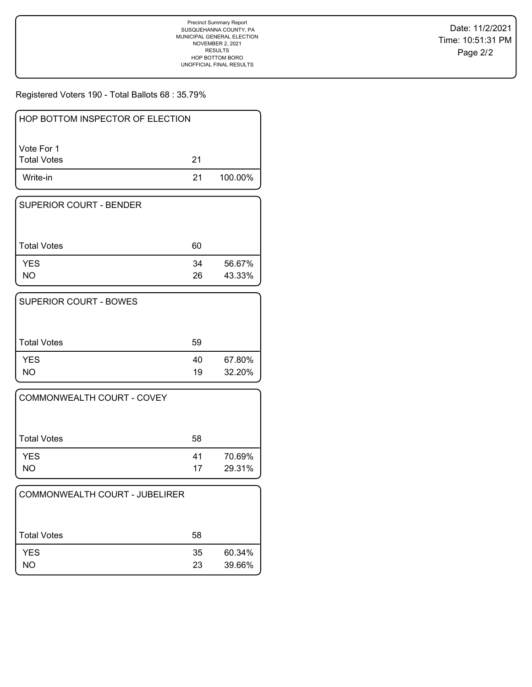Registered Voters 190 - Total Ballots 68 : 35.79%

| l Vote For 1 |    |         |
|--------------|----|---------|
| Total Votes  | 21 |         |
| Write-in     | 21 | 100.00% |

| SUPERIOR COURT - BENDER |          |                  |
|-------------------------|----------|------------------|
| Total Votes             | 60       |                  |
| <b>YES</b><br>NO        | 34<br>26 | 56.67%<br>43.33% |

| <b>SUPERIOR COURT - BOWES</b> |          |                  |
|-------------------------------|----------|------------------|
| <b>Total Votes</b>            | 59       |                  |
| <b>YES</b><br><b>NO</b>       | 40<br>19 | 67.80%<br>32.20% |

| COMMONWEALTH COURT - COVEY |          |                  |
|----------------------------|----------|------------------|
| Total Votes                | 58       |                  |
| <b>YES</b><br>NO.          | 41<br>17 | 70.69%<br>29.31% |

| COMMONWEALTH COURT - JUBELIRER |          |                  |
|--------------------------------|----------|------------------|
| <b>Total Votes</b>             | 58       |                  |
| <b>YES</b><br>NO.              | 35<br>23 | 60.34%<br>39.66% |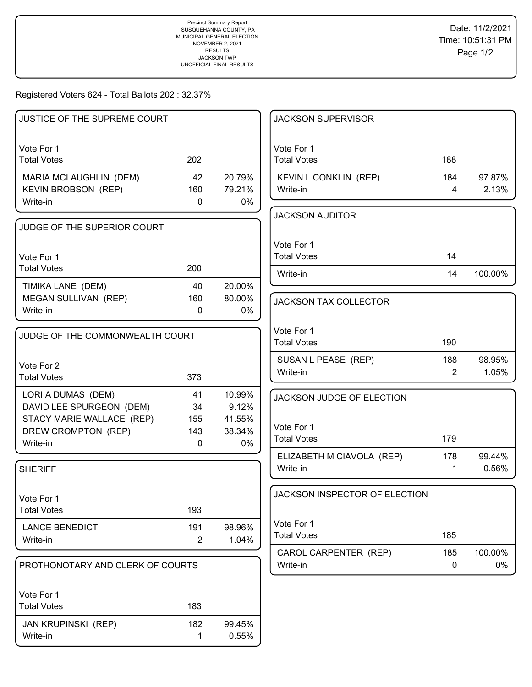# Registered Voters 624 - Total Ballots 202 : 32.37%

| JUSTICE OF THE SUPREME COURT     |                |        | <b>JACKSON SUPERVISOR</b>     |                |         |
|----------------------------------|----------------|--------|-------------------------------|----------------|---------|
| Vote For 1                       |                |        | Vote For 1                    |                |         |
| <b>Total Votes</b>               | 202            |        | <b>Total Votes</b>            | 188            |         |
| MARIA MCLAUGHLIN (DEM)           | 42             | 20.79% | KEVIN L CONKLIN (REP)         | 184            | 97.87%  |
| <b>KEVIN BROBSON (REP)</b>       | 160            | 79.21% | Write-in                      | 4              | 2.13%   |
| Write-in                         | $\mathbf 0$    | $0\%$  |                               |                |         |
| JUDGE OF THE SUPERIOR COURT      |                |        | <b>JACKSON AUDITOR</b>        |                |         |
|                                  |                |        | Vote For 1                    |                |         |
| Vote For 1                       |                |        | <b>Total Votes</b>            | 14             |         |
| <b>Total Votes</b>               | 200            |        | Write-in                      | 14             | 100.00% |
| TIMIKA LANE (DEM)                | 40             | 20.00% |                               |                |         |
| MEGAN SULLIVAN (REP)             | 160            | 80.00% | <b>JACKSON TAX COLLECTOR</b>  |                |         |
| Write-in                         | 0              | 0%     |                               |                |         |
|                                  |                |        | Vote For 1                    |                |         |
| JUDGE OF THE COMMONWEALTH COURT  |                |        | <b>Total Votes</b>            | 190            |         |
|                                  |                |        | SUSAN L PEASE (REP)           | 188            | 98.95%  |
| Vote For 2<br><b>Total Votes</b> | 373            |        | Write-in                      | $\overline{2}$ | 1.05%   |
| LORI A DUMAS (DEM)               | 41             | 10.99% |                               |                |         |
| DAVID LEE SPURGEON (DEM)         | 34             | 9.12%  | JACKSON JUDGE OF ELECTION     |                |         |
| STACY MARIE WALLACE (REP)        | 155            | 41.55% |                               |                |         |
| DREW CROMPTON (REP)              | 143            | 38.34% | Vote For 1                    |                |         |
| Write-in                         | 0              | 0%     | <b>Total Votes</b>            | 179            |         |
|                                  |                |        | ELIZABETH M CIAVOLA (REP)     | 178            | 99.44%  |
| <b>SHERIFF</b>                   |                |        | Write-in                      | $\mathbf 1$    | 0.56%   |
|                                  |                |        | JACKSON INSPECTOR OF ELECTION |                |         |
| Vote For 1<br><b>Total Votes</b> | 193            |        |                               |                |         |
|                                  |                |        | Vote For 1                    |                |         |
| <b>LANCE BENEDICT</b>            | 191            | 98.96% | <b>Total Votes</b>            | 185            |         |
| Write-in                         | $\overline{2}$ | 1.04%  | CAROL CARPENTER (REP)         | 185            | 100.00% |
| PROTHONOTARY AND CLERK OF COURTS |                |        | Write-in                      | $\mathbf 0$    | 0%      |
|                                  |                |        |                               |                |         |
| Vote For 1                       |                |        |                               |                |         |
| <b>Total Votes</b>               | 183            |        |                               |                |         |
| <b>JAN KRUPINSKI (REP)</b>       | 182            | 99.45% |                               |                |         |
| Write-in                         | 1              | 0.55%  |                               |                |         |
|                                  |                |        |                               |                |         |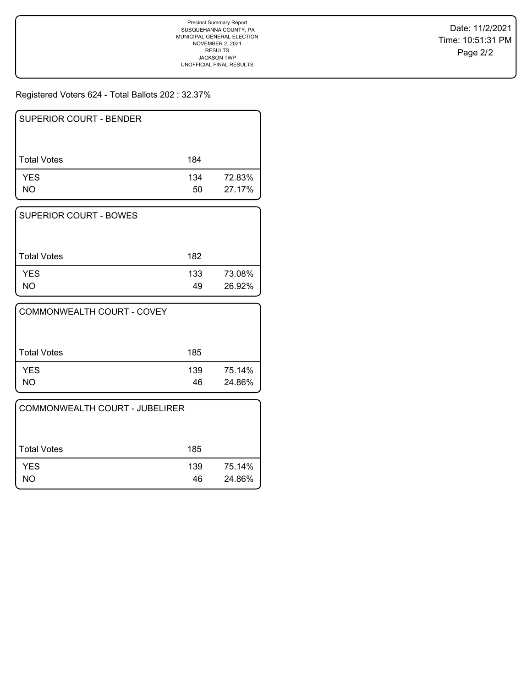# Registered Voters 624 - Total Ballots 202 : 32.37%

| <b>SUPERIOR COURT - BENDER</b> |           |                  |
|--------------------------------|-----------|------------------|
| <b>Total Votes</b>             | 184       |                  |
| <b>YES</b><br>NO               | 134<br>50 | 72.83%<br>27.17% |

| SUPERIOR COURT - BOWES |           |                  |
|------------------------|-----------|------------------|
| Total Votes            | 182       |                  |
| <b>YES</b><br>NΟ       | 133<br>49 | 73.08%<br>26.92% |

| COMMONWEALTH COURT - COVEY |           |                  |
|----------------------------|-----------|------------------|
| Total Votes                | 185       |                  |
| <b>YES</b><br><b>NO</b>    | 139<br>46 | 75.14%<br>24.86% |

| COMMONWEALTH COURT - JUBELIRER |           |                  |
|--------------------------------|-----------|------------------|
| Total Votes                    | 185       |                  |
| <b>YES</b><br>ΝO               | 139<br>46 | 75.14%<br>24.86% |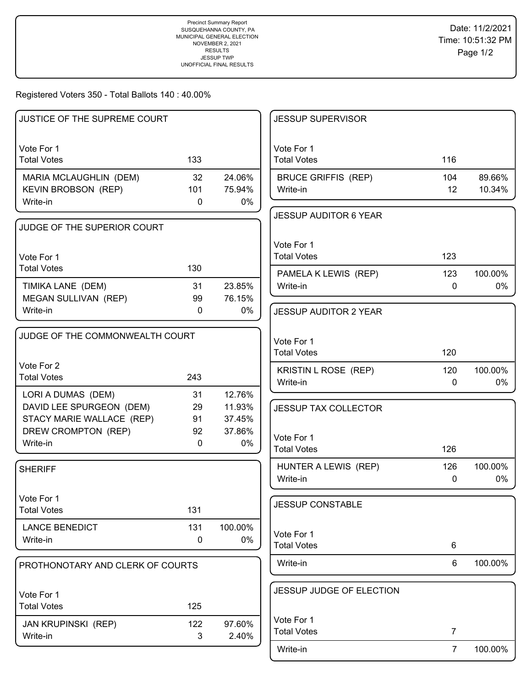### Registered Voters 350 - Total Ballots 140 : 40.00%

| <b>JUSTICE OF THE SUPREME COURT</b> |             |         | <b>JESSUP SUPERVISOR</b>         |                |         |
|-------------------------------------|-------------|---------|----------------------------------|----------------|---------|
| Vote For 1<br><b>Total Votes</b>    | 133         |         | Vote For 1<br><b>Total Votes</b> | 116            |         |
| MARIA MCLAUGHLIN (DEM)              | 32          | 24.06%  | <b>BRUCE GRIFFIS (REP)</b>       | 104            | 89.66%  |
| <b>KEVIN BROBSON (REP)</b>          | 101         | 75.94%  | Write-in                         | 12             | 10.34%  |
| Write-in                            | 0           | $0\%$   |                                  |                |         |
|                                     |             |         | <b>JESSUP AUDITOR 6 YEAR</b>     |                |         |
| JUDGE OF THE SUPERIOR COURT         |             |         |                                  |                |         |
|                                     |             |         | Vote For 1                       |                |         |
| Vote For 1                          |             |         | <b>Total Votes</b>               | 123            |         |
| <b>Total Votes</b>                  | 130         |         | PAMELA K LEWIS (REP)             | 123            | 100.00% |
| TIMIKA LANE (DEM)                   | 31          | 23.85%  | Write-in                         | $\mathbf 0$    | $0\%$   |
| <b>MEGAN SULLIVAN (REP)</b>         | 99          | 76.15%  |                                  |                |         |
| Write-in                            | $\mathbf 0$ | 0%      | <b>JESSUP AUDITOR 2 YEAR</b>     |                |         |
|                                     |             |         |                                  |                |         |
| JUDGE OF THE COMMONWEALTH COURT     |             |         | Vote For 1                       |                |         |
|                                     |             |         | <b>Total Votes</b>               | 120            |         |
| Vote For 2                          |             |         |                                  | 120            | 100.00% |
| <b>Total Votes</b>                  | 243         |         | KRISTIN L ROSE (REP)<br>Write-in | $\mathbf 0$    | 0%      |
| LORI A DUMAS (DEM)                  | 31          | 12.76%  |                                  |                |         |
| DAVID LEE SPURGEON (DEM)            | 29          | 11.93%  | <b>JESSUP TAX COLLECTOR</b>      |                |         |
| STACY MARIE WALLACE (REP)           | 91          | 37.45%  |                                  |                |         |
| DREW CROMPTON (REP)                 | 92          | 37.86%  |                                  |                |         |
| Write-in                            | $\mathbf 0$ | 0%      | Vote For 1<br><b>Total Votes</b> | 126            |         |
|                                     |             |         |                                  |                |         |
| <b>SHERIFF</b>                      |             |         | HUNTER A LEWIS (REP)             | 126            | 100.00% |
|                                     |             |         | Write-in                         | 0              | 0%      |
| Vote For 1                          |             |         | <b>JESSUP CONSTABLE</b>          |                |         |
| <b>Total Votes</b>                  | 131         |         |                                  |                |         |
| <b>LANCE BENEDICT</b>               | 131         | 100.00% |                                  |                |         |
| Write-in                            | 0           | 0%      | Vote For 1                       |                |         |
|                                     |             |         | <b>Total Votes</b>               | 6              |         |
| PROTHONOTARY AND CLERK OF COURTS    |             |         | Write-in                         | 6              | 100.00% |
|                                     |             |         |                                  |                |         |
| Vote For 1                          |             |         | JESSUP JUDGE OF ELECTION         |                |         |
| <b>Total Votes</b>                  | 125         |         |                                  |                |         |
| JAN KRUPINSKI (REP)                 | 122         | 97.60%  | Vote For 1                       |                |         |
| Write-in                            | 3           | 2.40%   | <b>Total Votes</b>               | $\overline{7}$ |         |
|                                     |             |         | Write-in                         | $\overline{7}$ | 100.00% |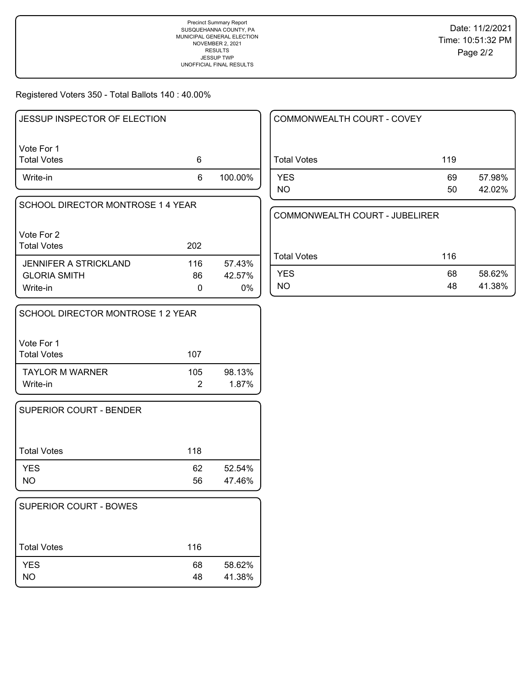Registered Voters 350 - Total Ballots 140 : 40.00%

| <b>JESSUP INSPECTOR OF ELECTION</b> |     |         |  |
|-------------------------------------|-----|---------|--|
| Vote For 1                          |     |         |  |
| <b>Total Votes</b>                  | 6   |         |  |
| Write-in                            | 6   | 100.00% |  |
| SCHOOL DIRECTOR MONTROSE 1 4 YEAR   |     |         |  |
| Vote For 2                          |     |         |  |
| <b>Total Votes</b>                  | 202 |         |  |
| JENNIFER A STRICKLAND               | 116 | 57.43%  |  |
| <b>GLORIA SMITH</b>                 | 86  | 42.57%  |  |
| Write-in                            |     | 0%      |  |
| SCHOOL DIRECTOR MONTROSE 1 2 YEAR   |     |         |  |

| l Vote For 1           |     |        |
|------------------------|-----|--------|
| Total Votes            | 107 |        |
| <b>TAYLOR M WARNER</b> | 105 | 98.13% |
| Write-in               | 2   | 1.87%  |

| <b>SUPERIOR COURT - BENDER</b> |          |                  |
|--------------------------------|----------|------------------|
| Total Votes                    | 118      |                  |
| <b>YES</b><br><b>NO</b>        | 62<br>56 | 52.54%<br>47.46% |

| <b>SUPERIOR COURT - BOWES</b> |          |                  |
|-------------------------------|----------|------------------|
| <b>Total Votes</b>            | 116      |                  |
| <b>YES</b><br><b>NO</b>       | 68<br>48 | 58.62%<br>41.38% |

| COMMONWEALTH COURT - COVEY |     |        |
|----------------------------|-----|--------|
| <b>Total Votes</b>         | 119 |        |
| <b>YES</b>                 | 69  | 57.98% |
| <b>NO</b>                  | 50  | 42.02% |

| COMMONWEALTH COURT - JUBELIRER |     |        |
|--------------------------------|-----|--------|
| <b>Total Votes</b>             | 116 |        |
| <b>YES</b>                     | 68  | 58.62% |
| חמ                             | 48  | 41.38% |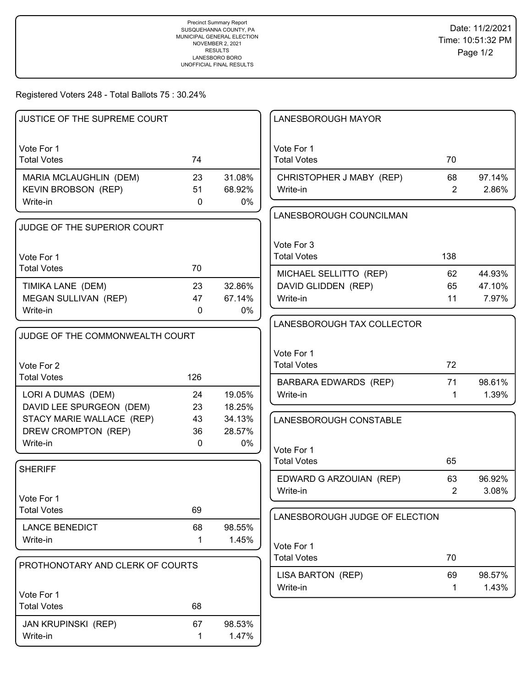# Registered Voters 248 - Total Ballots 75 : 30.24%

| JUSTICE OF THE SUPREME COURT              |              |        | <b>LANESBOROUGH MAYOR</b>                     |                |                  |
|-------------------------------------------|--------------|--------|-----------------------------------------------|----------------|------------------|
|                                           |              |        |                                               |                |                  |
| Vote For 1                                |              |        | Vote For 1                                    |                |                  |
| <b>Total Votes</b>                        | 74           |        | <b>Total Votes</b>                            | 70             |                  |
| MARIA MCLAUGHLIN (DEM)                    | 23           | 31.08% | CHRISTOPHER J MABY (REP)                      | 68             | 97.14%           |
| <b>KEVIN BROBSON (REP)</b>                | 51           | 68.92% | Write-in                                      | $\overline{2}$ | 2.86%            |
| Write-in                                  | $\mathbf{0}$ | 0%     |                                               |                |                  |
|                                           |              |        | LANESBOROUGH COUNCILMAN                       |                |                  |
| JUDGE OF THE SUPERIOR COURT               |              |        |                                               |                |                  |
|                                           |              |        | Vote For 3                                    |                |                  |
| Vote For 1                                |              |        | <b>Total Votes</b>                            | 138            |                  |
| <b>Total Votes</b>                        | 70           |        |                                               |                |                  |
|                                           | 23           | 32.86% | MICHAEL SELLITTO (REP)<br>DAVID GLIDDEN (REP) | 62<br>65       | 44.93%<br>47.10% |
| TIMIKA LANE (DEM)<br>MEGAN SULLIVAN (REP) | 47           | 67.14% | Write-in                                      | 11             | 7.97%            |
| Write-in                                  | $\mathbf{0}$ | 0%     |                                               |                |                  |
|                                           |              |        | LANESBOROUGH TAX COLLECTOR                    |                |                  |
| JUDGE OF THE COMMONWEALTH COURT           |              |        |                                               |                |                  |
|                                           |              |        |                                               |                |                  |
|                                           |              |        | Vote For 1                                    |                |                  |
| Vote For 2                                |              |        | <b>Total Votes</b>                            | 72             |                  |
| <b>Total Votes</b>                        | 126          |        | <b>BARBARA EDWARDS (REP)</b>                  | 71             | 98.61%           |
| LORI A DUMAS (DEM)                        | 24           | 19.05% | Write-in                                      | $\mathbf 1$    | 1.39%            |
| DAVID LEE SPURGEON (DEM)                  | 23           | 18.25% |                                               |                |                  |
| STACY MARIE WALLACE (REP)                 | 43           | 34.13% | LANESBOROUGH CONSTABLE                        |                |                  |
| DREW CROMPTON (REP)                       | 36           | 28.57% |                                               |                |                  |
| Write-in                                  | $\mathbf 0$  | 0%     | Vote For 1                                    |                |                  |
|                                           |              |        | <b>Total Votes</b>                            | 65             |                  |
| <b>SHERIFF</b>                            |              |        |                                               | 63             | 96.92%           |
|                                           |              |        | EDWARD G ARZOUIAN (REP)<br>Write-in           | $\overline{2}$ | 3.08%            |
| l Vote For 1                              |              |        |                                               |                |                  |
| <b>Total Votes</b>                        | 69           |        | LANESBOROUGH JUDGE OF ELECTION                |                |                  |
| <b>LANCE BENEDICT</b>                     | 68           | 98.55% |                                               |                |                  |
| Write-in                                  | 1            | 1.45%  |                                               |                |                  |
|                                           |              |        | Vote For 1                                    |                |                  |
| PROTHONOTARY AND CLERK OF COURTS          |              |        | <b>Total Votes</b>                            | 70             |                  |
|                                           |              |        | LISA BARTON (REP)                             | 69             | 98.57%           |
|                                           |              |        | Write-in                                      | 1              | 1.43%            |
| Vote For 1<br><b>Total Votes</b>          | 68           |        |                                               |                |                  |
|                                           |              |        |                                               |                |                  |
| <b>JAN KRUPINSKI (REP)</b>                | 67           | 98.53% |                                               |                |                  |
| Write-in                                  | 1            | 1.47%  |                                               |                |                  |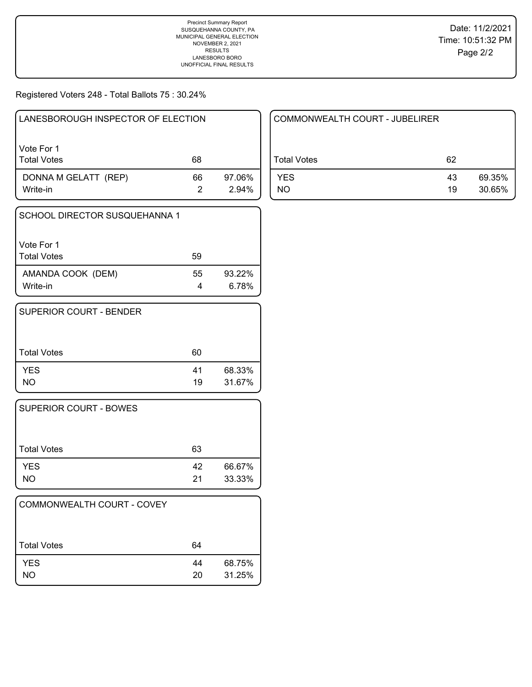Registered Voters 248 - Total Ballots 75 : 30.24%

| LANESBOROUGH INSPECTOR OF ELECTION |    |                 |
|------------------------------------|----|-----------------|
| Vote For 1<br><b>Total Votes</b>   | 68 |                 |
| DONNA M GELATT (REP)<br>Write-in   | 66 | 97.06%<br>2.94% |

| SCHOOL DIRECTOR SUSQUEHANNA 1    |         |                 |
|----------------------------------|---------|-----------------|
| Vote For 1<br><b>Total Votes</b> | 59      |                 |
| AMANDA COOK (DEM)<br>Write-in    | 55<br>4 | 93.22%<br>6.78% |

| SUPERIOR COURT - BENDER |          |                  |
|-------------------------|----------|------------------|
| <b>Total Votes</b>      | 60       |                  |
| <b>YES</b><br>NO.       | 41<br>19 | 68.33%<br>31.67% |

| <b>SUPERIOR COURT - BOWES</b> |          |                  |
|-------------------------------|----------|------------------|
| <b>Total Votes</b>            | 63       |                  |
| <b>YES</b><br><b>NO</b>       | 42<br>21 | 66.67%<br>33.33% |

| COMMONWEALTH COURT - COVEY |          |                  |
|----------------------------|----------|------------------|
| <b>Total Votes</b>         | 64       |                  |
| <b>YES</b><br>NΟ           | 44<br>20 | 68.75%<br>31.25% |

| COMMONWEALTH COURT - JUBELIRER |          |                  |
|--------------------------------|----------|------------------|
| Total Votes                    | 62       |                  |
| <b>YES</b><br>NO.              | 43<br>19 | 69.35%<br>30.65% |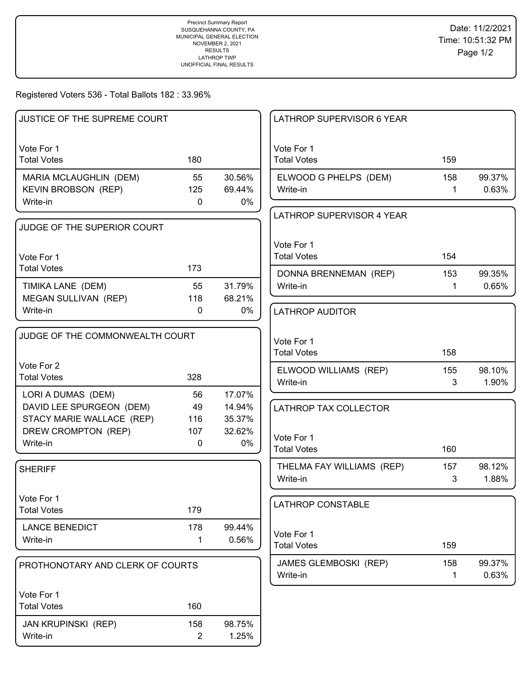Registered Voters 536 - Total Ballots 182 : 33.96%

| JUSTICE OF THE SUPREME COURT                          |                     |                  | LATHROP SUPERVISOR 6 YEAR        |     |        |
|-------------------------------------------------------|---------------------|------------------|----------------------------------|-----|--------|
| Vote For 1                                            |                     |                  | Vote For 1                       |     |        |
| <b>Total Votes</b>                                    | 180                 |                  | <b>Total Votes</b>               | 159 |        |
| MARIA MCLAUGHLIN (DEM)                                | 55                  | 30.56%           | ELWOOD G PHELPS (DEM)            | 158 | 99.37% |
| <b>KEVIN BROBSON (REP)</b>                            | 125                 | 69.44%           | Write-in                         | 1   | 0.63%  |
| Write-in                                              | 0                   | 0%               |                                  |     |        |
| JUDGE OF THE SUPERIOR COURT                           |                     |                  | LATHROP SUPERVISOR 4 YEAR        |     |        |
|                                                       |                     |                  | Vote For 1                       |     |        |
| Vote For 1                                            |                     |                  | <b>Total Votes</b>               | 154 |        |
| <b>Total Votes</b>                                    | 173                 |                  |                                  |     |        |
|                                                       |                     |                  | DONNA BRENNEMAN (REP)            | 153 | 99.35% |
| TIMIKA LANE (DEM)                                     | 55                  | 31.79%           | Write-in                         | 1   | 0.65%  |
| MEGAN SULLIVAN (REP)<br>Write-in                      | 118<br>$\mathbf{0}$ | 68.21%<br>0%     |                                  |     |        |
|                                                       |                     |                  | <b>LATHROP AUDITOR</b>           |     |        |
| JUDGE OF THE COMMONWEALTH COURT                       |                     |                  |                                  |     |        |
|                                                       |                     |                  | Vote For 1<br><b>Total Votes</b> | 158 |        |
| Vote For 2                                            |                     |                  |                                  |     |        |
| <b>Total Votes</b>                                    | 328                 |                  | ELWOOD WILLIAMS (REP)            | 155 | 98.10% |
|                                                       |                     |                  | Write-in                         | 3   | 1.90%  |
| LORI A DUMAS (DEM)                                    | 56                  | 17.07%           |                                  |     |        |
| DAVID LEE SPURGEON (DEM)<br>STACY MARIE WALLACE (REP) | 49<br>116           | 14.94%<br>35.37% | LATHROP TAX COLLECTOR            |     |        |
| DREW CROMPTON (REP)                                   | 107                 | 32.62%           |                                  |     |        |
| Write-in                                              | $\mathbf{0}$        | 0%               | Vote For 1                       |     |        |
|                                                       |                     |                  | <b>Total Votes</b>               | 160 |        |
| <b>SHERIFF</b>                                        |                     |                  | THELMA FAY WILLIAMS (REP)        | 157 | 98.12% |
|                                                       |                     |                  | Write-in                         | 3   | 1.88%  |
| Vote For 1                                            |                     |                  |                                  |     |        |
| <b>Total Votes</b>                                    | 179                 |                  | LATHROP CONSTABLE                |     |        |
|                                                       |                     |                  |                                  |     |        |
| <b>LANCE BENEDICT</b>                                 | 178                 | 99.44%           | Vote For 1                       |     |        |
| Write-in                                              | $\mathbf{1}$        | 0.56%            | <b>Total Votes</b>               | 159 |        |
| PROTHONOTARY AND CLERK OF COURTS                      |                     |                  | JAMES GLEMBOSKI (REP)            | 158 | 99.37% |
|                                                       |                     |                  | Write-in                         | 1   | 0.63%  |
| Vote For 1                                            |                     |                  |                                  |     |        |
| <b>Total Votes</b>                                    | 160                 |                  |                                  |     |        |
|                                                       |                     |                  |                                  |     |        |
| JAN KRUPINSKI (REP)                                   | 158                 | 98.75%           |                                  |     |        |
| Write-in                                              | $\overline{2}$      | 1.25%            |                                  |     |        |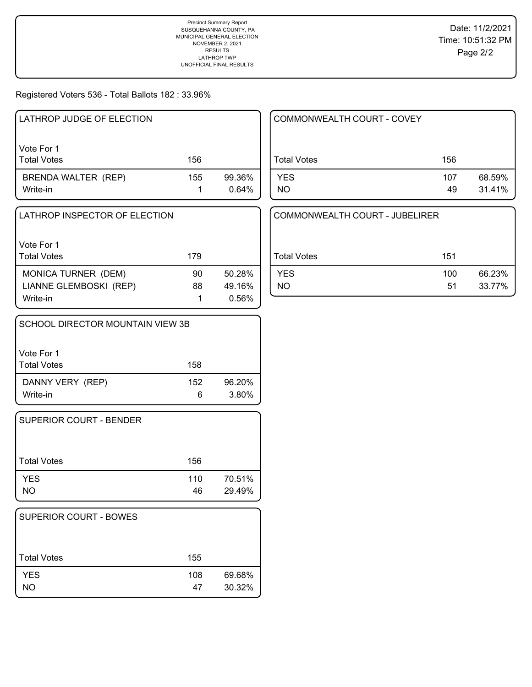# Registered Voters 536 - Total Ballots 182 : 33.96%

| LATHROP JUDGE OF ELECTION        |     |                 |
|----------------------------------|-----|-----------------|
| Vote For 1<br><b>Total Votes</b> | 156 |                 |
| BRENDA WALTER (REP)<br>Write-in  | 155 | 99.36%<br>0.64% |

| l Vote For 1<br>  Total Votes | 179 |        |
|-------------------------------|-----|--------|
| MONICA TURNER (DEM)           | 90  | 50.28% |
| LIANNE GLEMBOSKI (REP)        | 88  | 49.16% |
| Write-in                      |     | 0.56%  |

| SCHOOL DIRECTOR MOUNTAIN VIEW 3B |     |        |
|----------------------------------|-----|--------|
| Vote For 1<br><b>Total Votes</b> | 158 |        |
| DANNY VERY (REP)                 | 152 | 96.20% |
| Write-in                         | 6   | 3.80%  |

| <b>SUPERIOR COURT - BENDER</b> |           |                  |
|--------------------------------|-----------|------------------|
| Total Votes                    | 156       |                  |
| <b>YES</b><br><b>NO</b>        | 110<br>46 | 70.51%<br>29.49% |

| SUPERIOR COURT - BOWES |           |                  |
|------------------------|-----------|------------------|
| <b>Total Votes</b>     | 155       |                  |
| <b>YES</b><br>NΟ       | 108<br>47 | 69.68%<br>30.32% |

| COMMONWEALTH COURT - COVEY |           |                  |
|----------------------------|-----------|------------------|
| <b>Total Votes</b>         | 156       |                  |
| <b>YES</b><br>NO.          | 107<br>49 | 68.59%<br>31.41% |

| COMMONWEALTH COURT - JUBELIRER |     |        |
|--------------------------------|-----|--------|
| Total Votes                    | 151 |        |
| <b>YES</b>                     | 100 | 66.23% |
| NΟ                             | 51  | 33.77% |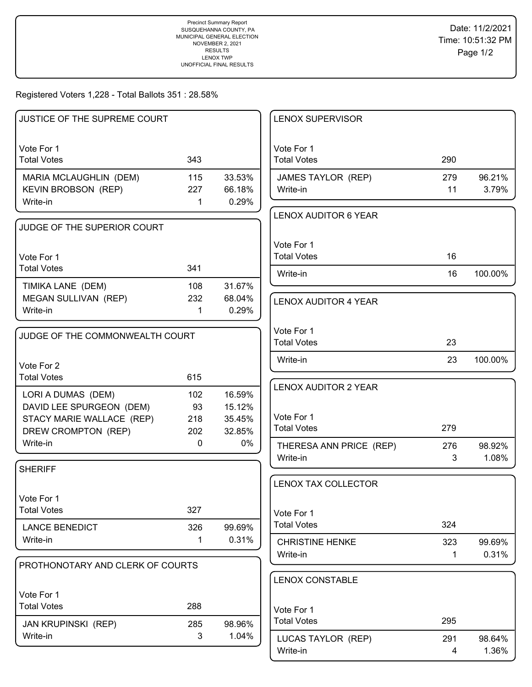Registered Voters 1,228 - Total Ballots 351 : 28.58%

| JUSTICE OF THE SUPREME COURT                                                                       |                         |                                      | <b>LENOX SUPERVISOR</b>                                         |            |                 |
|----------------------------------------------------------------------------------------------------|-------------------------|--------------------------------------|-----------------------------------------------------------------|------------|-----------------|
| Vote For 1<br><b>Total Votes</b>                                                                   | 343                     |                                      | Vote For 1<br><b>Total Votes</b>                                | 290        |                 |
| MARIA MCLAUGHLIN (DEM)<br><b>KEVIN BROBSON (REP)</b><br>Write-in                                   | 115<br>227<br>1         | 33.53%<br>66.18%<br>0.29%            | JAMES TAYLOR (REP)<br>Write-in                                  | 279<br>11  | 96.21%<br>3.79% |
| JUDGE OF THE SUPERIOR COURT                                                                        |                         |                                      | <b>LENOX AUDITOR 6 YEAR</b>                                     |            |                 |
| Vote For 1<br><b>Total Votes</b>                                                                   | 341                     |                                      | Vote For 1<br><b>Total Votes</b>                                | 16         |                 |
| TIMIKA LANE (DEM)                                                                                  | 108                     | 31.67%                               | Write-in                                                        | 16         | 100.00%         |
| MEGAN SULLIVAN (REP)<br>Write-in                                                                   | 232<br>1                | 68.04%<br>0.29%                      | <b>LENOX AUDITOR 4 YEAR</b>                                     |            |                 |
| JUDGE OF THE COMMONWEALTH COURT                                                                    |                         |                                      | Vote For 1<br><b>Total Votes</b>                                | 23         |                 |
| Vote For 2<br><b>Total Votes</b>                                                                   | 615                     |                                      | Write-in                                                        | 23         | 100.00%         |
| LORI A DUMAS (DEM)<br>DAVID LEE SPURGEON (DEM)<br>STACY MARIE WALLACE (REP)<br>DREW CROMPTON (REP) | 102<br>93<br>218<br>202 | 16.59%<br>15.12%<br>35.45%<br>32.85% | <b>LENOX AUDITOR 2 YEAR</b><br>Vote For 1<br><b>Total Votes</b> | 279        |                 |
| Write-in                                                                                           | $\mathbf 0$             | 0%                                   | THERESA ANN PRICE (REP)<br>Write-in                             | 276<br>3   | 98.92%<br>1.08% |
| <b>SHERIFF</b>                                                                                     |                         |                                      | <b>LENOX TAX COLLECTOR</b>                                      |            |                 |
| Vote For 1<br><b>Total Votes</b>                                                                   | 327                     |                                      | Vote For 1                                                      |            |                 |
| <b>LANCE BENEDICT</b><br>Write-in                                                                  | 326<br>1                | 99.69%<br>0.31%                      | <b>Total Votes</b><br><b>CHRISTINE HENKE</b>                    | 324<br>323 | 99.69%          |
| PROTHONOTARY AND CLERK OF COURTS                                                                   |                         |                                      | Write-in                                                        | 1          | 0.31%           |
| Vote For 1                                                                                         |                         |                                      | <b>LENOX CONSTABLE</b>                                          |            |                 |
| <b>Total Votes</b><br><b>JAN KRUPINSKI (REP)</b>                                                   | 288<br>285              | 98.96%                               | Vote For 1<br><b>Total Votes</b>                                | 295        |                 |
| Write-in                                                                                           | 3                       | 1.04%                                | LUCAS TAYLOR (REP)<br>Write-in                                  | 291<br>4   | 98.64%<br>1.36% |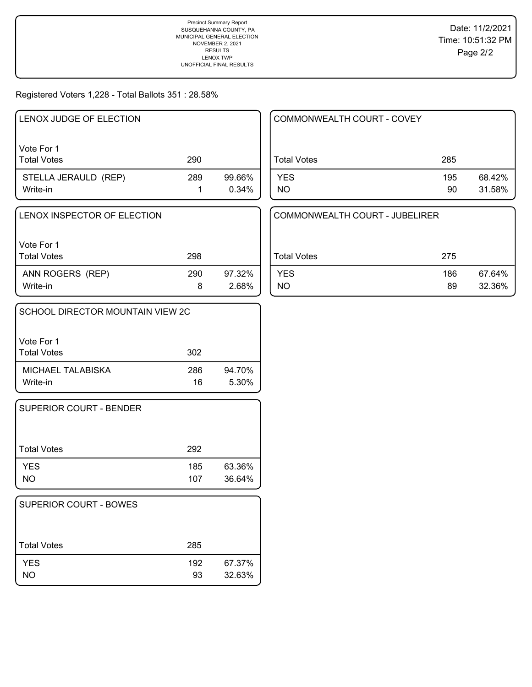### Registered Voters 1,228 - Total Ballots 351 : 28.58%

| LENOX JUDGE OF ELECTION          |     |                 |
|----------------------------------|-----|-----------------|
| Vote For 1<br><b>Total Votes</b> | 290 |                 |
| STELLA JERAULD (REP)<br>Write-in | 289 | 99.66%<br>0.34% |

| LENOX INSPECTOR OF ELECTION |  |
|-----------------------------|--|
|                             |  |
|                             |  |

| Vote For 1       |     |        |
|------------------|-----|--------|
| Total Votes      | 298 |        |
| ANN ROGERS (REP) | 290 | 97.32% |
| Write-in         |     | 2.68%  |

| SCHOOL DIRECTOR MOUNTAIN VIEW 2C |           |                 |
|----------------------------------|-----------|-----------------|
| Vote For 1<br><b>Total Votes</b> | 302       |                 |
| MICHAEL TALABISKA<br>Write-in    | 286<br>16 | 94.70%<br>5.30% |

| SUPERIOR COURT - BENDER |            |                  |
|-------------------------|------------|------------------|
| <b>Total Votes</b>      | 292        |                  |
| <b>YES</b><br><b>NO</b> | 185<br>107 | 63.36%<br>36.64% |

| <b>SUPERIOR COURT - BOWES</b> |           |                  |
|-------------------------------|-----------|------------------|
| <b>Total Votes</b>            | 285       |                  |
| <b>YES</b><br><b>NO</b>       | 192<br>93 | 67.37%<br>32.63% |

| COMMONWEALTH COURT - COVEY |           |                  |
|----------------------------|-----------|------------------|
| <b>Total Votes</b>         | 285       |                  |
| <b>YES</b><br><b>NO</b>    | 195<br>90 | 68.42%<br>31.58% |

| COMMONWEALTH COURT - JUBELIRER |     |        |
|--------------------------------|-----|--------|
| Total Votes                    | 275 |        |
| <b>YES</b>                     | 186 | 67.64% |
| NO.                            | 89  | 32.36% |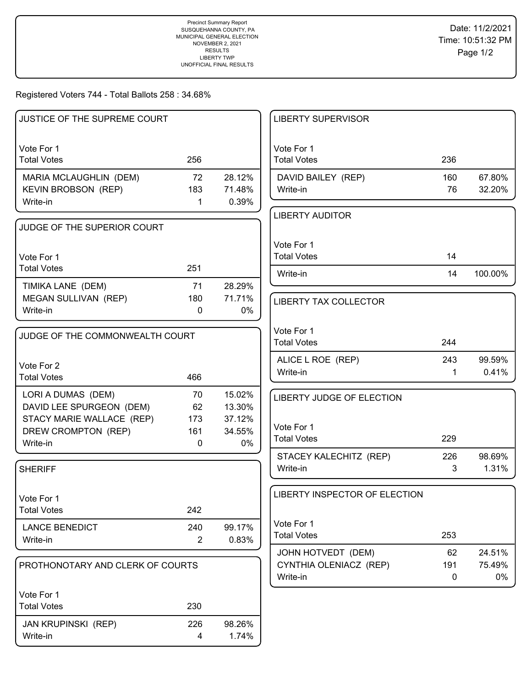### Registered Voters 744 - Total Ballots 258 : 34.68%

| JUSTICE OF THE SUPREME COURT                   |                       |                  | <b>LIBERTY SUPERVISOR</b>        |     |         |
|------------------------------------------------|-----------------------|------------------|----------------------------------|-----|---------|
| Vote For 1                                     |                       |                  | Vote For 1                       |     |         |
| <b>Total Votes</b>                             | 256                   |                  | <b>Total Votes</b>               | 236 |         |
| MARIA MCLAUGHLIN (DEM)                         | 72                    | 28.12%           | DAVID BAILEY (REP)               | 160 | 67.80%  |
| KEVIN BROBSON (REP)                            | 183                   | 71.48%           | Write-in                         | 76  | 32.20%  |
| Write-in                                       | $\mathbf 1$           | 0.39%            |                                  |     |         |
| JUDGE OF THE SUPERIOR COURT                    |                       |                  | <b>LIBERTY AUDITOR</b>           |     |         |
|                                                |                       |                  |                                  |     |         |
| Vote For 1                                     |                       |                  | Vote For 1<br><b>Total Votes</b> | 14  |         |
| <b>Total Votes</b>                             | 251                   |                  |                                  |     |         |
| TIMIKA LANE (DEM)                              | 71                    | 28.29%           | Write-in                         | 14  | 100.00% |
| MEGAN SULLIVAN (REP)                           | 180                   | 71.71%           | <b>LIBERTY TAX COLLECTOR</b>     |     |         |
| Write-in                                       | 0                     | $0\%$            |                                  |     |         |
|                                                |                       |                  | Vote For 1                       |     |         |
| JUDGE OF THE COMMONWEALTH COURT                |                       |                  | <b>Total Votes</b>               | 244 |         |
|                                                |                       |                  | ALICE L ROE (REP)                | 243 | 99.59%  |
| Vote For 2<br><b>Total Votes</b>               | 466                   |                  | Write-in                         | 1   | 0.41%   |
|                                                |                       |                  |                                  |     |         |
| LORI A DUMAS (DEM)<br>DAVID LEE SPURGEON (DEM) | 70<br>62              | 15.02%<br>13.30% | <b>LIBERTY JUDGE OF ELECTION</b> |     |         |
| STACY MARIE WALLACE (REP)                      | 173                   | 37.12%           |                                  |     |         |
| DREW CROMPTON (REP)                            | 161                   | 34.55%           | Vote For 1                       |     |         |
| Write-in                                       | 0                     | 0%               | <b>Total Votes</b>               | 229 |         |
|                                                |                       |                  | STACEY KALECHITZ (REP)           | 226 | 98.69%  |
| <b>SHERIFF</b>                                 |                       |                  | Write-in                         | 3   | 1.31%   |
|                                                |                       |                  | LIBERTY INSPECTOR OF ELECTION    |     |         |
| Vote For 1<br><b>Total Votes</b>               | 242                   |                  |                                  |     |         |
|                                                |                       |                  | Vote For 1                       |     |         |
| <b>LANCE BENEDICT</b><br>Write-in              | 240<br>$\overline{2}$ | 99.17%<br>0.83%  | <b>Total Votes</b>               | 253 |         |
|                                                |                       |                  | JOHN HOTVEDT (DEM)               | 62  | 24.51%  |
| PROTHONOTARY AND CLERK OF COURTS               |                       |                  | CYNTHIA OLENIACZ (REP)           | 191 | 75.49%  |
|                                                |                       |                  | Write-in                         | 0   | 0%      |
| Vote For 1                                     |                       |                  |                                  |     |         |
| <b>Total Votes</b>                             | 230                   |                  |                                  |     |         |
| JAN KRUPINSKI (REP)                            | 226                   | 98.26%           |                                  |     |         |
| Write-in                                       | 4                     | 1.74%            |                                  |     |         |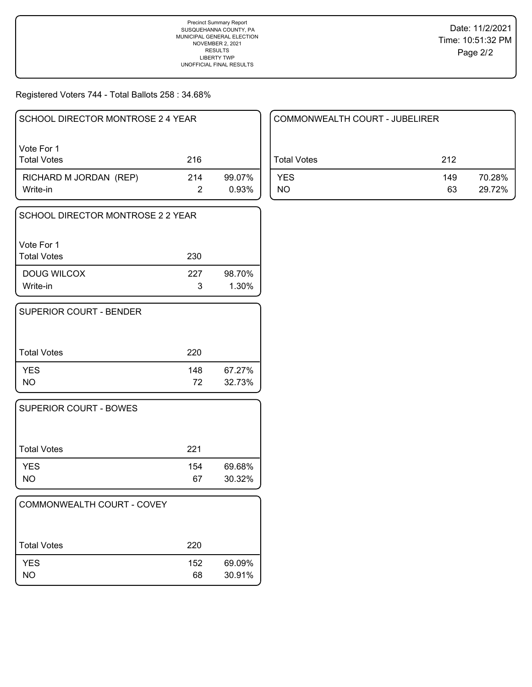Registered Voters 744 - Total Ballots 258 : 34.68%

| SCHOOL DIRECTOR MONTROSE 2 4 YEAR  |     |                 |
|------------------------------------|-----|-----------------|
| Vote For 1<br><b>Total Votes</b>   | 216 |                 |
| RICHARD M JORDAN (REP)<br>Write-in | 214 | 99.07%<br>0.93% |

| l SCHOOL DIRECTOR MONTROSE 2 2 YEAR |          |                    |
|-------------------------------------|----------|--------------------|
| l Vote For 1<br>l Total Votes       | 230      |                    |
| DOUG WILCOX<br>Write-in             | 227<br>3 | 98.70%<br>$1.30\%$ |

| SUPERIOR COURT - BENDER |           |                  |
|-------------------------|-----------|------------------|
| <b>Total Votes</b>      | 220       |                  |
| <b>YES</b><br>NO.       | 148<br>72 | 67.27%<br>32.73% |

| <b>SUPERIOR COURT - BOWES</b> |           |                  |
|-------------------------------|-----------|------------------|
| <b>Total Votes</b>            | 221       |                  |
| <b>YES</b><br>NO              | 154<br>67 | 69.68%<br>30.32% |

| COMMONWEALTH COURT - COVEY |           |                  |
|----------------------------|-----------|------------------|
| <b>Total Votes</b>         | 220       |                  |
| <b>YES</b><br>NO           | 152<br>68 | 69.09%<br>30.91% |

| COMMONWEALTH COURT - JUBELIRER |           |                  |
|--------------------------------|-----------|------------------|
| Total Votes                    | 212       |                  |
| <b>YES</b><br>NO               | 149<br>63 | 70.28%<br>29.72% |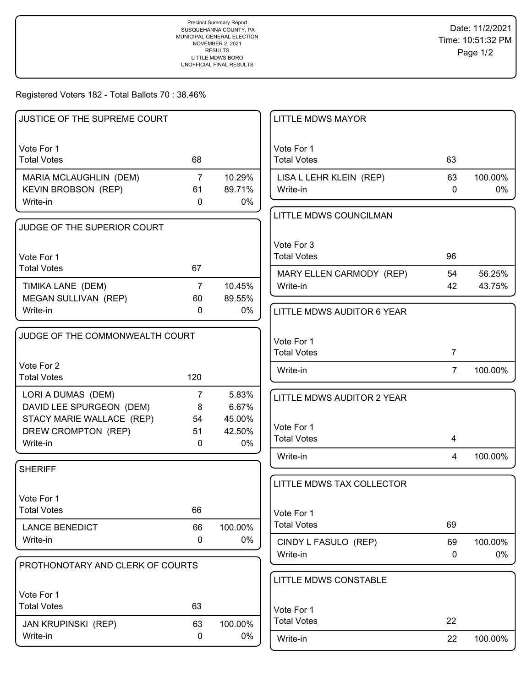Registered Voters 182 - Total Ballots 70 : 38.46%

| JUSTICE OF THE SUPREME COURT                   |                     |                | <b>LITTLE MDWS MAYOR</b>             |                    |               |
|------------------------------------------------|---------------------|----------------|--------------------------------------|--------------------|---------------|
| Vote For 1                                     |                     |                | Vote For 1                           |                    |               |
| <b>Total Votes</b>                             | 68                  |                | <b>Total Votes</b>                   | 63                 |               |
| MARIA MCLAUGHLIN (DEM)                         | $\overline{7}$      | 10.29%         | LISA L LEHR KLEIN (REP)              | 63                 | 100.00%       |
| <b>KEVIN BROBSON (REP)</b>                     | 61                  | 89.71%         | Write-in                             | $\mathbf{0}$       | 0%            |
| Write-in                                       | $\mathbf{0}$        | 0%             |                                      |                    |               |
| JUDGE OF THE SUPERIOR COURT                    |                     |                | LITTLE MDWS COUNCILMAN               |                    |               |
|                                                |                     |                |                                      |                    |               |
| Vote For 1                                     |                     |                | Vote For 3<br><b>Total Votes</b>     | 96                 |               |
| <b>Total Votes</b>                             | 67                  |                |                                      | 54                 | 56.25%        |
| TIMIKA LANE (DEM)                              | $\overline{7}$      | 10.45%         | MARY ELLEN CARMODY (REP)<br>Write-in | 42                 | 43.75%        |
| MEGAN SULLIVAN (REP)                           | 60                  | 89.55%         |                                      |                    |               |
| Write-in                                       | $\Omega$            | 0%             | LITTLE MDWS AUDITOR 6 YEAR           |                    |               |
|                                                |                     |                |                                      |                    |               |
| JUDGE OF THE COMMONWEALTH COURT                |                     |                | Vote For 1                           |                    |               |
|                                                |                     |                | <b>Total Votes</b>                   | $\overline{7}$     |               |
| Vote For 2<br><b>Total Votes</b>               | 120                 |                | Write-in                             | $\overline{7}$     | 100.00%       |
|                                                |                     |                |                                      |                    |               |
| LORI A DUMAS (DEM)<br>DAVID LEE SPURGEON (DEM) | $\overline{7}$<br>8 | 5.83%<br>6.67% | LITTLE MDWS AUDITOR 2 YEAR           |                    |               |
| STACY MARIE WALLACE (REP)                      | 54                  | 45.00%         |                                      |                    |               |
| DREW CROMPTON (REP)                            | 51                  | 42.50%         | Vote For 1                           |                    |               |
| Write-in                                       | $\mathbf{0}$        | 0%             | <b>Total Votes</b>                   | 4                  |               |
|                                                |                     |                | Write-in                             | $\overline{4}$     | 100.00%       |
| <b>SHERIFF</b>                                 |                     |                |                                      |                    |               |
|                                                |                     |                | LITTLE MDWS TAX COLLECTOR            |                    |               |
| Vote For 1<br><b>Total Votes</b>               | 66                  |                |                                      |                    |               |
|                                                |                     |                | Vote For 1<br><b>Total Votes</b>     | 69                 |               |
| <b>LANCE BENEDICT</b><br>Write-in              | 66<br>0             | 100.00%<br>0%  |                                      |                    |               |
|                                                |                     |                | CINDY L FASULO (REP)<br>Write-in     | 69<br>$\mathbf{0}$ | 100.00%<br>0% |
| PROTHONOTARY AND CLERK OF COURTS               |                     |                |                                      |                    |               |
|                                                |                     |                | LITTLE MDWS CONSTABLE                |                    |               |
| Vote For 1                                     |                     |                |                                      |                    |               |
| <b>Total Votes</b>                             | 63                  |                | Vote For 1                           |                    |               |
| <b>JAN KRUPINSKI (REP)</b>                     | 63                  | 100.00%        | <b>Total Votes</b>                   | 22                 |               |
| Write-in                                       | 0                   | 0%             | Write-in                             | 22                 | 100.00%       |
|                                                |                     |                |                                      |                    |               |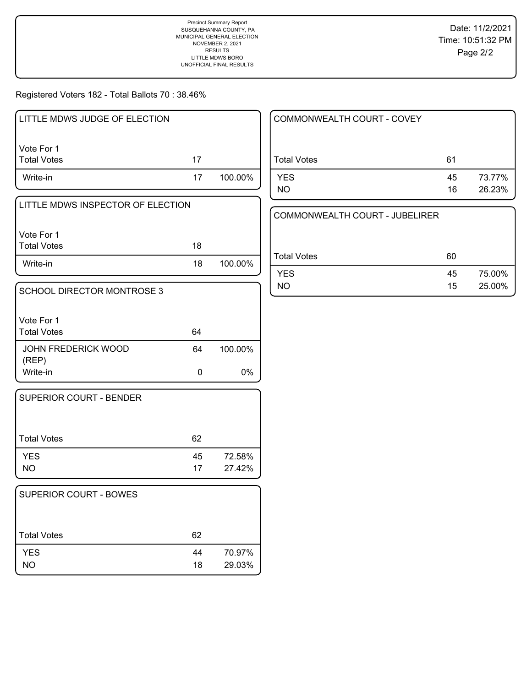Registered Voters 182 - Total Ballots 70 : 38.46%

| LITTLE MDWS JUDGE OF ELECTION |    |         |
|-------------------------------|----|---------|
| l Vote For 1<br>Total Votes   | 17 |         |
| Write-in                      | 17 | 100.00% |

| LITTLE MDWS INSPECTOR OF ELECTION |  |
|-----------------------------------|--|
|                                   |  |
| 11/1                              |  |

Vote For 1 Write-in 18 100.00% Total Votes 18

| SCHOOL DIRECTOR MONTROSE 3          |    |         |
|-------------------------------------|----|---------|
| Vote For 1<br><b>Total Votes</b>    | 64 |         |
| <b>JOHN FREDERICK WOOD</b><br>(REP) | 64 | 100.00% |
| Write-in                            |    | 0%      |

| SUPERIOR COURT - BENDER |          |                  |
|-------------------------|----------|------------------|
| <b>Total Votes</b>      | 62       |                  |
| <b>YES</b><br>NO.       | 45<br>17 | 72.58%<br>27.42% |

| 62       |                  |
|----------|------------------|
| 44<br>18 | 70.97%<br>29.03% |
|          |                  |

| COMMONWEALTH COURT - COVEY |          |                  |
|----------------------------|----------|------------------|
| <b>Total Votes</b>         | 61       |                  |
| <b>YES</b><br>NO.          | 45<br>16 | 73.77%<br>26.23% |

COMMONWEALTH COURT - JUBELIRER

| Total Votes | 60              |        |
|-------------|-----------------|--------|
| <b>YES</b>  | 45              | 75.00% |
| NO.         | 15 <sup>1</sup> | 25.00% |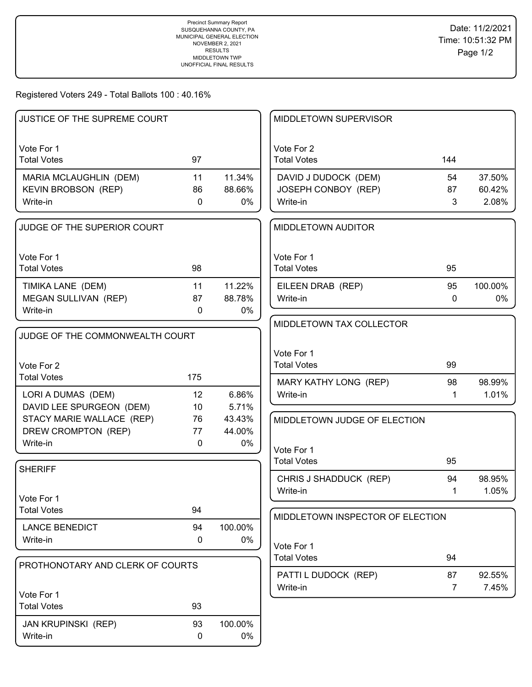Registered Voters 249 - Total Ballots 100 : 40.16%

| JUSTICE OF THE SUPREME COURT     |             |         | MIDDLETOWN SUPERVISOR              |                |                 |
|----------------------------------|-------------|---------|------------------------------------|----------------|-----------------|
| Vote For 1                       |             |         | Vote For 2                         |                |                 |
| <b>Total Votes</b>               | 97          |         | <b>Total Votes</b>                 | 144            |                 |
| MARIA MCLAUGHLIN (DEM)           | 11          | 11.34%  | DAVID J DUDOCK (DEM)               | 54             | 37.50%          |
| KEVIN BROBSON (REP)              | 86          | 88.66%  | JOSEPH CONBOY (REP)                | 87             | 60.42%          |
| Write-in                         | $\mathbf 0$ | 0%      | Write-in                           | 3              | 2.08%           |
| JUDGE OF THE SUPERIOR COURT      |             |         | <b>MIDDLETOWN AUDITOR</b>          |                |                 |
| Vote For 1                       |             |         | Vote For 1                         |                |                 |
| <b>Total Votes</b>               | 98          |         | <b>Total Votes</b>                 | 95             |                 |
| TIMIKA LANE (DEM)                | 11          | 11.22%  | EILEEN DRAB (REP)                  | 95             | 100.00%         |
| <b>MEGAN SULLIVAN (REP)</b>      | 87          | 88.78%  | Write-in                           | 0              | 0%              |
| Write-in                         | $\mathbf 0$ | 0%      |                                    |                |                 |
|                                  |             |         | MIDDLETOWN TAX COLLECTOR           |                |                 |
| JUDGE OF THE COMMONWEALTH COURT  |             |         |                                    |                |                 |
|                                  |             |         | Vote For 1                         |                |                 |
| Vote For 2                       |             |         | <b>Total Votes</b>                 | 99             |                 |
| <b>Total Votes</b>               | 175         |         | MARY KATHY LONG (REP)              | 98             | 98.99%          |
| LORI A DUMAS (DEM)               | 12          | 6.86%   | Write-in                           | $\mathbf 1$    | 1.01%           |
| DAVID LEE SPURGEON (DEM)         | 10          | 5.71%   |                                    |                |                 |
| STACY MARIE WALLACE (REP)        | 76          | 43.43%  | MIDDLETOWN JUDGE OF ELECTION       |                |                 |
| DREW CROMPTON (REP)              | 77          | 44.00%  |                                    |                |                 |
| Write-in                         | $\mathbf 0$ | 0%      | Vote For 1                         |                |                 |
|                                  |             |         | <b>Total Votes</b>                 | 95             |                 |
| <b>SHERIFF</b>                   |             |         |                                    |                |                 |
|                                  |             |         | CHRIS J SHADDUCK (REP)<br>Write-in | 94<br>1        | 98.95%<br>1.05% |
| Vote For 1                       |             |         |                                    |                |                 |
| <b>Total Votes</b>               | 94          |         | MIDDLETOWN INSPECTOR OF ELECTION   |                |                 |
| <b>LANCE BENEDICT</b>            | 94          | 100.00% |                                    |                |                 |
| Write-in                         | 0           | 0%      |                                    |                |                 |
|                                  |             |         | Vote For 1<br><b>Total Votes</b>   | 94             |                 |
| PROTHONOTARY AND CLERK OF COURTS |             |         |                                    |                |                 |
|                                  |             |         | PATTI L DUDOCK (REP)               | 87             | 92.55%          |
| Vote For 1                       |             |         | Write-in                           | $\overline{7}$ | 7.45%           |
| <b>Total Votes</b>               | 93          |         |                                    |                |                 |
| JAN KRUPINSKI (REP)              | 93          | 100.00% |                                    |                |                 |
| Write-in                         | 0           | 0%      |                                    |                |                 |
|                                  |             |         |                                    |                |                 |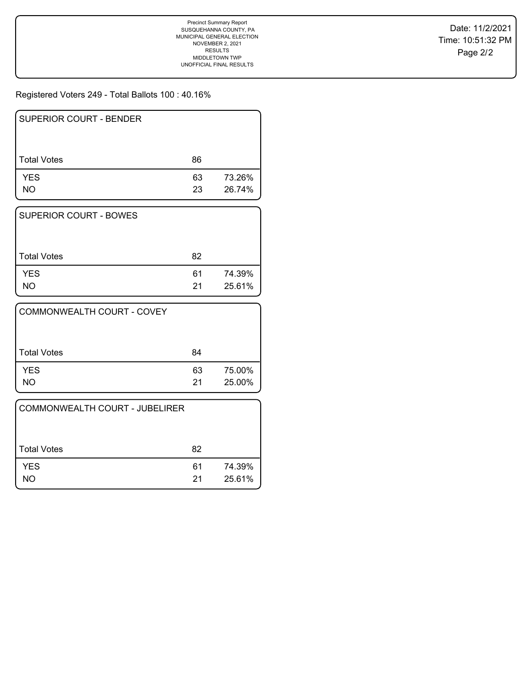Registered Voters 249 - Total Ballots 100 : 40.16%

| <b>SUPERIOR COURT - BENDER</b> |          |                  |
|--------------------------------|----------|------------------|
| <b>Total Votes</b>             | 86       |                  |
| <b>YES</b><br>NO.              | 63<br>23 | 73.26%<br>26.74% |

| <b>SUPERIOR COURT - BOWES</b> |    |        |
|-------------------------------|----|--------|
|                               |    |        |
| <b>Total Votes</b>            | 82 |        |
| <b>YES</b>                    | 61 | 74.39% |
| NΟ                            | 21 | 25.61% |

| COMMONWEALTH COURT - COVEY |          |                  |
|----------------------------|----------|------------------|
| <b>Total Votes</b>         | 84       |                  |
| <b>YES</b><br>NΟ           | 63<br>21 | 75.00%<br>25.00% |

| COMMONWEALTH COURT - JUBELIRER |          |                  |
|--------------------------------|----------|------------------|
| <b>Total Votes</b>             | 82       |                  |
| <b>YES</b><br>NΟ               | 61<br>21 | 74.39%<br>25.61% |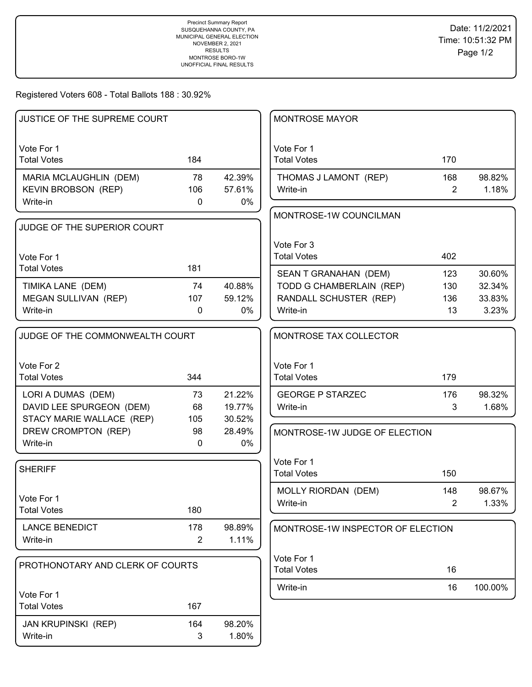Registered Voters 608 - Total Ballots 188 : 30.92%

| JUSTICE OF THE SUPREME COURT     |                |        | <b>MONTROSE MAYOR</b>             |                |         |
|----------------------------------|----------------|--------|-----------------------------------|----------------|---------|
| Vote For 1                       |                |        | Vote For 1                        |                |         |
| <b>Total Votes</b>               | 184            |        | <b>Total Votes</b>                | 170            |         |
| MARIA MCLAUGHLIN (DEM)           | 78             | 42.39% | THOMAS J LAMONT (REP)             | 168            | 98.82%  |
| <b>KEVIN BROBSON (REP)</b>       | 106            | 57.61% | Write-in                          | $\overline{2}$ | 1.18%   |
| Write-in                         | $\mathbf 0$    | 0%     |                                   |                |         |
| JUDGE OF THE SUPERIOR COURT      |                |        | MONTROSE-1W COUNCILMAN            |                |         |
|                                  |                |        |                                   |                |         |
|                                  |                |        | Vote For 3                        |                |         |
| Vote For 1<br><b>Total Votes</b> | 181            |        | <b>Total Votes</b>                | 402            |         |
|                                  |                |        | SEAN T GRANAHAN (DEM)             | 123            | 30.60%  |
| TIMIKA LANE (DEM)                | 74             | 40.88% | TODD G CHAMBERLAIN (REP)          | 130            | 32.34%  |
| MEGAN SULLIVAN (REP)             | 107            | 59.12% | RANDALL SCHUSTER (REP)            | 136            | 33.83%  |
| Write-in                         | $\mathbf 0$    | $0\%$  | Write-in                          | 13             | 3.23%   |
| JUDGE OF THE COMMONWEALTH COURT  |                |        | MONTROSE TAX COLLECTOR            |                |         |
|                                  |                |        |                                   |                |         |
| Vote For 2                       |                |        | Vote For 1                        |                |         |
| <b>Total Votes</b>               | 344            |        | <b>Total Votes</b>                | 179            |         |
| LORI A DUMAS (DEM)               | 73             | 21.22% | <b>GEORGE P STARZEC</b>           | 176            | 98.32%  |
| DAVID LEE SPURGEON (DEM)         | 68             | 19.77% | Write-in                          | 3              | 1.68%   |
| STACY MARIE WALLACE (REP)        | 105            | 30.52% |                                   |                |         |
| DREW CROMPTON (REP)              | 98             | 28.49% | MONTROSE-1W JUDGE OF ELECTION     |                |         |
| Write-in                         | $\mathbf 0$    | $0\%$  |                                   |                |         |
|                                  |                |        | Vote For 1                        |                |         |
| <b>SHERIFF</b>                   |                |        | <b>Total Votes</b>                | 150            |         |
|                                  |                |        | MOLLY RIORDAN (DEM)               | 148            | 98.67%  |
| Vote For 1                       |                |        | Write-in                          | $\overline{2}$ | 1.33%   |
| <b>Total Votes</b>               | 180            |        |                                   |                |         |
| <b>LANCE BENEDICT</b>            | 178            | 98.89% | MONTROSE-1W INSPECTOR OF ELECTION |                |         |
| Write-in                         | $\overline{2}$ | 1.11%  |                                   |                |         |
|                                  |                |        | Vote For 1                        |                |         |
| PROTHONOTARY AND CLERK OF COURTS |                |        | <b>Total Votes</b>                | 16             |         |
| Vote For 1                       |                |        | Write-in                          | 16             | 100.00% |
| <b>Total Votes</b>               | 167            |        |                                   |                |         |
| JAN KRUPINSKI (REP)              | 164            | 98.20% |                                   |                |         |
| Write-in                         | 3              | 1.80%  |                                   |                |         |
|                                  |                |        |                                   |                |         |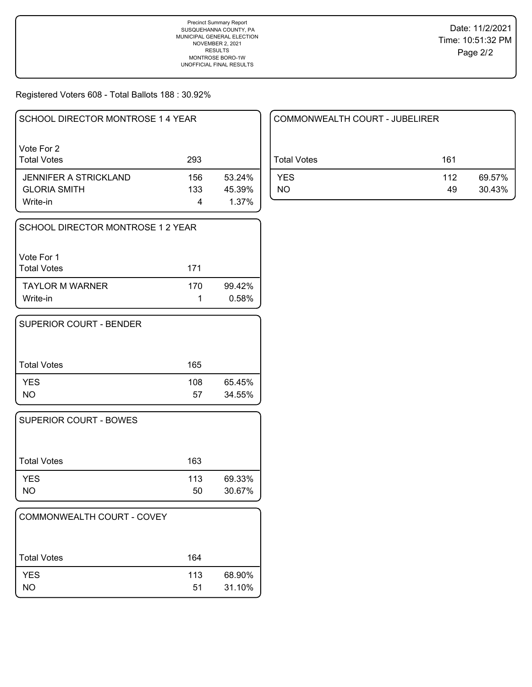Registered Voters 608 - Total Ballots 188 : 30.92%

| SCHOOL DIRECTOR MONTROSE 1 4 YEAR |     |        |
|-----------------------------------|-----|--------|
| Vote For 2<br><b>Total Votes</b>  | 293 |        |
| JENNIFER A STRICKLAND             | 156 | 53.24% |
| <b>GLORIA SMITH</b>               | 133 | 45.39% |
| Write-in                          | 4   | 1.37%  |

| SCHOOL DIRECTOR MONTROSE 1 2 YEAR  |     |                 |
|------------------------------------|-----|-----------------|
| Vote For 1<br><b>Total Votes</b>   | 171 |                 |
| <b>TAYLOR M WARNER</b><br>Write-in | 170 | 99.42%<br>0.58% |

| SUPERIOR COURT - BENDER |     |        |
|-------------------------|-----|--------|
| <b>Total Votes</b>      | 165 |        |
| <b>YES</b>              | 108 | 65.45% |
| <b>NO</b>               | 57  | 34.55% |

| <b>SUPERIOR COURT - BOWES</b> |           |                  |
|-------------------------------|-----------|------------------|
| Total Votes                   | 163       |                  |
| <b>YES</b><br>NO              | 113<br>50 | 69.33%<br>30.67% |

| COMMONWEALTH COURT - COVEY |           |                  |
|----------------------------|-----------|------------------|
| ⊦Total Votes               | 164       |                  |
| <b>YES</b><br><b>NO</b>    | 113<br>51 | 68.90%<br>31.10% |

| COMMONWEALTH COURT - JUBELIRER |           |                  |
|--------------------------------|-----------|------------------|
| Total Votes                    | 161       |                  |
| <b>YES</b><br>NΟ               | 112<br>49 | 69.57%<br>30.43% |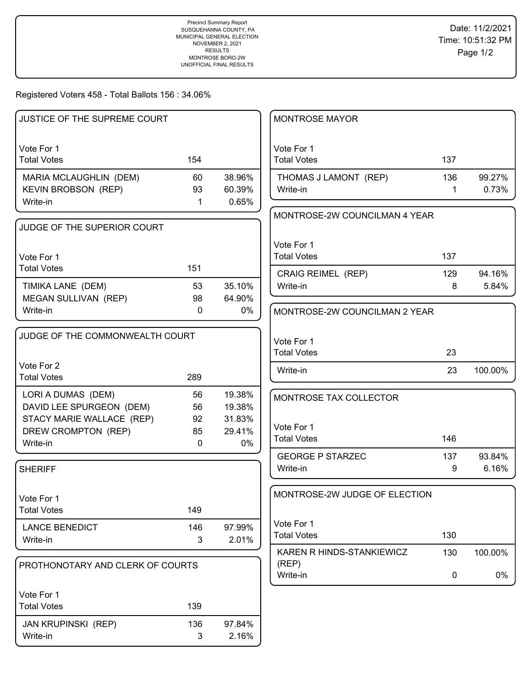Registered Voters 458 - Total Ballots 156 : 34.06%

| <b>JUSTICE OF THE SUPREME COURT</b>       |              |                  | <b>MONTROSE MAYOR</b>            |              |         |
|-------------------------------------------|--------------|------------------|----------------------------------|--------------|---------|
| Vote For 1                                |              |                  | Vote For 1                       |              |         |
| <b>Total Votes</b>                        | 154          |                  | <b>Total Votes</b>               | 137          |         |
| MARIA MCLAUGHLIN (DEM)                    | 60           | 38.96%           | THOMAS J LAMONT (REP)            | 136          | 99.27%  |
| <b>KEVIN BROBSON (REP)</b>                | 93           | 60.39%           | Write-in                         | $\mathbf{1}$ | 0.73%   |
| Write-in                                  | 1            | 0.65%            |                                  |              |         |
| JUDGE OF THE SUPERIOR COURT               |              |                  | MONTROSE-2W COUNCILMAN 4 YEAR    |              |         |
|                                           |              |                  |                                  |              |         |
| Vote For 1                                |              |                  | Vote For 1<br><b>Total Votes</b> | 137          |         |
| <b>Total Votes</b>                        | 151          |                  |                                  |              |         |
|                                           |              |                  | CRAIG REIMEL (REP)               | 129          | 94.16%  |
| TIMIKA LANE (DEM)<br>MEGAN SULLIVAN (REP) | 53<br>98     | 35.10%<br>64.90% | Write-in                         | 8            | 5.84%   |
| Write-in                                  | $\mathbf{0}$ | 0%               | MONTROSE-2W COUNCILMAN 2 YEAR    |              |         |
|                                           |              |                  |                                  |              |         |
| JUDGE OF THE COMMONWEALTH COURT           |              |                  | Vote For 1                       |              |         |
|                                           |              |                  | <b>Total Votes</b>               | 23           |         |
| Vote For 2                                |              |                  |                                  | 23           |         |
| <b>Total Votes</b>                        | 289          |                  | Write-in                         |              | 100.00% |
| LORI A DUMAS (DEM)                        | 56           | 19.38%           | MONTROSE TAX COLLECTOR           |              |         |
| DAVID LEE SPURGEON (DEM)                  | 56           | 19.38%           |                                  |              |         |
| STACY MARIE WALLACE (REP)                 | 92           | 31.83%           |                                  |              |         |
| DREW CROMPTON (REP)                       | 85           | 29.41%           | Vote For 1<br><b>Total Votes</b> | 146          |         |
| Write-in                                  | $\mathbf{0}$ | 0%               |                                  |              |         |
|                                           |              |                  | <b>GEORGE P STARZEC</b>          | 137          | 93.84%  |
| <b>SHERIFF</b>                            |              |                  | Write-in                         | 9            | 6.16%   |
|                                           |              |                  | MONTROSE-2W JUDGE OF ELECTION    |              |         |
| Vote For 1<br><b>Total Votes</b>          | 149          |                  |                                  |              |         |
|                                           |              |                  | Vote For 1                       |              |         |
| <b>LANCE BENEDICT</b>                     | 146          | 97.99%           | <b>Total Votes</b>               | 130          |         |
| Write-in                                  | 3            | 2.01%            | KAREN R HINDS-STANKIEWICZ        |              |         |
| PROTHONOTARY AND CLERK OF COURTS          |              |                  | (REP)                            | 130          | 100.00% |
|                                           |              |                  | Write-in                         | 0            | 0%      |
| Vote For 1                                |              |                  |                                  |              |         |
| <b>Total Votes</b>                        | 139          |                  |                                  |              |         |
| <b>JAN KRUPINSKI (REP)</b>                | 136          | 97.84%           |                                  |              |         |
| Write-in                                  | 3            | 2.16%            |                                  |              |         |
|                                           |              |                  |                                  |              |         |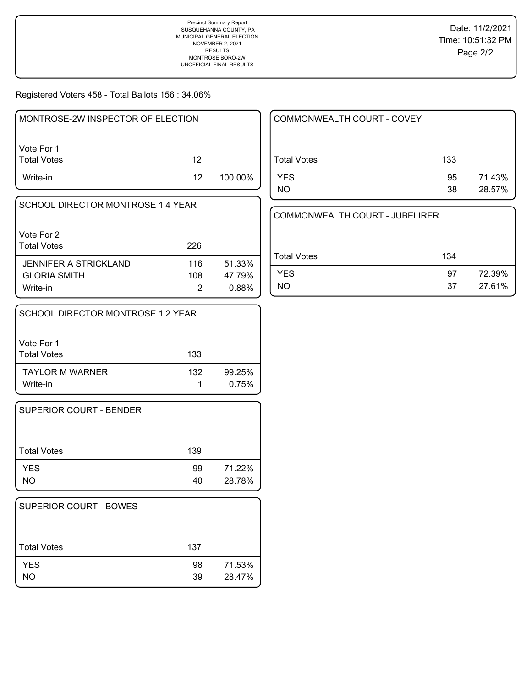Registered Voters 458 - Total Ballots 156 : 34.06%

| MONTROSE-2W INSPECTOR OF ELECTION |     |         |
|-----------------------------------|-----|---------|
| l Vote For 1<br>  Total Votes     | 12  |         |
| Write-in                          | 12. | 100.00% |

| SCHOOL DIRECTOR MONTROSE 1 4 YEAR |
|-----------------------------------|
|                                   |
| Vote For 2                        |

| l Total Votes         | 226 |        |
|-----------------------|-----|--------|
| JENNIFER A STRICKLAND | 116 | 51.33% |
| <b>GLORIA SMITH</b>   | 108 | 47.79% |
| Write-in              |     | 0.88%  |

| SCHOOL DIRECTOR MONTROSE 1 2 YEAR  |     |                 |
|------------------------------------|-----|-----------------|
| Vote For 1<br><b>Total Votes</b>   | 133 |                 |
| <b>TAYLOR M WARNER</b><br>Write-in | 132 | 99.25%<br>0.75% |

| SUPERIOR COURT - BENDER |     |        |
|-------------------------|-----|--------|
| Total Votes             | 139 |        |
| <b>YES</b>              | 99  | 71.22% |
| NO                      | 40  | 28.78% |

| <b>SUPERIOR COURT - BOWES</b> |          |                  |
|-------------------------------|----------|------------------|
| <b>Total Votes</b>            | 137      |                  |
| <b>YES</b><br>NO              | 98<br>39 | 71.53%<br>28.47% |

| COMMONWEALTH COURT - COVEY |          |                  |
|----------------------------|----------|------------------|
| <b>Total Votes</b>         | 133      |                  |
| <b>YES</b><br>NO.          | 95<br>38 | 71.43%<br>28.57% |

```
COMMONWEALTH COURT - JUBELIRER
```

| Total Votes | 134 |        |
|-------------|-----|--------|
| <b>YES</b>  | 97  | 72.39% |
| NO.         | 37  | 27.61% |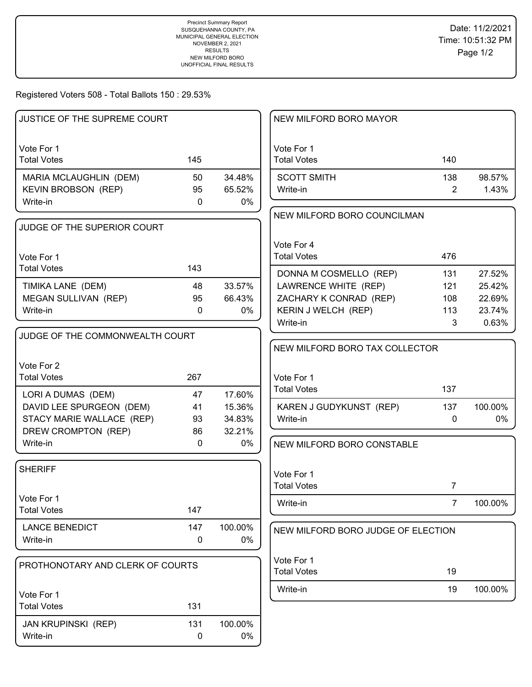Registered Voters 508 - Total Ballots 150 : 29.53%

| JUSTICE OF THE SUPREME COURT                         |              |                  | NEW MILFORD BORO MAYOR             |                |                 |
|------------------------------------------------------|--------------|------------------|------------------------------------|----------------|-----------------|
| Vote For 1<br><b>Total Votes</b>                     | 145          |                  | Vote For 1<br><b>Total Votes</b>   | 140            |                 |
|                                                      |              |                  |                                    |                |                 |
| MARIA MCLAUGHLIN (DEM)<br><b>KEVIN BROBSON (REP)</b> | 50<br>95     | 34.48%<br>65.52% | <b>SCOTT SMITH</b><br>Write-in     | 138<br>2       | 98.57%<br>1.43% |
| Write-in                                             | $\mathbf{0}$ | 0%               |                                    |                |                 |
|                                                      |              |                  | NEW MILFORD BORO COUNCILMAN        |                |                 |
| JUDGE OF THE SUPERIOR COURT                          |              |                  |                                    |                |                 |
|                                                      |              |                  | Vote For 4                         |                |                 |
| Vote For 1                                           |              |                  | <b>Total Votes</b>                 | 476            |                 |
| <b>Total Votes</b>                                   | 143          |                  | DONNA M COSMELLO (REP)             | 131            | 27.52%          |
| TIMIKA LANE (DEM)                                    | 48           | 33.57%           | LAWRENCE WHITE (REP)               | 121            | 25.42%          |
| MEGAN SULLIVAN (REP)                                 | 95           | 66.43%           | ZACHARY K CONRAD (REP)             | 108            | 22.69%          |
| Write-in                                             | $\mathbf{0}$ | 0%               | KERIN J WELCH (REP)                | 113            | 23.74%          |
|                                                      |              |                  | Write-in                           | 3              | 0.63%           |
| JUDGE OF THE COMMONWEALTH COURT                      |              |                  |                                    |                |                 |
|                                                      |              |                  | NEW MILFORD BORO TAX COLLECTOR     |                |                 |
| Vote For 2                                           |              |                  |                                    |                |                 |
| <b>Total Votes</b>                                   | 267          |                  | Vote For 1                         |                |                 |
| LORI A DUMAS (DEM)                                   | 47           | 17.60%           | <b>Total Votes</b>                 | 137            |                 |
| DAVID LEE SPURGEON (DEM)                             | 41           | 15.36%           | KAREN J GUDYKUNST (REP)            | 137            | 100.00%         |
| STACY MARIE WALLACE (REP)                            | 93           | 34.83%           | Write-in                           | 0              | 0%              |
| DREW CROMPTON (REP)                                  | 86           | 32.21%           |                                    |                |                 |
| Write-in                                             | $\mathbf{0}$ | 0%               | NEW MILFORD BORO CONSTABLE         |                |                 |
|                                                      |              |                  |                                    |                |                 |
| <b>SHERIFF</b>                                       |              |                  | Vote For 1                         |                |                 |
|                                                      |              |                  | <b>Total Votes</b>                 | $\overline{7}$ |                 |
| Vote For 1                                           |              |                  | Write-in                           | $\overline{7}$ | 100.00%         |
| <b>Total Votes</b>                                   | 147          |                  |                                    |                |                 |
| <b>LANCE BENEDICT</b>                                | 147          | 100.00%          | NEW MILFORD BORO JUDGE OF ELECTION |                |                 |
| Write-in                                             | 0            | 0%               |                                    |                |                 |
|                                                      |              |                  | Vote For 1                         |                |                 |
| PROTHONOTARY AND CLERK OF COURTS                     |              |                  | <b>Total Votes</b>                 | 19             |                 |
|                                                      |              |                  | Write-in                           | 19             | 100.00%         |
| Vote For 1<br><b>Total Votes</b>                     | 131          |                  |                                    |                |                 |
|                                                      |              |                  |                                    |                |                 |
| <b>JAN KRUPINSKI (REP)</b>                           | 131          | 100.00%          |                                    |                |                 |
| Write-in                                             | 0            | 0%               |                                    |                |                 |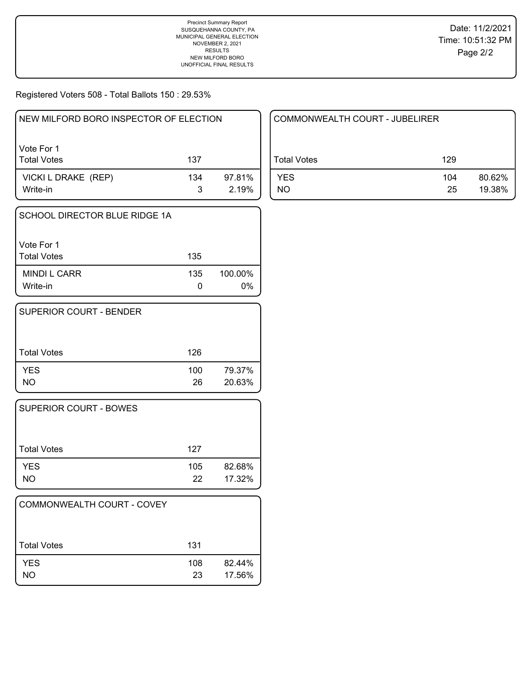Registered Voters 508 - Total Ballots 150 : 29.53%

| NEW MILFORD BORO INSPECTOR OF ELECTION |     |                 |  |  |
|----------------------------------------|-----|-----------------|--|--|
| Vote For 1<br><b>Total Votes</b>       | 137 |                 |  |  |
| VICKI L DRAKE (REP)<br>Write-in        | 134 | 97.81%<br>2.19% |  |  |

| SCHOOL DIRECTOR BLUE RIDGE 1A    |     |                  |
|----------------------------------|-----|------------------|
| Vote For 1<br><b>Total Votes</b> | 135 |                  |
| MINDI L CARR<br>Write-in         | 135 | 100.00%<br>$0\%$ |

| <b>SUPERIOR COURT - BENDER</b> |           |                  |
|--------------------------------|-----------|------------------|
| <b>Total Votes</b>             | 126       |                  |
| <b>YES</b><br>NO.              | 100<br>26 | 79.37%<br>20.63% |

| <b>SUPERIOR COURT - BOWES</b> |           |                  |
|-------------------------------|-----------|------------------|
| Total Votes                   | 127       |                  |
| <b>YES</b><br>NO              | 105<br>22 | 82.68%<br>17.32% |

| COMMONWEALTH COURT - COVEY |           |                  |
|----------------------------|-----------|------------------|
| <b>Total Votes</b>         | 131       |                  |
| <b>YES</b><br>NO           | 108<br>23 | 82.44%<br>17.56% |

| COMMONWEALTH COURT - JUBELIRER |           |                  |  |  |
|--------------------------------|-----------|------------------|--|--|
| Total Votes                    | 129       |                  |  |  |
| <b>YES</b><br>NO.              | 104<br>25 | 80.62%<br>19.38% |  |  |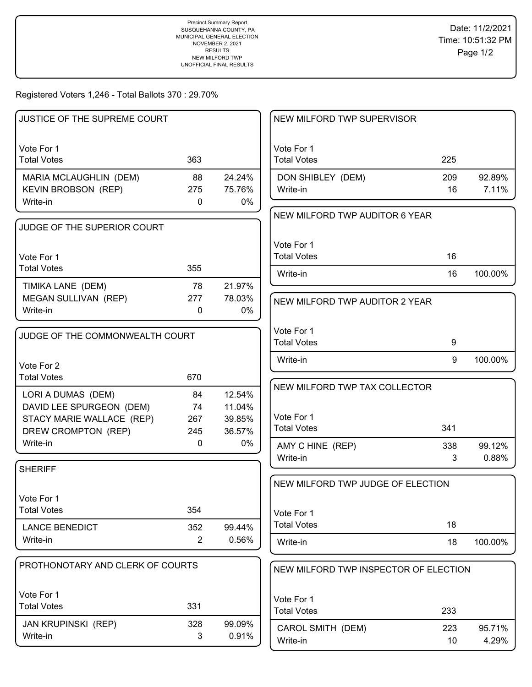Registered Voters 1,246 - Total Ballots 370 : 29.70%

| <b>JUSTICE OF THE SUPREME COURT</b>                                                                |                        |                                      | NEW MILFORD TWP SUPERVISOR                                        |           |                 |
|----------------------------------------------------------------------------------------------------|------------------------|--------------------------------------|-------------------------------------------------------------------|-----------|-----------------|
| Vote For 1<br><b>Total Votes</b>                                                                   | 363                    |                                      | Vote For 1<br><b>Total Votes</b>                                  | 225       |                 |
| MARIA MCLAUGHLIN (DEM)<br><b>KEVIN BROBSON (REP)</b><br>Write-in                                   | 88<br>275<br>0         | 24.24%<br>75.76%<br>0%               | DON SHIBLEY (DEM)<br>Write-in                                     | 209<br>16 | 92.89%<br>7.11% |
| JUDGE OF THE SUPERIOR COURT                                                                        |                        |                                      | NEW MILFORD TWP AUDITOR 6 YEAR                                    |           |                 |
| Vote For 1<br><b>Total Votes</b>                                                                   | 355                    |                                      | Vote For 1<br><b>Total Votes</b>                                  | 16        |                 |
| TIMIKA LANE (DEM)                                                                                  | 78                     | 21.97%                               | Write-in                                                          | 16        | 100.00%         |
| <b>MEGAN SULLIVAN (REP)</b><br>Write-in                                                            | 277<br>0               | 78.03%<br>0%                         | NEW MILFORD TWP AUDITOR 2 YEAR                                    |           |                 |
| JUDGE OF THE COMMONWEALTH COURT                                                                    |                        |                                      | Vote For 1<br><b>Total Votes</b>                                  | 9         |                 |
| Vote For 2<br><b>Total Votes</b>                                                                   | 670                    |                                      | Write-in                                                          | 9         | 100.00%         |
| LORI A DUMAS (DEM)<br>DAVID LEE SPURGEON (DEM)<br>STACY MARIE WALLACE (REP)<br>DREW CROMPTON (REP) | 84<br>74<br>267<br>245 | 12.54%<br>11.04%<br>39.85%<br>36.57% | NEW MILFORD TWP TAX COLLECTOR<br>Vote For 1<br><b>Total Votes</b> | 341       |                 |
| Write-in                                                                                           | 0                      | 0%                                   | AMY C HINE (REP)<br>Write-in                                      | 338<br>3  | 99.12%<br>0.88% |
| <b>SHERIFF</b>                                                                                     |                        |                                      | NEW MILFORD TWP JUDGE OF ELECTION                                 |           |                 |
| Vote For 1<br><b>Total Votes</b>                                                                   | 354                    |                                      | Vote For 1                                                        |           |                 |
| <b>LANCE BENEDICT</b><br>Write-in                                                                  | 352<br>$\overline{2}$  | 99.44%<br>0.56%                      | <b>Total Votes</b>                                                | 18        |                 |
|                                                                                                    |                        |                                      | Write-in                                                          | 18        | 100.00%         |
| PROTHONOTARY AND CLERK OF COURTS                                                                   |                        |                                      | NEW MILFORD TWP INSPECTOR OF ELECTION                             |           |                 |
| Vote For 1<br><b>Total Votes</b>                                                                   | 331                    |                                      | Vote For 1<br><b>Total Votes</b>                                  | 233       |                 |
| <b>JAN KRUPINSKI (REP)</b><br>Write-in                                                             | 328<br>3               | 99.09%<br>0.91%                      | CAROL SMITH (DEM)<br>Write-in                                     | 223<br>10 | 95.71%<br>4.29% |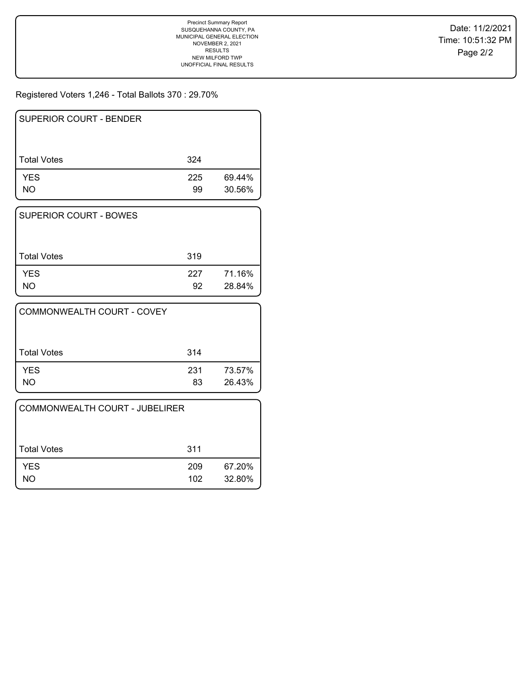Registered Voters 1,246 - Total Ballots 370 : 29.70%

| <b>SUPERIOR COURT - BENDER</b> |           |                  |
|--------------------------------|-----------|------------------|
| <b>Total Votes</b>             | 324       |                  |
| <b>YES</b><br>NO.              | 225<br>99 | 69.44%<br>30.56% |

| SUPERIOR COURT - BOWES |           |                  |
|------------------------|-----------|------------------|
| Total Votes            | 319       |                  |
| <b>YES</b><br>NO.      | 227<br>92 | 71.16%<br>28.84% |

| COMMONWEALTH COURT - COVEY |           |                  |
|----------------------------|-----------|------------------|
| Total Votes                | 314       |                  |
| <b>YES</b><br>NΟ           | 231<br>83 | 73.57%<br>26.43% |

| COMMONWEALTH COURT - JUBELIRER |            |                  |
|--------------------------------|------------|------------------|
| Total Votes                    | 311        |                  |
| <b>YES</b><br>NO               | 209<br>102 | 67.20%<br>32.80% |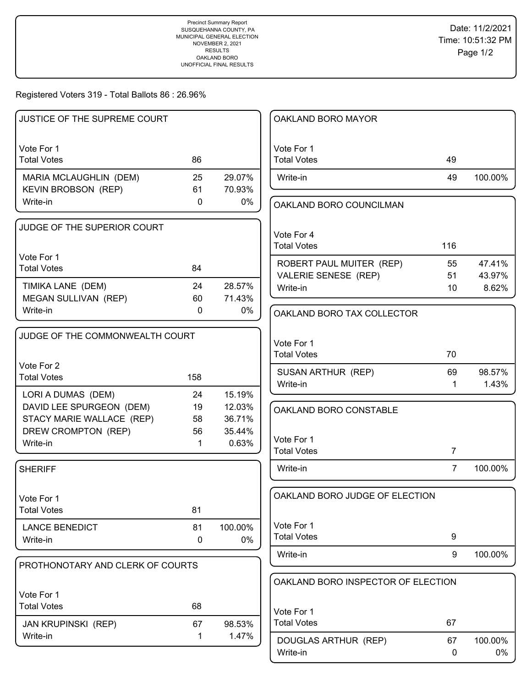Registered Voters 319 - Total Ballots 86 : 26.96%

| JUSTICE OF THE SUPREME COURT                     |             |                  | OAKLAND BORO MAYOR                 |                |         |
|--------------------------------------------------|-------------|------------------|------------------------------------|----------------|---------|
| Vote For 1                                       |             |                  | Vote For 1                         |                |         |
| <b>Total Votes</b>                               | 86          |                  | <b>Total Votes</b>                 | 49             |         |
| MARIA MCLAUGHLIN (DEM)                           | 25          | 29.07%           | Write-in                           | 49             | 100.00% |
| <b>KEVIN BROBSON (REP)</b>                       | 61          | 70.93%           |                                    |                |         |
| Write-in                                         | $\mathbf 0$ | 0%               | OAKLAND BORO COUNCILMAN            |                |         |
| JUDGE OF THE SUPERIOR COURT                      |             |                  |                                    |                |         |
|                                                  |             |                  | Vote For 4<br><b>Total Votes</b>   | 116            |         |
| Vote For 1                                       |             |                  |                                    |                |         |
| <b>Total Votes</b>                               | 84          |                  | ROBERT PAUL MUITER (REP)           | 55             | 47.41%  |
|                                                  |             |                  | VALERIE SENESE (REP)               | 51             | 43.97%  |
| TIMIKA LANE (DEM)<br>MEGAN SULLIVAN (REP)        | 24<br>60    | 28.57%<br>71.43% | Write-in                           | 10             | 8.62%   |
| Write-in                                         | 0           | 0%               |                                    |                |         |
|                                                  |             |                  | OAKLAND BORO TAX COLLECTOR         |                |         |
| JUDGE OF THE COMMONWEALTH COURT                  |             |                  |                                    |                |         |
|                                                  |             |                  | Vote For 1                         |                |         |
| Vote For 2                                       |             |                  | <b>Total Votes</b>                 | 70             |         |
| <b>Total Votes</b>                               | 158         |                  | SUSAN ARTHUR (REP)                 | 69             | 98.57%  |
|                                                  |             |                  | Write-in                           | $\mathbf 1$    | 1.43%   |
| LORI A DUMAS (DEM)                               | 24          | 15.19%           |                                    |                |         |
| DAVID LEE SPURGEON (DEM)                         | 19          | 12.03%           | OAKLAND BORO CONSTABLE             |                |         |
| STACY MARIE WALLACE (REP)<br>DREW CROMPTON (REP) | 58<br>56    | 36.71%<br>35.44% |                                    |                |         |
| Write-in                                         | 1           | 0.63%            | Vote For 1                         |                |         |
|                                                  |             |                  | <b>Total Votes</b>                 | $\overline{7}$ |         |
| <b>SHERIFF</b>                                   |             |                  | Write-in                           | $\overline{7}$ | 100.00% |
|                                                  |             |                  |                                    |                |         |
| Vote For 1                                       |             |                  | OAKLAND BORO JUDGE OF ELECTION     |                |         |
| <b>Total Votes</b>                               | 81          |                  |                                    |                |         |
| <b>LANCE BENEDICT</b>                            | 81          | 100.00%          | Vote For 1                         |                |         |
| Write-in                                         | 0           | 0%               | <b>Total Votes</b>                 | 9              |         |
| PROTHONOTARY AND CLERK OF COURTS                 |             |                  | Write-in                           | 9              | 100.00% |
|                                                  |             |                  |                                    |                |         |
|                                                  |             |                  | OAKLAND BORO INSPECTOR OF ELECTION |                |         |
| Vote For 1                                       |             |                  |                                    |                |         |
| <b>Total Votes</b>                               | 68          |                  | Vote For 1                         |                |         |
| <b>JAN KRUPINSKI (REP)</b>                       | 67          | 98.53%           | <b>Total Votes</b>                 | 67             |         |
| Write-in                                         | 1           | 1.47%            | DOUGLAS ARTHUR (REP)               | 67             | 100.00% |
|                                                  |             |                  | Write-in                           | 0              | 0%      |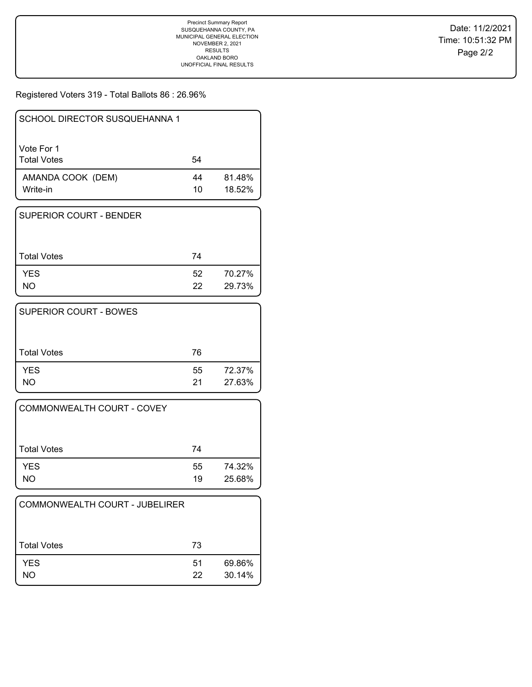Registered Voters 319 - Total Ballots 86 : 26.96%

| SCHOOL DIRECTOR SUSQUEHANNA 1    |          |                  |
|----------------------------------|----------|------------------|
| Vote For 1<br><b>Total Votes</b> | 54       |                  |
| AMANDA COOK (DEM)<br>Write-in    | 44<br>10 | 81.48%<br>18.52% |

| I SUPERIOR COURT - BENDER |          |                  |
|---------------------------|----------|------------------|
| Total Votes               | 74       |                  |
| <b>YES</b><br><b>NO</b>   | 52<br>22 | 70.27%<br>29.73% |

| <b>SUPERIOR COURT - BOWES</b> |          |                  |
|-------------------------------|----------|------------------|
| <b>Total Votes</b>            | 76       |                  |
| <b>YES</b><br>NΟ              | 55<br>21 | 72.37%<br>27.63% |

| <b>COMMONWEALTH COURT - COVEY</b> |          |                  |
|-----------------------------------|----------|------------------|
| <b>Total Votes</b>                | 74       |                  |
| <b>YES</b><br>NO                  | 55<br>19 | 74.32%<br>25.68% |

| COMMONWEALTH COURT - JUBELIRER |          |                  |
|--------------------------------|----------|------------------|
| Total Votes                    | 73       |                  |
| <b>YES</b><br>NO.              | 51<br>22 | 69.86%<br>30.14% |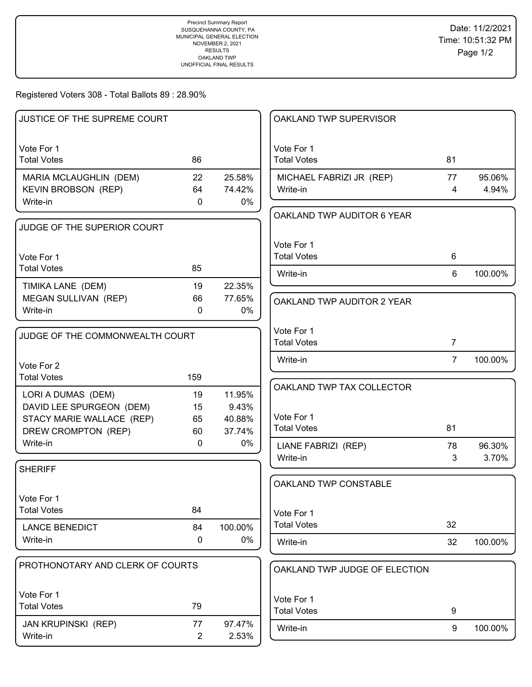Registered Voters 308 - Total Ballots 89 : 28.90%

|                                                |                    |                 | OAKLAND TWP SUPERVISOR           |                |         |
|------------------------------------------------|--------------------|-----------------|----------------------------------|----------------|---------|
| Vote For 1<br><b>Total Votes</b>               | 86                 |                 | Vote For 1<br><b>Total Votes</b> | 81             |         |
| MARIA MCLAUGHLIN (DEM)                         | 22                 | 25.58%          | MICHAEL FABRIZI JR (REP)         | 77             | 95.06%  |
| <b>KEVIN BROBSON (REP)</b>                     | 64                 | 74.42%          | Write-in                         | $\overline{4}$ | 4.94%   |
| Write-in                                       | $\mathbf{0}$       | 0%              |                                  |                |         |
|                                                |                    |                 | OAKLAND TWP AUDITOR 6 YEAR       |                |         |
| JUDGE OF THE SUPERIOR COURT                    |                    |                 |                                  |                |         |
|                                                |                    |                 | Vote For 1                       |                |         |
| Vote For 1<br><b>Total Votes</b>               | 85                 |                 | <b>Total Votes</b>               | 6              |         |
|                                                |                    |                 | Write-in                         | 6              | 100.00% |
| TIMIKA LANE (DEM)                              | 19                 | 22.35%          |                                  |                |         |
| MEGAN SULLIVAN (REP)                           | 66<br>$\mathbf{0}$ | 77.65%          | OAKLAND TWP AUDITOR 2 YEAR       |                |         |
| Write-in                                       |                    | $0\%$           |                                  |                |         |
| JUDGE OF THE COMMONWEALTH COURT                |                    |                 | Vote For 1                       |                |         |
|                                                |                    |                 | <b>Total Votes</b>               | $\overline{7}$ |         |
| Vote For 2                                     |                    |                 | Write-in                         | $\overline{7}$ | 100.00% |
| <b>Total Votes</b>                             | 159                |                 |                                  |                |         |
|                                                |                    |                 | OAKLAND TWP TAX COLLECTOR        |                |         |
| LORI A DUMAS (DEM)<br>DAVID LEE SPURGEON (DEM) | 19<br>15           | 11.95%<br>9.43% |                                  |                |         |
| STACY MARIE WALLACE (REP)                      | 65                 | 40.88%          | Vote For 1                       |                |         |
| DREW CROMPTON (REP)                            | 60                 | 37.74%          | <b>Total Votes</b>               | 81             |         |
| Write-in                                       | $\mathbf{0}$       | $0\%$           | LIANE FABRIZI (REP)              | 78             | 96.30%  |
|                                                |                    |                 | Write-in                         | 3              | 3.70%   |
| <b>SHERIFF</b>                                 |                    |                 |                                  |                |         |
|                                                |                    |                 | OAKLAND TWP CONSTABLE            |                |         |
| Vote For 1                                     |                    |                 |                                  |                |         |
| <b>Total Votes</b>                             | 84                 |                 | Vote For 1                       |                |         |
| <b>LANCE BENEDICT</b>                          | 84                 | 100.00%         | <b>Total Votes</b>               | 32             |         |
| Write-in                                       | 0                  | 0%              | Write-in                         | 32             | 100.00% |
|                                                |                    |                 |                                  |                |         |
| PROTHONOTARY AND CLERK OF COURTS               |                    |                 | OAKLAND TWP JUDGE OF ELECTION    |                |         |
| Vote For 1                                     |                    |                 | Vote For 1                       |                |         |
| <b>Total Votes</b>                             | 79                 |                 | <b>Total Votes</b>               | 9              |         |
| <b>JAN KRUPINSKI (REP)</b>                     | 77                 | 97.47%          |                                  |                |         |
| Write-in                                       | $\overline{2}$     | 2.53%           | Write-in                         | 9              | 100.00% |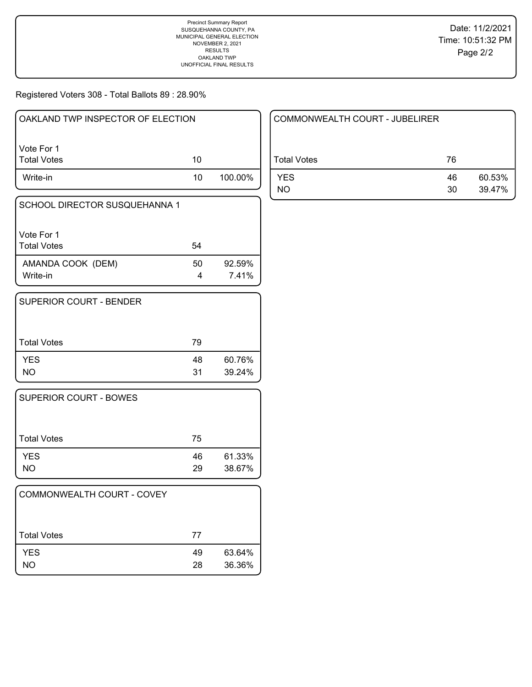Registered Voters 308 - Total Ballots 89 : 28.90%

| OAKLAND TWP INSPECTOR OF ELECTION |    |         |
|-----------------------------------|----|---------|
| l Vote For 1<br>  Total Votes     | 10 |         |
| Write-in                          | 10 | 100.00% |

| SCHOOL DIRECTOR SUSQUEHANNA 1    |    |                 |
|----------------------------------|----|-----------------|
| Vote For 1<br><b>Total Votes</b> | 54 |                 |
| AMANDA COOK (DEM)<br>Write-in    | 50 | 92.59%<br>7.41% |

| <b>SUPERIOR COURT - BENDER</b> |          |                  |
|--------------------------------|----------|------------------|
| <b>Total Votes</b>             | 79       |                  |
| <b>YES</b><br><b>NO</b>        | 48<br>31 | 60.76%<br>39.24% |

| <b>SUPERIOR COURT - BOWES</b> |          |                  |
|-------------------------------|----------|------------------|
| Total Votes                   | 75       |                  |
| <b>YES</b><br>NO              | 46<br>29 | 61.33%<br>38.67% |

| COMMONWEALTH COURT - COVEY |          |                  |
|----------------------------|----------|------------------|
| <b>Total Votes</b>         | 77       |                  |
| <b>YES</b><br>NO.          | 49<br>28 | 63.64%<br>36.36% |

| COMMONWEALTH COURT - JUBELIRER |          |                  |
|--------------------------------|----------|------------------|
| Total Votes                    | 76       |                  |
| <b>YES</b><br>NO.              | 46<br>30 | 60.53%<br>39.47% |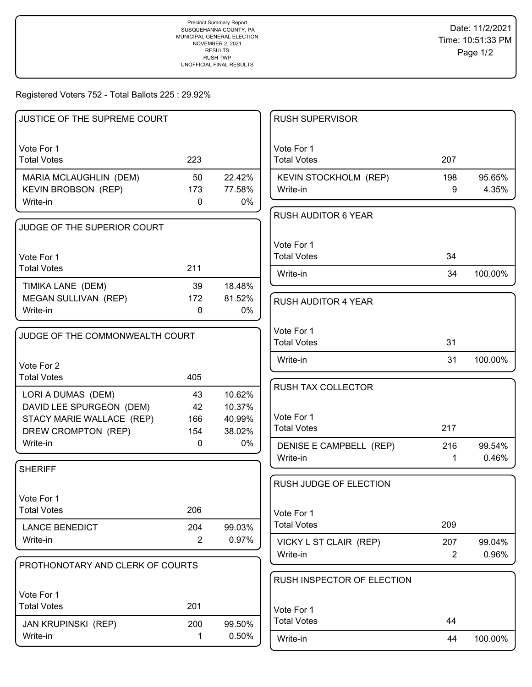### Registered Voters 752 - Total Ballots 225 : 29.92%

| JUSTICE OF THE SUPREME COURT     |                |              | <b>RUSH SUPERVISOR</b>              |                       |                 |
|----------------------------------|----------------|--------------|-------------------------------------|-----------------------|-----------------|
|                                  |                |              |                                     |                       |                 |
| Vote For 1<br><b>Total Votes</b> | 223            |              | Vote For 1<br><b>Total Votes</b>    | 207                   |                 |
| MARIA MCLAUGHLIN (DEM)           | 50             | 22.42%       | KEVIN STOCKHOLM (REP)               | 198                   | 95.65%          |
| <b>KEVIN BROBSON (REP)</b>       | 173            | 77.58%       | Write-in                            | 9                     | 4.35%           |
| Write-in                         | $\mathbf{0}$   | 0%           |                                     |                       |                 |
|                                  |                |              | <b>RUSH AUDITOR 6 YEAR</b>          |                       |                 |
| JUDGE OF THE SUPERIOR COURT      |                |              |                                     |                       |                 |
|                                  |                |              | Vote For 1                          |                       |                 |
| Vote For 1                       |                |              | <b>Total Votes</b>                  | 34                    |                 |
| <b>Total Votes</b>               | 211            |              | Write-in                            | 34                    | 100.00%         |
| TIMIKA LANE (DEM)                | 39             | 18.48%       |                                     |                       |                 |
| MEGAN SULLIVAN (REP)             | 172            | 81.52%       | <b>RUSH AUDITOR 4 YEAR</b>          |                       |                 |
| Write-in                         | 0              | 0%           |                                     |                       |                 |
|                                  |                |              | Vote For 1                          |                       |                 |
| JUDGE OF THE COMMONWEALTH COURT  |                |              | <b>Total Votes</b>                  | 31                    |                 |
|                                  |                |              | Write-in                            | 31                    | 100.00%         |
| Vote For 2                       |                |              |                                     |                       |                 |
| <b>Total Votes</b>               | 405            |              | RUSH TAX COLLECTOR                  |                       |                 |
| LORI A DUMAS (DEM)               | 43             | 10.62%       |                                     |                       |                 |
| DAVID LEE SPURGEON (DEM)         | 42             | 10.37%       | Vote For 1                          |                       |                 |
| STACY MARIE WALLACE (REP)        | 166            | 40.99%       | <b>Total Votes</b>                  | 217                   |                 |
| DREW CROMPTON (REP)<br>Write-in  | 154<br>0       | 38.02%<br>0% |                                     |                       |                 |
|                                  |                |              | DENISE E CAMPBELL (REP)<br>Write-in | 216<br>$\mathbf 1$    | 99.54%<br>0.46% |
| <b>SHERIFF</b>                   |                |              |                                     |                       |                 |
|                                  |                |              | RUSH JUDGE OF ELECTION              |                       |                 |
| Vote For 1                       |                |              |                                     |                       |                 |
| <b>Total Votes</b>               | 206            |              | Vote For 1                          |                       |                 |
| <b>LANCE BENEDICT</b>            | 204            | 99.03%       | <b>Total Votes</b>                  | 209                   |                 |
| Write-in                         | $\overline{2}$ | 0.97%        |                                     |                       |                 |
|                                  |                |              | VICKY L ST CLAIR (REP)<br>Write-in  | 207<br>$\overline{2}$ | 99.04%<br>0.96% |
| PROTHONOTARY AND CLERK OF COURTS |                |              |                                     |                       |                 |
|                                  |                |              | RUSH INSPECTOR OF ELECTION          |                       |                 |
| Vote For 1                       |                |              |                                     |                       |                 |
| <b>Total Votes</b>               | 201            |              | Vote For 1                          |                       |                 |
| <b>JAN KRUPINSKI (REP)</b>       | 200            | 99.50%       | <b>Total Votes</b>                  | 44                    |                 |
| Write-in                         | 1              | 0.50%        | Write-in                            | 44                    | 100.00%         |
|                                  |                |              |                                     |                       |                 |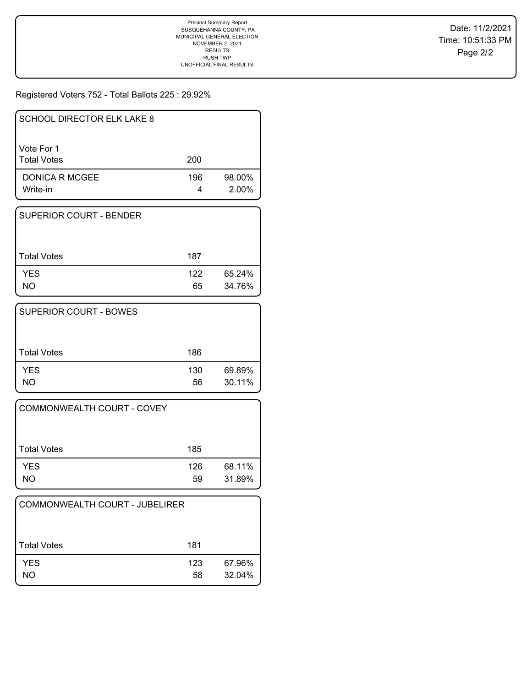# Registered Voters 752 - Total Ballots 225 : 29.92%

| <b>SCHOOL DIRECTOR ELK LAKE 8</b> |          |                    |
|-----------------------------------|----------|--------------------|
| Vote For 1<br><b>Total Votes</b>  | 200      |                    |
| DONICA R MCGEE<br>Write-in        | 196<br>4 | 98.00%<br>$2.00\%$ |

| SUPERIOR COURT - BENDER |           |                  |
|-------------------------|-----------|------------------|
| l Total Votes           | 187       |                  |
| <b>YES</b><br>NO.       | 122<br>65 | 65.24%<br>34.76% |

| <b>SUPERIOR COURT - BOWES</b> |           |                  |
|-------------------------------|-----------|------------------|
| <b>Total Votes</b>            | 186       |                  |
| <b>YES</b><br>NΟ              | 130<br>56 | 69.89%<br>30.11% |

| COMMONWEALTH COURT - COVEY |           |                  |
|----------------------------|-----------|------------------|
| Total Votes                | 185       |                  |
| <b>YES</b><br>NO.          | 126<br>59 | 68.11%<br>31.89% |

| COMMONWEALTH COURT - JUBELIRER |           |                  |
|--------------------------------|-----------|------------------|
| Total Votes                    | 181       |                  |
| <b>YES</b><br>NO               | 123<br>58 | 67.96%<br>32.04% |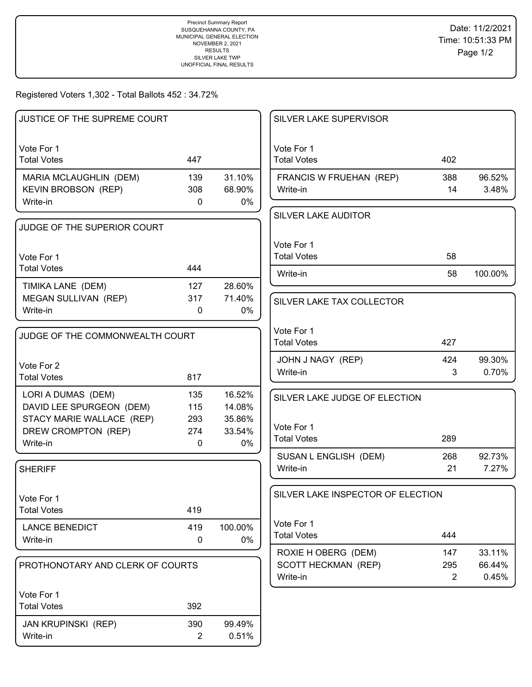Registered Voters 1,302 - Total Ballots 452 : 34.72%

| JUSTICE OF THE SUPREME COURT                          |                |                  | SILVER LAKE SUPERVISOR            |                |         |
|-------------------------------------------------------|----------------|------------------|-----------------------------------|----------------|---------|
| Vote For 1<br><b>Total Votes</b>                      | 447            |                  | Vote For 1<br><b>Total Votes</b>  | 402            |         |
| MARIA MCLAUGHLIN (DEM)                                | 139            | 31.10%           | FRANCIS W FRUEHAN (REP)           | 388            | 96.52%  |
| <b>KEVIN BROBSON (REP)</b>                            | 308            | 68.90%           | Write-in                          | 14             | 3.48%   |
| Write-in                                              | 0              | 0%               |                                   |                |         |
|                                                       |                |                  | <b>SILVER LAKE AUDITOR</b>        |                |         |
| JUDGE OF THE SUPERIOR COURT                           |                |                  |                                   |                |         |
|                                                       |                |                  | Vote For 1                        |                |         |
| Vote For 1                                            |                |                  | <b>Total Votes</b>                | 58             |         |
| <b>Total Votes</b>                                    | 444            |                  | Write-in                          | 58             | 100.00% |
| TIMIKA LANE (DEM)                                     | 127            | 28.60%           |                                   |                |         |
| MEGAN SULLIVAN (REP)                                  | 317            | 71.40%           | SILVER LAKE TAX COLLECTOR         |                |         |
| Write-in                                              | $\Omega$       | $0\%$            |                                   |                |         |
|                                                       |                |                  | Vote For 1                        |                |         |
| JUDGE OF THE COMMONWEALTH COURT                       |                |                  | <b>Total Votes</b>                | 427            |         |
|                                                       |                |                  | JOHN J NAGY (REP)                 | 424            | 99.30%  |
| Vote For 2<br><b>Total Votes</b>                      | 817            |                  | Write-in                          | 3              | 0.70%   |
|                                                       |                |                  |                                   |                |         |
| LORI A DUMAS (DEM)                                    | 135            | 16.52%           | SILVER LAKE JUDGE OF ELECTION     |                |         |
| DAVID LEE SPURGEON (DEM)<br>STACY MARIE WALLACE (REP) | 115<br>293     | 14.08%<br>35.86% |                                   |                |         |
| DREW CROMPTON (REP)                                   | 274            | 33.54%           | Vote For 1                        |                |         |
| Write-in                                              | $\mathbf{0}$   | 0%               | <b>Total Votes</b>                | 289            |         |
|                                                       |                |                  | SUSAN L ENGLISH (DEM)             | 268            | 92.73%  |
| <b>SHERIFF</b>                                        |                |                  | Write-in                          | 21             | 7.27%   |
|                                                       |                |                  |                                   |                |         |
| Vote For 1                                            |                |                  | SILVER LAKE INSPECTOR OF ELECTION |                |         |
| <b>Total Votes</b>                                    | 419            |                  |                                   |                |         |
| <b>LANCE BENEDICT</b>                                 | 419            | 100.00%          | Vote For 1                        |                |         |
| Write-in                                              | 0              | 0%               | <b>Total Votes</b>                | 444            |         |
|                                                       |                |                  | ROXIE H OBERG (DEM)               | 147            | 33.11%  |
| PROTHONOTARY AND CLERK OF COURTS                      |                |                  | <b>SCOTT HECKMAN (REP)</b>        | 295            | 66.44%  |
|                                                       |                |                  | Write-in                          | $\overline{2}$ | 0.45%   |
| Vote For 1                                            |                |                  |                                   |                |         |
| <b>Total Votes</b>                                    | 392            |                  |                                   |                |         |
| JAN KRUPINSKI (REP)                                   | 390            | 99.49%           |                                   |                |         |
| Write-in                                              | $\overline{2}$ | 0.51%            |                                   |                |         |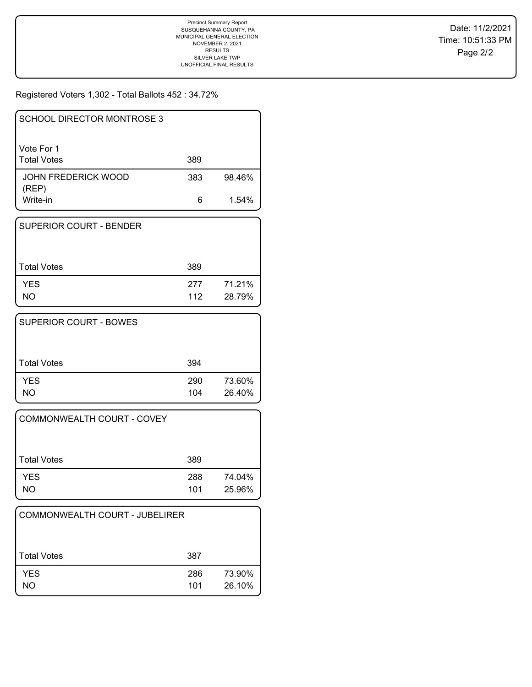Registered Voters 1,302 - Total Ballots 452 : 34.72%

| SCHOOL DIRECTOR MONTROSE 3          |     |        |
|-------------------------------------|-----|--------|
| Vote For 1<br><b>Total Votes</b>    | 389 |        |
| <b>JOHN FREDERICK WOOD</b><br>(REP) | 383 | 98.46% |
| Write-in                            | 6   | 1.54%  |

| SUPERIOR COURT - BENDER |            |                  |
|-------------------------|------------|------------------|
| <b>Total Votes</b>      | 389        |                  |
| <b>YES</b><br>NΟ        | 277<br>112 | 71.21%<br>28.79% |

| <b>SUPERIOR COURT - BOWES</b> |            |                  |
|-------------------------------|------------|------------------|
| <b>Total Votes</b>            | 394        |                  |
| <b>YES</b><br>NΟ              | 290<br>104 | 73.60%<br>26.40% |

| COMMONWEALTH COURT - COVEY |            |                  |
|----------------------------|------------|------------------|
| Total Votes                | 389        |                  |
| <b>YES</b><br>NO           | 288<br>101 | 74.04%<br>25.96% |

| COMMONWEALTH COURT - JUBELIRER |            |                  |
|--------------------------------|------------|------------------|
| Total Votes                    | 387        |                  |
| <b>YES</b><br>NO               | 286<br>101 | 73.90%<br>26.10% |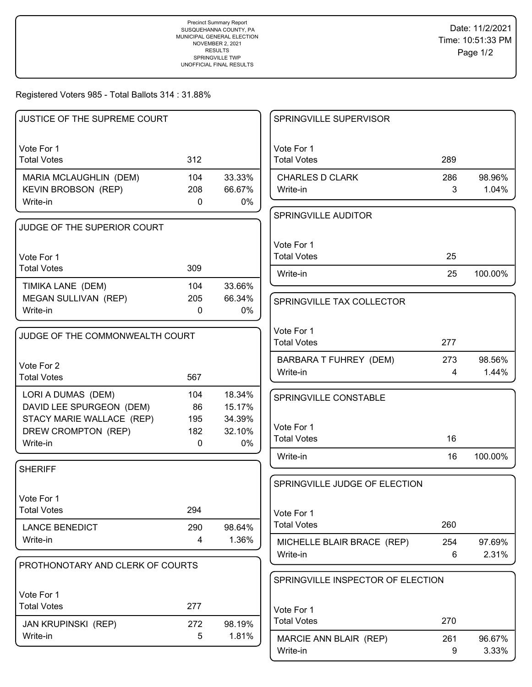Registered Voters 985 - Total Ballots 314 : 31.88%

| JUSTICE OF THE SUPREME COURT                                                |                  |                            | SPRINGVILLE SUPERVISOR                       |                       |                 |
|-----------------------------------------------------------------------------|------------------|----------------------------|----------------------------------------------|-----------------------|-----------------|
| Vote For 1<br><b>Total Votes</b>                                            | 312              |                            | Vote For 1<br><b>Total Votes</b>             | 289                   |                 |
| MARIA MCLAUGHLIN (DEM)<br>KEVIN BROBSON (REP)<br>Write-in                   | 104<br>208<br>0  | 33.33%<br>66.67%<br>0%     | <b>CHARLES D CLARK</b><br>Write-in           | 286<br>3              | 98.96%<br>1.04% |
| JUDGE OF THE SUPERIOR COURT                                                 |                  |                            | SPRINGVILLE AUDITOR                          |                       |                 |
| Vote For 1<br><b>Total Votes</b>                                            | 309              |                            | Vote For 1<br><b>Total Votes</b>             | 25                    |                 |
| TIMIKA LANE (DEM)<br>MEGAN SULLIVAN (REP)                                   | 104<br>205       | 33.66%<br>66.34%           | Write-in                                     | 25                    | 100.00%         |
| Write-in                                                                    | 0                | 0%                         | SPRINGVILLE TAX COLLECTOR                    |                       |                 |
| JUDGE OF THE COMMONWEALTH COURT                                             |                  |                            | Vote For 1<br><b>Total Votes</b>             | 277                   |                 |
| Vote For 2<br><b>Total Votes</b>                                            | 567              |                            | BARBARA T FUHREY (DEM)<br>Write-in           | 273<br>$\overline{4}$ | 98.56%<br>1.44% |
| LORI A DUMAS (DEM)<br>DAVID LEE SPURGEON (DEM)<br>STACY MARIE WALLACE (REP) | 104<br>86<br>195 | 18.34%<br>15.17%<br>34.39% | SPRINGVILLE CONSTABLE                        |                       |                 |
| DREW CROMPTON (REP)<br>Write-in                                             | 182<br>0         | 32.10%<br>0%               | Vote For 1<br><b>Total Votes</b>             | 16                    |                 |
| <b>SHERIFF</b>                                                              |                  |                            | Write-in                                     | 16                    | 100.00%         |
| Vote For 1                                                                  |                  |                            | SPRINGVILLE JUDGE OF ELECTION                |                       |                 |
| <b>Total Votes</b><br><b>LANCE BENEDICT</b>                                 | 294<br>290       | 98.64%                     | Vote For 1<br><b>Total Votes</b>             | 260                   |                 |
| Write-in                                                                    | 4                | 1.36%                      | MICHELLE BLAIR BRACE (REP)<br>Write-in       | 254<br>6              | 97.69%<br>2.31% |
| PROTHONOTARY AND CLERK OF COURTS                                            |                  |                            | SPRINGVILLE INSPECTOR OF ELECTION            |                       |                 |
| Vote For 1<br><b>Total Votes</b>                                            | 277              |                            | Vote For 1                                   |                       |                 |
| <b>JAN KRUPINSKI (REP)</b><br>Write-in                                      | 272<br>5         | 98.19%<br>1.81%            | <b>Total Votes</b><br>MARCIE ANN BLAIR (REP) | 270<br>261            | 96.67%          |
|                                                                             |                  |                            | Write-in                                     | 9                     | 3.33%           |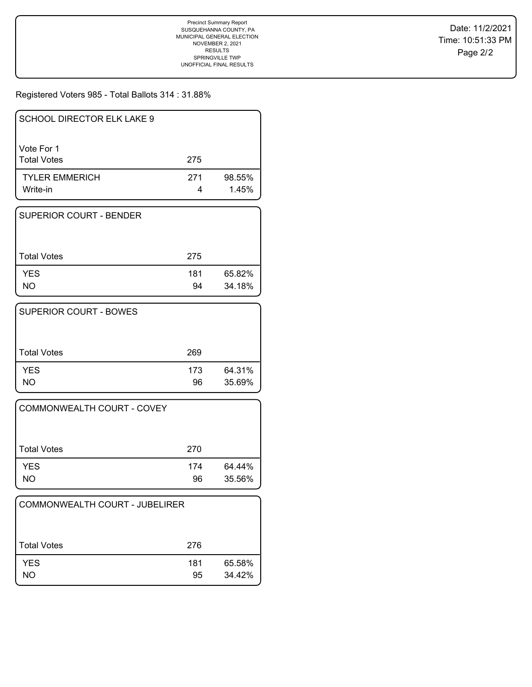Registered Voters 985 - Total Ballots 314 : 31.88%

| SCHOOL DIRECTOR ELK LAKE 9        |     |                 |
|-----------------------------------|-----|-----------------|
| Vote For 1<br><b>Total Votes</b>  | 275 |                 |
| <b>TYLER EMMERICH</b><br>Write-in | 271 | 98.55%<br>1.45% |

| I SUPERIOR COURT - BENDER |           |                  |
|---------------------------|-----------|------------------|
| <b>Total Votes</b>        | 275       |                  |
| <b>YES</b><br>NΟ          | 181<br>94 | 65.82%<br>34.18% |

| <b>SUPERIOR COURT - BOWES</b> |           |                  |
|-------------------------------|-----------|------------------|
| <b>Total Votes</b>            | 269       |                  |
| <b>YES</b><br>NO.             | 173<br>96 | 64.31%<br>35.69% |

| <b>COMMONWEALTH COURT - COVEY</b> |           |                  |
|-----------------------------------|-----------|------------------|
| <b>Total Votes</b>                | 270       |                  |
| <b>YES</b><br>NO                  | 174<br>96 | 64.44%<br>35.56% |

| COMMONWEALTH COURT - JUBELIRER |           |                  |
|--------------------------------|-----------|------------------|
| Total Votes                    | 276       |                  |
| <b>YES</b><br>NO               | 181<br>95 | 65.58%<br>34.42% |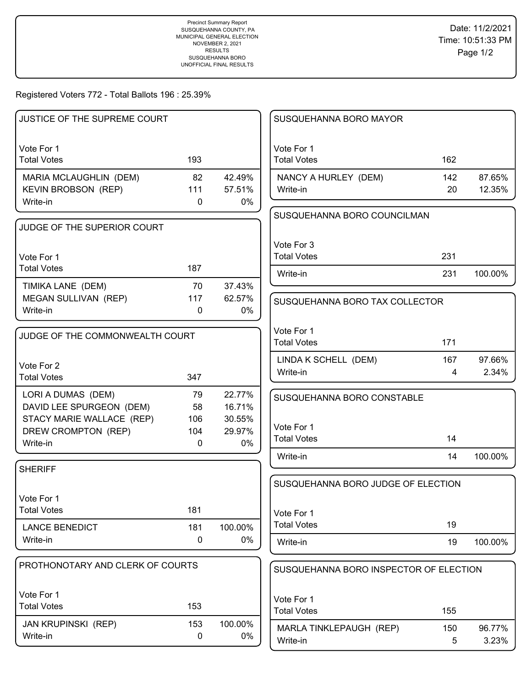Registered Voters 772 - Total Ballots 196 : 25.39%

| JUSTICE OF THE SUPREME COURT                                     |                            |                        | SUSQUEHANNA BORO MAYOR                 |           |                  |
|------------------------------------------------------------------|----------------------------|------------------------|----------------------------------------|-----------|------------------|
| Vote For 1<br><b>Total Votes</b>                                 | 193                        |                        | Vote For 1<br><b>Total Votes</b>       | 162       |                  |
| MARIA MCLAUGHLIN (DEM)<br><b>KEVIN BROBSON (REP)</b><br>Write-in | 82<br>111<br>0             | 42.49%<br>57.51%<br>0% | NANCY A HURLEY (DEM)<br>Write-in       | 142<br>20 | 87.65%<br>12.35% |
| JUDGE OF THE SUPERIOR COURT                                      |                            |                        | SUSQUEHANNA BORO COUNCILMAN            |           |                  |
| Vote For 1<br><b>Total Votes</b>                                 | 187                        |                        | Vote For 3<br><b>Total Votes</b>       | 231       |                  |
| TIMIKA LANE (DEM)                                                | 70                         | 37.43%                 | Write-in                               | 231       | 100.00%          |
| MEGAN SULLIVAN (REP)<br>Write-in                                 | 117<br>$\mathbf{0}$        | 62.57%<br>0%           | SUSQUEHANNA BORO TAX COLLECTOR         |           |                  |
| JUDGE OF THE COMMONWEALTH COURT                                  |                            |                        | Vote For 1<br><b>Total Votes</b>       | 171       |                  |
| Vote For 2<br><b>Total Votes</b>                                 | 347                        |                        | LINDA K SCHELL (DEM)<br>Write-in       | 167<br>4  | 97.66%<br>2.34%  |
| LORI A DUMAS (DEM)<br>DAVID LEE SPURGEON (DEM)                   | 79<br>58                   | 22.77%<br>16.71%       | SUSQUEHANNA BORO CONSTABLE             |           |                  |
| STACY MARIE WALLACE (REP)<br>DREW CROMPTON (REP)<br>Write-in     | 106<br>104<br>$\mathbf{0}$ | 30.55%<br>29.97%<br>0% | Vote For 1<br><b>Total Votes</b>       | 14        |                  |
| <b>SHERIFF</b>                                                   |                            |                        | Write-in                               | 14        | 100.00%          |
| Vote For 1                                                       |                            |                        | SUSQUEHANNA BORO JUDGE OF ELECTION     |           |                  |
| <b>Total Votes</b>                                               | 181                        |                        | Vote For 1                             |           |                  |
| <b>LANCE BENEDICT</b>                                            | 181                        | 100.00%                | <b>Total Votes</b>                     | 19        |                  |
| Write-in                                                         | $\mathbf 0$                | 0%                     | Write-in                               | 19        | 100.00%          |
| PROTHONOTARY AND CLERK OF COURTS                                 |                            |                        | SUSQUEHANNA BORO INSPECTOR OF ELECTION |           |                  |
| Vote For 1<br><b>Total Votes</b>                                 | 153                        |                        | Vote For 1<br><b>Total Votes</b>       | 155       |                  |
| <b>JAN KRUPINSKI (REP)</b><br>Write-in                           | 153<br>$\mathbf 0$         | 100.00%<br>0%          | MARLA TINKLEPAUGH (REP)<br>Write-in    | 150<br>5  | 96.77%<br>3.23%  |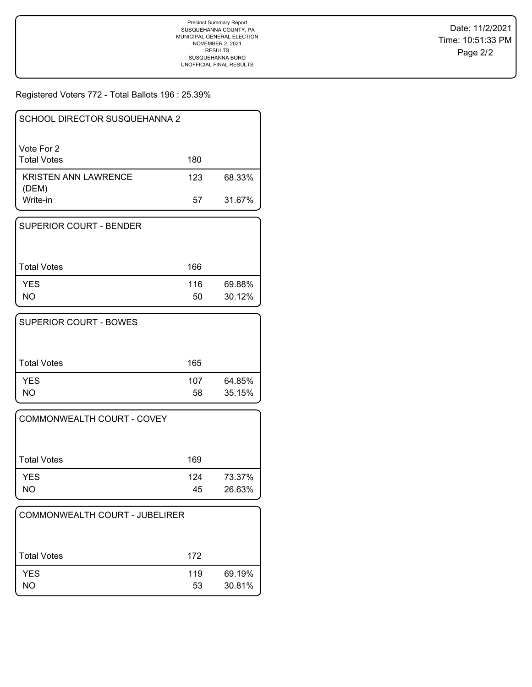Registered Voters 772 - Total Ballots 196 : 25.39%

| SCHOOL DIRECTOR SUSQUEHANNA 2    |     |        |
|----------------------------------|-----|--------|
| Vote For 2<br><b>Total Votes</b> | 180 |        |
| KRISTEN ANN LAWRENCE<br>(DEM)    | 123 | 68.33% |
| Write-in                         | 57  | 31.67% |

| <b>SUPERIOR COURT - BENDER</b> |           |                  |
|--------------------------------|-----------|------------------|
| Total Votes                    | 166       |                  |
| <b>YES</b><br>NO               | 116<br>50 | 69.88%<br>30.12% |

| SUPERIOR COURT - BOWES |           |                  |
|------------------------|-----------|------------------|
| <b>Total Votes</b>     | 165       |                  |
| <b>YES</b><br>NΟ       | 107<br>58 | 64.85%<br>35.15% |

| <b>COMMONWEALTH COURT - COVEY</b> |           |                  |
|-----------------------------------|-----------|------------------|
| <b>Total Votes</b>                | 169       |                  |
| <b>YES</b><br>NΟ                  | 124<br>45 | 73.37%<br>26.63% |

| COMMONWEALTH COURT - JUBELIRER |           |                  |
|--------------------------------|-----------|------------------|
| <b>Total Votes</b>             | 172       |                  |
| <b>YES</b><br>NO               | 119<br>53 | 69.19%<br>30.81% |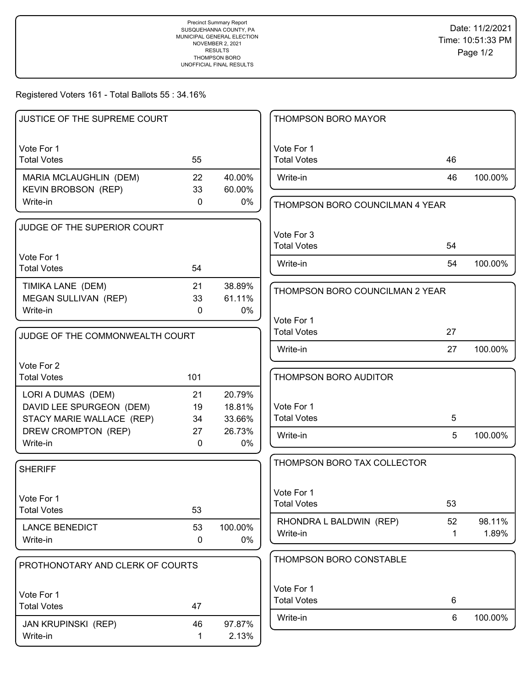Registered Voters 161 - Total Ballots 55 : 34.16%

| JUSTICE OF THE SUPREME COURT     |              |         | THOMPSON BORO MAYOR              |             |         |
|----------------------------------|--------------|---------|----------------------------------|-------------|---------|
| Vote For 1                       |              |         | Vote For 1                       |             |         |
| <b>Total Votes</b>               | 55           |         | <b>Total Votes</b>               | 46          |         |
| MARIA MCLAUGHLIN (DEM)           | 22           | 40.00%  | Write-in                         | 46          | 100.00% |
| <b>KEVIN BROBSON (REP)</b>       | 33           | 60.00%  |                                  |             |         |
| Write-in                         | $\mathbf 0$  | 0%      | THOMPSON BORO COUNCILMAN 4 YEAR  |             |         |
| JUDGE OF THE SUPERIOR COURT      |              |         | Vote For 3                       |             |         |
|                                  |              |         | <b>Total Votes</b>               | 54          |         |
| Vote For 1                       |              |         |                                  |             |         |
| <b>Total Votes</b>               | 54           |         | Write-in                         | 54          | 100.00% |
| TIMIKA LANE (DEM)                | 21           | 38.89%  | THOMPSON BORO COUNCILMAN 2 YEAR  |             |         |
| MEGAN SULLIVAN (REP)             | 33           | 61.11%  |                                  |             |         |
| Write-in                         | 0            | 0%      |                                  |             |         |
|                                  |              |         | Vote For 1<br><b>Total Votes</b> | 27          |         |
| JUDGE OF THE COMMONWEALTH COURT  |              |         |                                  |             |         |
|                                  |              |         | Write-in                         | 27          | 100.00% |
| Vote For 2                       |              |         |                                  |             |         |
| <b>Total Votes</b>               | 101          |         | THOMPSON BORO AUDITOR            |             |         |
| LORI A DUMAS (DEM)               | 21           | 20.79%  |                                  |             |         |
| DAVID LEE SPURGEON (DEM)         | 19           | 18.81%  | Vote For 1                       |             |         |
| STACY MARIE WALLACE (REP)        | 34           | 33.66%  | <b>Total Votes</b>               | 5           |         |
| DREW CROMPTON (REP)              | 27           | 26.73%  | Write-in                         | 5           | 100.00% |
| Write-in                         | $\mathbf{0}$ | 0%      |                                  |             |         |
| <b>SHERIFF</b>                   |              |         | THOMPSON BORO TAX COLLECTOR      |             |         |
|                                  |              |         |                                  |             |         |
| Vote For 1                       |              |         | Vote For 1                       |             |         |
| <b>Total Votes</b>               | 53           |         | <b>Total Votes</b>               | 53          |         |
| <b>LANCE BENEDICT</b>            | 53           | 100.00% | RHONDRA L BALDWIN (REP)          | 52          | 98.11%  |
| Write-in                         | 0            | 0%      | Write-in                         | $\mathbf 1$ | 1.89%   |
|                                  |              |         |                                  |             |         |
| PROTHONOTARY AND CLERK OF COURTS |              |         | THOMPSON BORO CONSTABLE          |             |         |
|                                  |              |         | Vote For 1                       |             |         |
| Vote For 1                       |              |         | <b>Total Votes</b>               | 6           |         |
| <b>Total Votes</b>               | 47           |         | Write-in                         | 6           | 100.00% |
| <b>JAN KRUPINSKI (REP)</b>       | 46           | 97.87%  |                                  |             |         |
| Write-in                         | 1            | 2.13%   |                                  |             |         |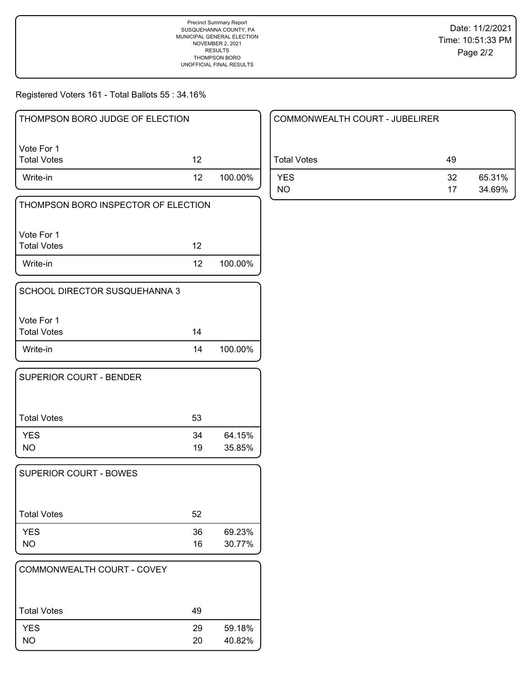Registered Voters 161 - Total Ballots 55 : 34.16%

| THOMPSON BORO JUDGE OF ELECTION     |    |         |  |  |
|-------------------------------------|----|---------|--|--|
| Vote For 1<br><b>Total Votes</b>    | 12 |         |  |  |
| Write-in                            | 12 | 100.00% |  |  |
| THOMPSON BORO INSPECTOR OF ELECTION |    |         |  |  |

| I Vote For 1 |                 |         |
|--------------|-----------------|---------|
| Total Votes  | 12              |         |
| Write-in     | 12 <sup>7</sup> | 100.00% |

| SCHOOL DIRECTOR SUSQUEHANNA 3 |    |         |
|-------------------------------|----|---------|
| l Vote For 1<br>Total Votes   | 14 |         |
| Write-in                      | 14 | 100.00% |

| SUPERIOR COURT - BENDER |    |        |
|-------------------------|----|--------|
| <b>Total Votes</b>      | 53 |        |
| <b>YES</b>              | 34 | 64.15% |
| NO.                     | 19 | 35.85% |

| 52       |                  |
|----------|------------------|
| 36<br>16 | 69.23%<br>30.77% |
|          |                  |

| COMMONWEALTH COURT - COVEY |    |        |
|----------------------------|----|--------|
| <b>Total Votes</b>         | 49 |        |
| <b>YES</b>                 | 29 | 59.18% |
| NO.                        | 20 | 40.82% |

| COMMONWEALTH COURT - JUBELIRER |          |                  |
|--------------------------------|----------|------------------|
| Total Votes                    | 49       |                  |
| <b>YES</b><br>NO               | 32<br>17 | 65.31%<br>34.69% |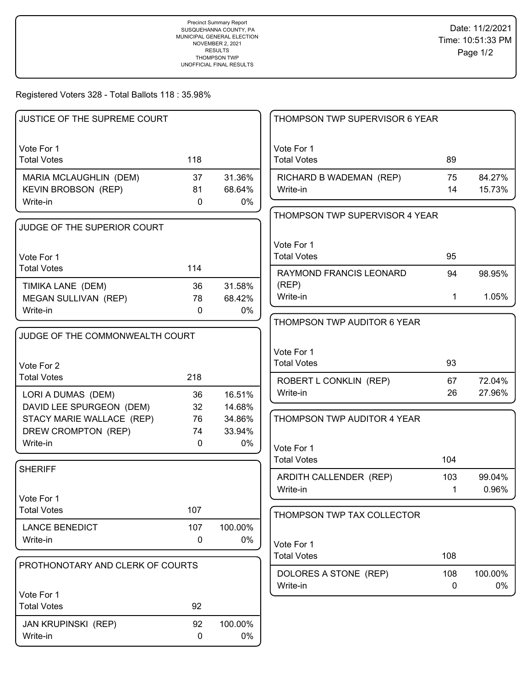Registered Voters 328 - Total Ballots 118 : 35.98%

| JUSTICE OF THE SUPREME COURT     |             |         | THOMPSON TWP SUPERVISOR 6 YEAR    |              |               |
|----------------------------------|-------------|---------|-----------------------------------|--------------|---------------|
| Vote For 1<br><b>Total Votes</b> | 118         |         | Vote For 1<br><b>Total Votes</b>  | 89           |               |
|                                  |             |         |                                   |              |               |
| MARIA MCLAUGHLIN (DEM)           | 37          | 31.36%  | RICHARD B WADEMAN (REP)           | 75           | 84.27%        |
| <b>KEVIN BROBSON (REP)</b>       | 81          | 68.64%  | Write-in                          | 14           | 15.73%        |
| Write-in                         | $\mathbf 0$ | 0%      | THOMPSON TWP SUPERVISOR 4 YEAR    |              |               |
| JUDGE OF THE SUPERIOR COURT      |             |         |                                   |              |               |
|                                  |             |         | Vote For 1                        |              |               |
| Vote For 1                       |             |         | <b>Total Votes</b>                | 95           |               |
| <b>Total Votes</b>               | 114         |         | RAYMOND FRANCIS LEONARD           | 94           | 98.95%        |
| TIMIKA LANE (DEM)                | 36          | 31.58%  | (REP)                             |              |               |
| MEGAN SULLIVAN (REP)             | 78          | 68.42%  | Write-in                          | $\mathbf{1}$ | 1.05%         |
| Write-in                         | $\mathbf 0$ | 0%      |                                   |              |               |
|                                  |             |         | THOMPSON TWP AUDITOR 6 YEAR       |              |               |
| JUDGE OF THE COMMONWEALTH COURT  |             |         |                                   |              |               |
|                                  |             |         | Vote For 1                        |              |               |
| Vote For 2                       |             |         | <b>Total Votes</b>                | 93           |               |
| <b>Total Votes</b>               | 218         |         | ROBERT L CONKLIN (REP)            | 67           | 72.04%        |
| LORI A DUMAS (DEM)               | 36          | 16.51%  | Write-in                          | 26           | 27.96%        |
| DAVID LEE SPURGEON (DEM)         | 32          | 14.68%  |                                   |              |               |
| STACY MARIE WALLACE (REP)        | 76          | 34.86%  | THOMPSON TWP AUDITOR 4 YEAR       |              |               |
| DREW CROMPTON (REP)              | 74          | 33.94%  |                                   |              |               |
| Write-in                         | $\mathbf 0$ | 0%      | Vote For 1                        |              |               |
|                                  |             |         | <b>Total Votes</b>                | 104          |               |
| <b>SHERIFF</b>                   |             |         | ARDITH CALLENDER (REP)            | 103          | 99.04%        |
|                                  |             |         | Write-in                          | 1            | 0.96%         |
| Vote For 1                       |             |         |                                   |              |               |
| <b>Total Votes</b>               | 107         |         | THOMPSON TWP TAX COLLECTOR        |              |               |
| <b>LANCE BENEDICT</b>            | 107         | 100.00% |                                   |              |               |
| Write-in                         | 0           | $0\%$   | Vote For 1                        |              |               |
|                                  |             |         | <b>Total Votes</b>                | 108          |               |
| PROTHONOTARY AND CLERK OF COURTS |             |         |                                   |              |               |
|                                  |             |         | DOLORES A STONE (REP)<br>Write-in | 108<br>0     | 100.00%<br>0% |
| Vote For 1                       |             |         |                                   |              |               |
| <b>Total Votes</b>               | 92          |         |                                   |              |               |
| <b>JAN KRUPINSKI (REP)</b>       | 92          | 100.00% |                                   |              |               |
| Write-in                         | 0           | 0%      |                                   |              |               |
|                                  |             |         |                                   |              |               |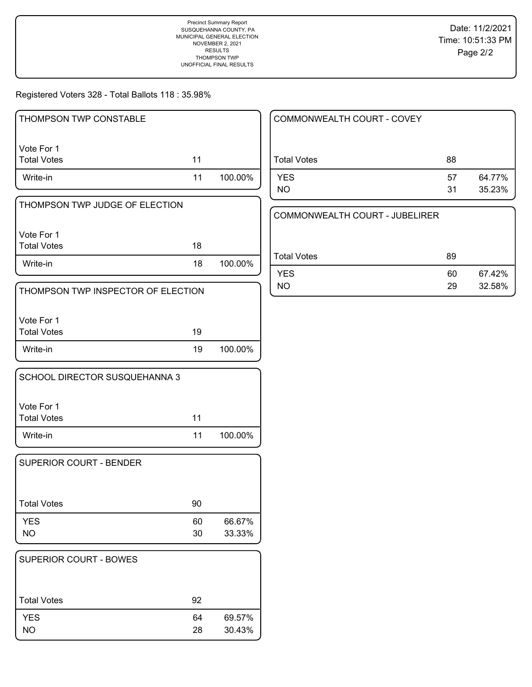Registered Voters 328 - Total Ballots 118 : 35.98%

| THOMPSON TWP CONSTABLE             |    |         |
|------------------------------------|----|---------|
| Vote For 1                         |    |         |
| <b>Total Votes</b>                 | 11 |         |
| Write-in                           | 11 | 100.00% |
| THOMPSON TWP JUDGE OF ELECTION     |    |         |
| Vote For 1                         |    |         |
| <b>Total Votes</b>                 | 18 |         |
| Write-in                           | 18 | 100.00% |
| THOMPSON TWP INSPECTOR OF ELECTION |    |         |
| Vote For 1                         |    |         |
| <b>Total Votes</b>                 | 19 |         |
| Write-in                           | 19 | 100.00% |
| SCHOOL DIRECTOR SUSQUEHANNA 3      |    |         |
| Vote For 1                         |    |         |
| <b>Total Votes</b>                 | 11 |         |
| Write-in                           | 11 | 100.00% |
| <b>SUPERIOR COURT - BENDER</b>     |    |         |
| <b>Total Votes</b>                 | 90 |         |
| <b>YES</b>                         | 60 | 66.67%  |
| <b>NO</b>                          | 30 | 33.33%  |
| SUPERIOR COURT - BOWES             |    |         |
|                                    |    |         |
| <b>Total Votes</b>                 | 92 |         |

YES 64 69.57% NO 28 30.43%

| COMMONWEALTH COURT - COVEY |          |                  |
|----------------------------|----------|------------------|
| <b>Total Votes</b>         | 88       |                  |
| <b>YES</b><br>NO.          | 57<br>31 | 64.77%<br>35.23% |

MMONWEALTH COURT - JUBELIRER

| Total Votes | 89 |        |
|-------------|----|--------|
| <b>YES</b>  | 60 | 67.42% |
| NO.         | 29 | 32.58% |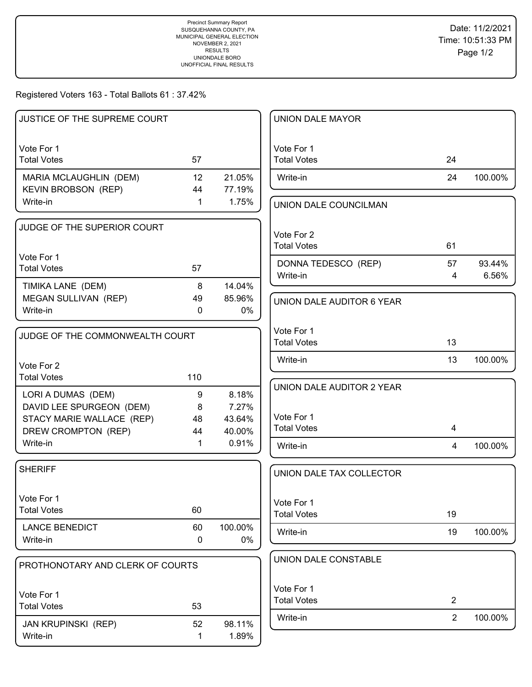## Registered Voters 163 - Total Ballots 61 : 37.42%

| <b>JUSTICE OF THE SUPREME COURT</b> |              |         | <b>UNION DALE MAYOR</b>          |                |         |
|-------------------------------------|--------------|---------|----------------------------------|----------------|---------|
| Vote For 1                          |              |         | Vote For 1                       |                |         |
| <b>Total Votes</b>                  | 57           |         | <b>Total Votes</b>               | 24             |         |
| MARIA MCLAUGHLIN (DEM)              | 12           | 21.05%  | Write-in                         | 24             | 100.00% |
| <b>KEVIN BROBSON (REP)</b>          | 44           | 77.19%  |                                  |                |         |
| Write-in                            | $\mathbf{1}$ | 1.75%   | UNION DALE COUNCILMAN            |                |         |
| JUDGE OF THE SUPERIOR COURT         |              |         |                                  |                |         |
|                                     |              |         | Vote For 2<br><b>Total Votes</b> | 61             |         |
| Vote For 1                          |              |         |                                  |                |         |
| <b>Total Votes</b>                  | 57           |         | DONNA TEDESCO (REP)              | 57             | 93.44%  |
| TIMIKA LANE (DEM)                   | 8            | 14.04%  | Write-in                         | $\overline{4}$ | 6.56%   |
| MEGAN SULLIVAN (REP)                | 49           | 85.96%  | UNION DALE AUDITOR 6 YEAR        |                |         |
| Write-in                            | $\mathbf{0}$ | $0\%$   |                                  |                |         |
|                                     |              |         | Vote For 1                       |                |         |
| JUDGE OF THE COMMONWEALTH COURT     |              |         | <b>Total Votes</b>               | 13             |         |
| Vote For 2                          |              |         | Write-in                         | 13             | 100.00% |
| <b>Total Votes</b>                  | 110          |         |                                  |                |         |
| LORI A DUMAS (DEM)                  | 9            | 8.18%   | UNION DALE AUDITOR 2 YEAR        |                |         |
| DAVID LEE SPURGEON (DEM)            | 8            | 7.27%   |                                  |                |         |
| STACY MARIE WALLACE (REP)           | 48           | 43.64%  | Vote For 1                       |                |         |
| DREW CROMPTON (REP)                 | 44           | 40.00%  | <b>Total Votes</b>               | 4              |         |
| Write-in                            | $\mathbf 1$  | 0.91%   | Write-in                         | $\overline{4}$ | 100.00% |
| <b>SHERIFF</b>                      |              |         | UNION DALE TAX COLLECTOR         |                |         |
|                                     |              |         |                                  |                |         |
| Vote For 1                          |              |         | Vote For 1                       |                |         |
| <b>Total Votes</b>                  | 60           |         | <b>Total Votes</b>               | 19             |         |
| <b>LANCE BENEDICT</b>               | 60           | 100.00% | Write-in                         | 19             | 100.00% |
| Write-in                            | 0            | $0\%$   |                                  |                |         |
| PROTHONOTARY AND CLERK OF COURTS    |              |         | UNION DALE CONSTABLE             |                |         |
|                                     |              |         |                                  |                |         |
| Vote For 1                          |              |         | Vote For 1                       |                |         |
| <b>Total Votes</b>                  | 53           |         | <b>Total Votes</b>               | $\overline{2}$ |         |
| JAN KRUPINSKI (REP)                 | 52           | 98.11%  | Write-in                         | 2              | 100.00% |
| Write-in                            | 1            | 1.89%   |                                  |                |         |
|                                     |              |         |                                  |                |         |